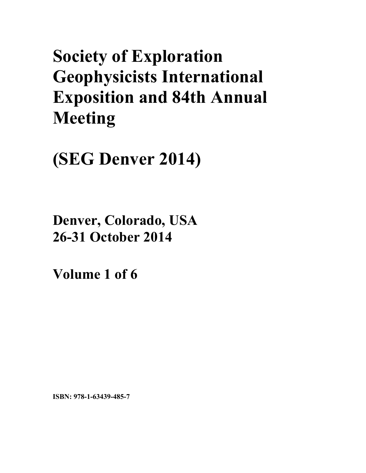# **Society of Exploration Geophysicists International Exposition and 84th Annual Meeting**

# **(SEG Denver 2014)**

**Denver, Colorado, USA 26-31 October 2014**

**Volume 1 of 6** 

**ISBN: 978-1-63439-485-7**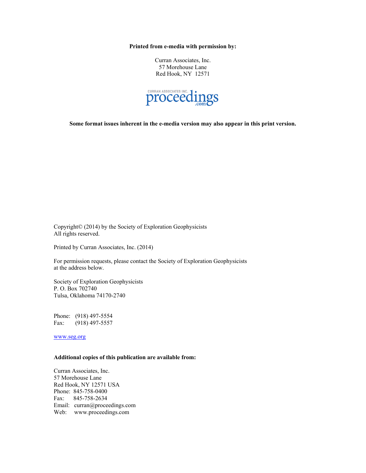**Printed from e-media with permission by:** 

Curran Associates, Inc. 57 Morehouse Lane Red Hook, NY 12571



**Some format issues inherent in the e-media version may also appear in this print version.** 

Copyright© (2014) by the Society of Exploration Geophysicists All rights reserved.

Printed by Curran Associates, Inc. (2014)

For permission requests, please contact the Society of Exploration Geophysicists at the address below.

Society of Exploration Geophysicists P. O. Box 702740 Tulsa, Oklahoma 74170-2740

Phone: (918) 497-5554 Fax: (918) 497-5557

www.seg.org

#### **Additional copies of this publication are available from:**

Curran Associates, Inc. 57 Morehouse Lane Red Hook, NY 12571 USA Phone: 845-758-0400 Fax: 845-758-2634 Email: curran@proceedings.com Web: www.proceedings.com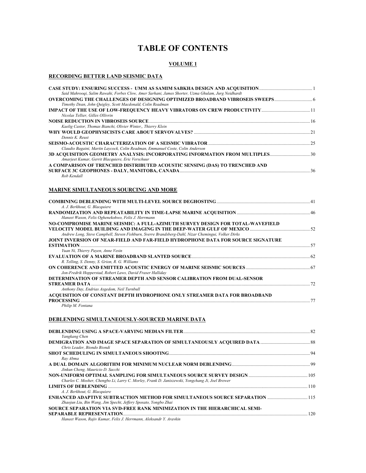## **TABLE OF CONTENTS**

#### **VOLUME 1**

#### **RECORDING BETTER LAND SEISMIC DATA**

| Said Mahroogi, Salim Rawahi, Forbes Clow, Amer Sarhani, James Shorter, Uzma Ghulam, Jurg Neidhardt  |  |
|-----------------------------------------------------------------------------------------------------|--|
|                                                                                                     |  |
| Timothy Dean, John Quigley, Scott Macdonald, Colin Readman                                          |  |
|                                                                                                     |  |
| Nicolas Tellier, Gilles Ollivrin                                                                    |  |
|                                                                                                     |  |
| Kaelig Castor, Thomas Bianchi, Olivier Winter,, Thierry Klein                                       |  |
|                                                                                                     |  |
| Dennis K. Reust                                                                                     |  |
|                                                                                                     |  |
| Claudio Bagaini, Martin Laycock, Colin Readman, Emmanuel Coste, Colin Anderson                      |  |
| 3D ACQUISITION GEOMETRY ANALYSIS: INCORPORATING INFORMATION FROM MULTIPLES30                        |  |
| Amarjeet Kumar, Gerrit Blacquiere, Eric Verschuur                                                   |  |
| A COMPARISON OF TRENCHED DISTRIBUTED ACOUSTIC SENSING (DAS) TO TRENCHED AND                         |  |
|                                                                                                     |  |
| Rob Kendall                                                                                         |  |
|                                                                                                     |  |
| <b>MARINE SIMULTANEOUS SOURCING AND MORE</b>                                                        |  |
|                                                                                                     |  |
|                                                                                                     |  |
| A. J. Berkhout, G. Blacquiere                                                                       |  |
|                                                                                                     |  |
| Haneet Wason, Felix Oghenekohwo, Felix J. Herrmann                                                  |  |
| NO-COMPROMISE MARINE SEISMIC: A FULL-AZIMUTH SURVEY DESIGN FOR TOTAL-WAVEFIELD                      |  |
|                                                                                                     |  |
| Andrew Long, Steve Campbell, Steven Fishburn, Sverre Brandsberg-Dahl, Nizar Chemingui, Volker Dirks |  |
| JOINT INVERSION OF NEAR-FIELD AND FAR-FIELD HYDROPHONE DATA FOR SOURCE SIGNATURE                    |  |
|                                                                                                     |  |
| Yuan Ni, Thierry Payen, Anne Vesin                                                                  |  |
|                                                                                                     |  |
| R. Telling, S. Denny, S. Grion, R. G. Williams                                                      |  |
|                                                                                                     |  |
| Jon-Fredrik Hopperstad, Robert Laws, David Fraser Halliday                                          |  |
| DETERMINATION OF STREAMER DEPTH AND SENSOR CALIBRATION FROM DUAL-SENSOR                             |  |
|                                                                                                     |  |
| Anthony Day, Endrias Asgedom, Neil Turnbull                                                         |  |
| ACQUISITION OF CONSTANT DEPTH HYDROPHONE ONLY STREAMER DATA FOR BROADBAND                           |  |
|                                                                                                     |  |
|                                                                                                     |  |

*Philip M. Fontana* 

#### **DEBLENDING SIMULTANEOUSLY-SOURCED MARINE DATA**

| Yangkang Chen                                                                                                                                         |  |
|-------------------------------------------------------------------------------------------------------------------------------------------------------|--|
| Chris Leader, Biondo Biondi                                                                                                                           |  |
| Ray Abma                                                                                                                                              |  |
| Jinkun Cheng, Mauricio D. Sacchi                                                                                                                      |  |
| Charles C. Mosher, Chengbo Li, Larry C. Morley, Frank D. Janiszewski, Yongchang Ji, Joel Brewer                                                       |  |
| A. J. Berkhout, G. Blacquiere                                                                                                                         |  |
| <b>ENHANCED ADAPTIVE SUBTRACTION METHOD FOR SIMULTANEOUS SOURCE SEPARATION 115</b><br>Zhaojun Liu, Bin Wang, Jim Specht, Jeffery Sposato, Yongbo Zhai |  |
| SOURCE SEPARATION VIA SVD-FREE RANK MINIMIZATION IN THE HIERARCHICAL SEMI-<br>Haneet Wason, Rajiv Kumar, Felix J. Herrmann, Aleksandr Y. Aravkin      |  |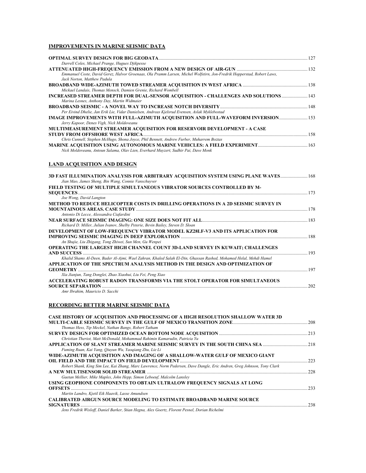#### **IMPROVEMENTS IN MARINE SEISMIC DATA**

| Darrell Coles, Michael Prange, Hugues Djikpesse                                                                                                       |              |
|-------------------------------------------------------------------------------------------------------------------------------------------------------|--------------|
| Emmanuel Coste, David Gerez, Halvor Groenaas, Ola Pramm Larsen, Michel Wolfstirn, Jon-Fredrik Hopperstad, Robert Laws,<br>Jack Norton, Matthew Padula |              |
| Mickael Landais, Thomas Mensch, Damien Grenie, Richard Wombell                                                                                        |              |
| INCREASED STREAMER DEPTH FOR DUAL-SENSOR ACOUISITION - CHALLENGES AND SOLUTIONS 143<br>Marina Lesnes, Anthony Day, Martin Widmaier                    |              |
|                                                                                                                                                       |              |
| Per Eivind Dhelie, Jan Erik Lie, Vidar Danielsen, Andreas Kjelsrud Evensen, Aslak Myklebostad                                                         |              |
| IMAGE IMPROVEMENTS WITH FULL-AZIMUTH ACQUISITION AND FULL-WAVEFORM INVERSION 153<br>Jerry Kapoor, Denes Vigh, Nick Moldoveanu                         |              |
| MULTIMEASUREMENT STREAMER ACQUISITION FOR RESERVOIR DEVELOPMENT - A CASE                                                                              |              |
|                                                                                                                                                       |              |
| Chris Cunnell, Stephen McHugo, Shona Joyce, Phil Bennett, Andrew Furber, Muharrem Boztas                                                              |              |
| Nick Moldoveanu, Antoun Salama, Olav Lien, Everhard Muyzert, Sudhir Pai, Dave Monk                                                                    |              |
|                                                                                                                                                       |              |
| <b>LAND ACQUISITION AND DESIGN</b>                                                                                                                    |              |
| 3D FAST ILLUMINATION ANALYSIS FOR ARBITRARY ACOUISITION SYSTEM USING PLANE WAVES 168<br>Jian Mao, James Sheng, Bin Wang, Connie Vanschuyver           |              |
| FIELD TESTING OF MULTIPLE SIMULTANEOUS VIBRATOR SOURCES CONTROLLED BY M-                                                                              |              |
|                                                                                                                                                       |              |
| Joe Wong, David Langton                                                                                                                               |              |
| METHOD TO REDUCE HELICOPTER COSTS IN DRILLING OPERATIONS IN A 2D SEISMIC SURVEY IN                                                                    |              |
| Antonio Di Lecce, Alessandra Ciafardini                                                                                                               |              |
| Richard D. Miller, Julian Ivanov, Shelby Peterie, Bevin Bailey, Steven D. Sloan                                                                       |              |
|                                                                                                                                                       |              |
| DEVELOPMENT OF LOW-FREOUENCY VIBRATOR MODEL KZ28LF-V3 AND ITS APPLICATION FOR                                                                         |              |
| An Shujie, Liu Zhigang, Tong Zhiwei, Sun Men, Gu Wenpei                                                                                               |              |
| OPERATING THE LARGEST HIGH CHANNEL COUNT 3D-LAND SURVEY IN KUWAIT; CHALLENGES                                                                         |              |
|                                                                                                                                                       |              |
| Khalid Shams Al-Deen, Bader Al-Ajmi, Wael Zahran, Khaled Salah El-Din, Ghassan Rashed, Mohamed Helal, Mehdi Hamel                                     |              |
| APPLICATION OF THE SPECTRUM ANALYSIS METHOD IN THE DESIGN AND OPTIMIZATION OF                                                                         |              |
|                                                                                                                                                       |              |
| Xia Jianjun, Tang Donglei, Zhao Xiaohui, Liu Fei, Peng Xiao                                                                                           |              |
| ACCELERATING ROBUST RADON TRANSFORMS VIA THE STOLT OPERATOR FOR SIMULTANEOUS                                                                          |              |
|                                                                                                                                                       | $\ldots$ 202 |

*Amr Ibrahim, Mauricio D. Sacchi* 

#### **RECORDING BETTER MARINE SEISMIC DATA**

| CASE HISTORY OF ACQUISITION AND PROCESSING OF A HIGH RESOLUTION SHALLOW WATER 3D                                        |      |
|-------------------------------------------------------------------------------------------------------------------------|------|
|                                                                                                                         | -208 |
| Thomas Hess, Tip Meckel, Nathan Bangs, Robert Tatham                                                                    |      |
|                                                                                                                         |      |
| Christian Theriot, Matt McDonald, Mohammad Rahimin Kamarudin, Patricia Yu                                               |      |
|                                                                                                                         |      |
| Fuming Ruan, Kai Yang, Qiuyun Wu, Yaogiang Zhu, Lie Li                                                                  |      |
| WIDE-AZIMUTH ACOUISITION AND IMAGING OF A SHALLOW-WATER GULF OF MEXICO GIANT                                            |      |
|                                                                                                                         | 223  |
| Robert Shank, King Sim Lee, Kai Zhang, Marc Lawrence, Norm Pedersen, Dave Dangle, Eric Andren, Greg Johnson, Tony Clark |      |
|                                                                                                                         | 228  |
| Gaetan Mellier, Mike Maples, John Hepp, Simon Leboeuf, Malcolm Lansley                                                  |      |
| USING GEOPHONE COMPONENTS TO OBTAIN ULTRALOW FREQUENCY SIGNALS AT LONG                                                  |      |
| <b>OFFSETS</b>                                                                                                          | 233  |
| Martin Landro, Kjetil Eik Haavik, Lasse Amundsen                                                                        |      |
| <b>CALIBRATED AIRGUN SOURCE MODELING TO ESTIMATE BROADBAND MARINE SOURCE</b>                                            |      |
| <b>SIGNATURES</b>                                                                                                       | 238  |
| Jens Fredrik Wisloff, Daniel Barker, Stian Hegna, Alex Goertz, Florent Pesnel, Dorian Richelmi                          |      |
|                                                                                                                         |      |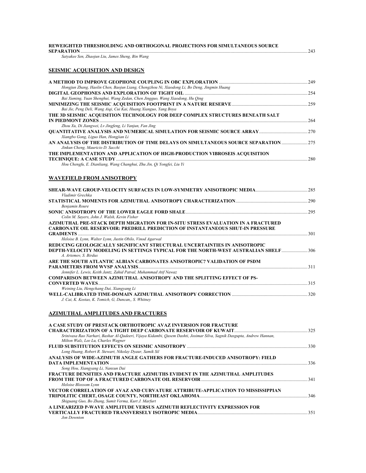| REWEIGHTED THRESHOLDING AND ORTHOGONAL PROJECTIONS FOR SIMULTANEOUS SOURCE                                                                                                                       |  |
|--------------------------------------------------------------------------------------------------------------------------------------------------------------------------------------------------|--|
| Satyakee Sen, Zhaojun Liu, James Sheng, Bin Wang                                                                                                                                                 |  |
| <b>SEISMIC ACQUISITION AND DESIGN</b>                                                                                                                                                            |  |
|                                                                                                                                                                                                  |  |
| Hongjun Zhang, Haolin Chen, Baojun Liang, Chengzhou Ni, Xiaodong Li, Bo Deng, Jingmin Huang                                                                                                      |  |
| Bai Xuming, Yuan Shenghui, Wang Zedan, Chen Jingguo, Wang Xiaodong, Hu Qing                                                                                                                      |  |
| Bai Jie, Peng Deli, Wang Aiqi, Cui Kai, Huang Xianguo, Yang Boya<br>THE 3D SEISMIC ACQUISITION TECHNOLOGY FOR DEEP COMPLEX STRUCTURES BENEATH SALT                                               |  |
| Zhou Xu, Di Jiangwei, Lv Jingfeng, Li Yanjun, Fan Jing                                                                                                                                           |  |
| Xiangbo Gong, Liguo Han, Hongjian Li<br>AN ANALYSIS OF THE DISTRIBUTION OF TIME DELAYS ON SIMULTANEOUS SOURCE SEPARATION 275                                                                     |  |
| Jinkun Cheng, Mauricio D. Sacchi<br>THE IMPLEMENTATION AND APPLICATION OF HIGH-PRODUCTION VIBROSEIS ACOUISITION                                                                                  |  |
| Hou Chengfu, E. Dianliang, Wang Changhui, Zhu Jin, Qi Yongfei, Liu Yi                                                                                                                            |  |
| <b>WAVEFIELD FROM ANISOTROPY</b>                                                                                                                                                                 |  |
|                                                                                                                                                                                                  |  |
| Vladimir Grechka                                                                                                                                                                                 |  |
| <b>Benjamin Roure</b>                                                                                                                                                                            |  |
| Colin M. Sayers, John J. Walsh, Kevin Fisher                                                                                                                                                     |  |
| AZIMUTHAL PRE-STACK DEPTH MIGRATION FOR IN-SITU STRESS EVALUATION IN A FRACTURED<br><b>CARBONATE OIL RESERVOIR: PREDRILL PREDICTION OF INSTANTANEOUS SHUT-IN PRESSURE</b>                        |  |
| Heloise B. Lynn, Walter Lynn, Justin Obilo, Vinod Agarwal                                                                                                                                        |  |
| REDUCING GEOLOGICALLY SIGNIFICANT STRUCTURAL UNCERTAINTIES IN ANISOTROPIC<br><b>DEPTH-VELOCITY MODELING IN SETTINGS TYPICAL FOR THE NORTH-WEST AUSTRALIAN SHELF 306</b><br>A. Artemov, S. Birdus |  |
| ARE THE SOUTH ATLANTIC ALBIAN CARBONATES ANISOTROPIC? VALIDATION OF PSDM                                                                                                                         |  |
| Jennifer L. Lewis, Keith Jantz, Zahid Patval, Muhammad Atif Nawaz<br><b>COMPARISON BETWEEN AZIMUTHAL ANISOTROPY AND THE SPLITTING EFFECT OF PS-</b>                                              |  |
| Weining Liu, Hengchang Dai, Xiangyang Li                                                                                                                                                         |  |
| J. Cai, K. Kostas, K. Tomich, G. Duncan,, S. Whitney                                                                                                                                             |  |
| <b>AZIMUTHAL AMPLITUDES AND FRACTURES</b>                                                                                                                                                        |  |
|                                                                                                                                                                                                  |  |
| A CASE STUDY OF PRESTACK ORTHOTROPIC AVAZ INVERSION FOR FRACTURE<br>Srinivasa Rao Narhari, Bashar Al-Qadeeri, Vijaya Kidambi, Qasem Dashti, Josimar Silva, Sagnik Dasgupta, Andrew Hannan,       |  |
| Milton Walz, Lee Lu, Charles Wagner                                                                                                                                                              |  |
| Long Huang, Robert R. Stewart, Nikolay Dyaur, Samik Sil<br>ANALYSIS OF WIDE-AZIMUTH ANGLE GATHERS FOR FRACTURE-INDUCED ANISOTROPY: FIELD                                                         |  |
| Song Hou, Xiangyang Li, Nanxun Dai                                                                                                                                                               |  |
| FRACTURE DENSITIES AND FRACTURE AZIMUTHS EVIDENT IN THE AZIMUTHAL AMPLITUDES                                                                                                                     |  |
| Heloise Bloxsom Lynn<br>VECTOR CORRELATION OF AVAZ AND CURVATURE ATTRIBUTE-APPLICATION TO MISSISSIPPIAN                                                                                          |  |
| Shiguang Guo, Bo Zhang, Sumit Verma, Kurt J. Marfurt                                                                                                                                             |  |
| A LINEARIZED P-WAVE AMPLITUDE VERSUS AZIMUTH REFLECTIVITY EXPRESSION FOR<br>Jon Downton                                                                                                          |  |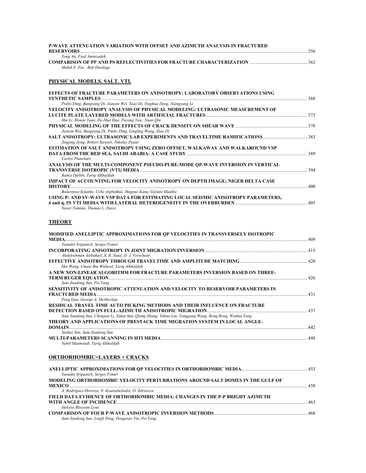| <b>P-WAVE ATTENUATION VARIATION WITH OFFSET AND AZIMUTH ANALYSIS IN FRACTURED</b> |      |
|-----------------------------------------------------------------------------------|------|
|                                                                                   | 356  |
| Yong An, Fred Aminzadeh                                                           |      |
|                                                                                   | 362. |
| Mehdi E. Far, Bob Hardage                                                         |      |

#### **PHYSICAL MODELS. SALT. VTI.**

| EFFECTS OF FRACTURE PARAMETERS ON ANISOTROPY: LABORATORY OBSERVATIONS USING<br><b>SYNTHETIC SAMPLES.</b> | 368 |
|----------------------------------------------------------------------------------------------------------|-----|
| Pinbo Ding, Bangrang Di, Jianxin Wei, Xiao Di, Yinghua Deng, Xiangyang Li                                |     |
| VELOCITY ANISOTROPY ANALYSIS OF PHYSICAL MODELING: ULTRASONIC MEASUREMENT OF                             |     |
|                                                                                                          | 373 |
| Hui Li, Hemin Yuan, De-Hua Han, Fuyong Yan,, Xuan Qin                                                    |     |
|                                                                                                          |     |
| Jianxin Wei, Bangrang Di, Pinbo Ding, Lingling Wang, Xiao Di                                             |     |
|                                                                                                          |     |
| Jingjing Zong, Robert Stewart, Nikolay Dyaur                                                             |     |
| ESTIMATION OF SALT ANISOTROPY USING ZERO OFFSET, WALKAWAY AND WALKAROUND VSP                             |     |
|                                                                                                          |     |
| Carlos Planchart                                                                                         |     |
| ANALYSIS OF THE MULTI-COMPONENT PSEUDO-PURE-MODE OP-WAVE INVERSION IN VERTICAL                           |     |
|                                                                                                          | 394 |
| Ramzi Djebbi, Tariq Alkhalifah                                                                           |     |
| IMPACT OF ACCOUNTING FOR VELOCITY ANISOTROPY ON DEPTH IMAGE; NIGER DELTA CASE                            |     |
| <b>HISTORY</b>                                                                                           | 400 |
| Bolarinwa Solanke, Uche Aigbokhai, Magnus Kanu, Gislain Madiba                                           |     |
| USING P- AND SV-WAVE VSP DATA FOR ESTIMATING LOCAL SEISMIC ANISOTROPY PARAMETERS,                        |     |
|                                                                                                          | 405 |
| Naser Tamimi, Thomas L. Davis                                                                            |     |
|                                                                                                          |     |

## **THEORY**

| MODIFIED ANELLIPTIC APPROXIMATIONS FOR OP VELOCITIES IN TRANSVERSELY ISOTROPIC                         |     |
|--------------------------------------------------------------------------------------------------------|-----|
| <b>MEDIA</b>                                                                                           |     |
| Yanadet Sripanich, Sergey Fomel                                                                        |     |
|                                                                                                        |     |
| Abdulrahman Alshuhail, X. R. Staal, D. J. Verschuur                                                    |     |
| Hui Wang, Umair Bin Waheed, Tariq Alkhalifah                                                           |     |
| A NEW NON-LINEAR ALGORITHM FOR FRACTURE PARAMETERS INVERSION BASED ON THREE-                           |     |
|                                                                                                        |     |
| Sam Zandong Sun, Pei Yang                                                                              |     |
| SENSITIVITY OF ANISOTROPIC ATTENUATION AND VELOCITY TO RESERVOIR PARAMETERS IN                         |     |
| 431                                                                                                    |     |
| Peng Guo, George A. McMechan                                                                           |     |
| RESIDUAL TRAVEL TIME AUTO PICKING METHODS AND THEIR INFLUENCE ON FRACTURE                              |     |
|                                                                                                        |     |
| Sam Zandong Sun, Chenjian Li, Xukai Sun, Qiang Zhang, Yubao Liu, Yonggang Wang, Rong Rong, Wenkui Yang |     |
| THEORY AND APPLICATIONS OF PRESTACK TIME MIGRATION SYSTEM IN LOCAL ANGLE-                              |     |
| <b>DOMAIN</b>                                                                                          | 442 |
| Xuekai Sun, Sam Zandong Sun                                                                            |     |
| Nabil Masmoudi, Tariq Alkhalifah                                                                       | 448 |

**ORTHORHOMBIC=LAYERS + CRACKS**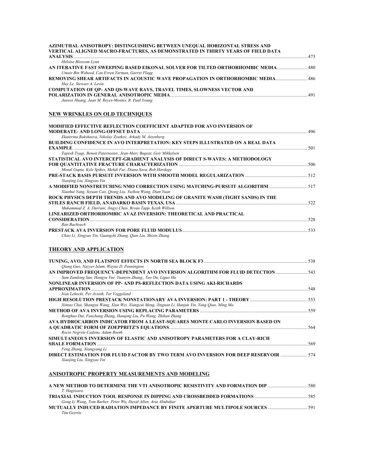| AZIMUTHAL ANISOTROPY: DISTINGUISHING BETWEEN UNEQUAL HORIZONTAL STRESS AND<br>VERTICAL ALIGNED MACRO-FRACTURES, AS DEMONSTRATED IN THIRTY YEARS OF FIELD DATA                                |  |
|----------------------------------------------------------------------------------------------------------------------------------------------------------------------------------------------|--|
| Heloise Bloxsom Lynn<br>AN ITERATIVE FAST SWEEPING BASED EIKONAL SOLVER FOR TILTED ORTHORHOMBIC MEDIA480<br>Umair Bin Waheed, Can Evren Yarman, Garret Flagg                                 |  |
| Huy Le, Stewart A. Levin                                                                                                                                                                     |  |
| <b>COMPUTATION OF OP- AND OS-WAVE RAYS, TRAVEL TIMES, SLOWNESS VECTOR AND</b><br>Junwei Huang, Juan M. Reves-Montes, R. Paul Young                                                           |  |
| NEW WRINKLES ON OLD TECHNIQUES                                                                                                                                                               |  |
| MODIFIED EFFECTIVE REFLECTION COEFFICIENT ADAPTED FOR AVO INVERSION OF                                                                                                                       |  |
| Ekaterina Rakshaeva, Nikolay Zyatkov, Arkady M. Aizenberg                                                                                                                                    |  |
| BUILDING CONFIDENCE IN AVO INTERPRETATION: KEY STEPS ILLUSTRATED ON A REAL DATA                                                                                                              |  |
| Tapesh Tyagi, Benoit Paternoster, Jean-Marc Bugeat, Geir Mikkelsen                                                                                                                           |  |
| STATISTICAL AVO INTERCEPT-GRADIENT ANALYSIS OF DIRECT S-WAVES: A METHODOLOGY<br>Menal Gupta, Kyle Spikes, Mehdi Far, Diana Sava, Bob Hardage                                                 |  |
| Xiaojing Liu, Xingyao Yin                                                                                                                                                                    |  |
| A MODIFIED NONSTRETCHING NMO CORRECTION USING MATCHING-PURSUIT ALGORITHM517<br>Xiaohui Yang, Siyuan Cao, Qiong Liu, Yuzhou Wang, Dian Yuan                                                   |  |
| ROCK PHYSICS DEPTH TRENDS AND AVO MODELING OF GRANITE WASH (TIGHT SANDS) IN THE                                                                                                              |  |
| Muhammad Z. A. Durrani, Jingyi Chen, Bryan Tapp, Keith Willson                                                                                                                               |  |
| LINEARIZED ORTHORHOMBIC AVAZ INVERSION: THEORETICAL AND PRACTICAL<br>Ran Bachrach                                                                                                            |  |
| Chao Li, Xingyao Yin, Guangzhi Zhang, Qian Liu, Shixin Zhang                                                                                                                                 |  |
| THEORY AND APPLICATION                                                                                                                                                                       |  |
|                                                                                                                                                                                              |  |
| Qiang Guo, Nayyer Islam, Wayne D. Pennington<br>AN IMPROVED FREQUENCY-DEPENDENT AVO INVERSION ALGORITHM FOR FLUID DETECTION<br>Sam Zandong Sun, Hangyu Yue, Yuanyin Zhang,, Tao Du, Liguo Hu |  |
| NONLINEAR INVERSION OF PP- AND PS-REFLECTION DATA USING AKI-RICHARDS                                                                                                                         |  |
| Ivan Lehocki, Per Avseth, Tor Veggeland                                                                                                                                                      |  |
|                                                                                                                                                                                              |  |
| Xintao Chai, Shangxu Wang, Xian Wei, Xiangcui Meng, Jingnan Li, Hanjun Yin, Yang Qiao, Ming Ma<br>Ronghuo Dai, Fanchang Zhang, Hanqing Liu, Pu Wang, Zhihan Zhang                            |  |
| AVA HYDROCARBON INDICATOR FROM A LEAST-SQUARES MONTE CARLO INVERSION BASED ON                                                                                                                |  |
| Rocio Negrete Cadena, Adam Booth<br>SIMULTANEOUS INVERSION OF ELASTIC AND ANISOTROPY PARAMETERS FOR A CLAY-RICH                                                                              |  |
|                                                                                                                                                                                              |  |
| Feng Zhang, Xiangyang Li<br>DIRECT ESTIMATION FOR FLUID FACTOR BY TWO TERM AVO INVERSION FOR DEEP RESERVOIR 574<br>Xiaojing Liu, Xingyao Yin                                                 |  |
| ANISOTROPIC PROPERTY MEASUREMENTS AND MODELING                                                                                                                                               |  |

| A NEW METHOD TO DETERMINE THE VTI ANISOTROPIC RESISTIVITY AND FORMATION DIP |      |
|-----------------------------------------------------------------------------|------|
| T. Hagiwara                                                                 |      |
|                                                                             | -585 |
| Gong Li Wang, Tom Barber, Peter Wu, David Allen, Aria Abubakar              |      |
|                                                                             |      |
| Tim Geerits                                                                 |      |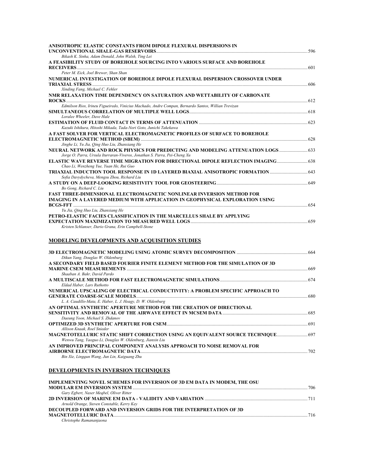| ANISOTROPIC ELASTIC CONSTANTS FROM DIPOLE FLEXURAL DISPERSIONS IN                                                                |  |
|----------------------------------------------------------------------------------------------------------------------------------|--|
|                                                                                                                                  |  |
| Bikash K. Sinha, Adam Donald, John Walsh, Ting Lei<br>A FEASIBILITY STUDY OF BOREHOLE SOURCING INTO VARIOUS SURFACE AND BOREHOLE |  |
|                                                                                                                                  |  |
| Peter M. Eick, Joel Brewer, Shan Shan                                                                                            |  |
| NUMERICAL INVESTIGATION OF BOREHOLE DIPOLE FLEXURAL DISPERSION CROSSOVER UNDER                                                   |  |
|                                                                                                                                  |  |
| Xinding Fang, Michael C. Fehler                                                                                                  |  |
| NMR RELAXATION TIME DEPENDENCY ON SATURATION AND WETTABILITY OF CARBONATE                                                        |  |
|                                                                                                                                  |  |
| Edmilson Rios, Irineu Figueiredo, Vinicius Machado, Andre Compan, Bernardo Santos, Willian Trevizan                              |  |
|                                                                                                                                  |  |
| Loralee Wheeler, Dave Hale                                                                                                       |  |
|                                                                                                                                  |  |
| Kazuki Ishikura, Hitoshi Mikada, Tada-Nori Goto, Junichi Takekawa                                                                |  |
| A FAST SOLVER FOR VERTICAL ELECTROMAGNETIC PROFILES OF SURFACE TO BOREHOLE                                                       |  |
|                                                                                                                                  |  |
| Jinghe Li, Yu Jia, Qing Huo Liu, Zhanxiang He                                                                                    |  |
|                                                                                                                                  |  |
| Jorge O. Parra, Ursula Iturraran-Viveros, Jonathan S. Parra, Pei-Cheng Xu                                                        |  |
|                                                                                                                                  |  |
| Chao Li, Wenzheng Yue, Yuan He, Rui Guo                                                                                          |  |
|                                                                                                                                  |  |
| Sofia Davydycheva, Mengsu Zhou, Richard Liu                                                                                      |  |
|                                                                                                                                  |  |
| Bo Gong, Richard C. Liu                                                                                                          |  |
| FAST THREE-DIMENSIONAL ELECTROMAGNETIC NONLINEAR INVERSION METHOD FOR                                                            |  |
| IMAGING IN A LAYERED MEDIUM WITH APPLICATION IN GEOPHYSICAL EXPLORATION USING                                                    |  |
|                                                                                                                                  |  |
| Yu Jia, Qing Huo Liu, Zhanxiang He                                                                                               |  |
| PETRO-ELASTIC FACIES CLASSIFICATION IN THE MARCELLUS SHALE BY APPLYING                                                           |  |
|                                                                                                                                  |  |
| Kristen Schlanser, Dario Grana, Erin Campbell-Stone                                                                              |  |
|                                                                                                                                  |  |
| MODELING DEVELOPMENTS AND ACQUISITION STUDIES                                                                                    |  |
|                                                                                                                                  |  |
|                                                                                                                                  |  |
| Dikun Yang, Douglas W. Oldenburg                                                                                                 |  |
| A SECONDARY FIELD BASED FOURIER FINITE ELEMENT METHOD FOR THE SIMULATION OF 3D                                                   |  |
|                                                                                                                                  |  |
| Shaaban A. Bakr, David Pardo                                                                                                     |  |
|                                                                                                                                  |  |
| Eldad Haber, Lars Ruthotto                                                                                                       |  |
| NUMERICAL UPSCALING OF ELECTRICAL CONDUCTIVITY: A PROBLEM SPECIFIC APPROACH TO                                                   |  |
|                                                                                                                                  |  |
| L. A. Caudillo-Mata, E. Haber, L. J. Heagy, D. W. Oldenburg                                                                      |  |
| AN OPTIMAL SYNTHETIC APERTURE METHOD FOR THE CREATION OF DIRECTIONAL                                                             |  |
|                                                                                                                                  |  |
| Daeung Yoon, Michael S. Zhdanov                                                                                                  |  |
|                                                                                                                                  |  |
| Allison Knaak, Roel Snieder                                                                                                      |  |
| 697. MAGNETOTELLURIC STATIC SHIFT CORRECTION USING AN EQUIVALENT SOURCE TECHNIQUE                                                |  |
| Wenwu Tang, Yaoguo Li, Douglas W. Oldenburg, Jianxin Liu                                                                         |  |
| AN IMPROVED PRINCIPAL COMPONENT ANALYSIS APPROACH TO NOISE REMOVAL FOR                                                           |  |
|                                                                                                                                  |  |
| Bin Xie, Lingqun Wang, Jun Lin, Kaiguang Zhu                                                                                     |  |
|                                                                                                                                  |  |

## **DEVELOPMENTS IN INVERSION TECHNIQUES**

| <b>IMPLEMENTING NOVEL SCHEMES FOR INVERSION OF 3D EM DATA IN MODEM, THE OSU</b> |     |
|---------------------------------------------------------------------------------|-----|
|                                                                                 |     |
| Gary Egbert, Naser Megbel, Oliver Ritter                                        |     |
|                                                                                 |     |
| Arnold Orange, Steven Constable, Kerry Key                                      |     |
| DECOUPLED FORWARD AND INVERSION GRIDS FOR THE INTERPRETATION OF 3D              |     |
|                                                                                 | 716 |
| Christophe Ramananjaona                                                         |     |
|                                                                                 |     |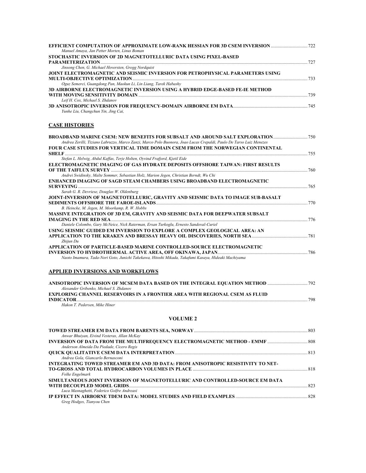| EFFICIENT COMPUTATION OF APPROXIMATE LOW-RANK HESSIAN FOR 3D CSEM INVERSION<br>Manuel Amaya, Jan Petter Morten, Linus Boman |      |
|-----------------------------------------------------------------------------------------------------------------------------|------|
| STOCHASTIC INVERSION OF 2D MAGNETOTELLURIC DATA USING PIXEL-BASED                                                           |      |
|                                                                                                                             |      |
| Jinsong Chen, G. Michael Hoversten, Gregg Nordquist                                                                         |      |
| JOINT ELECTROMAGNETIC AND SEISMIC INVERSION FOR PETROPHYSICAL PARAMETERS USING                                              |      |
|                                                                                                                             |      |
| Oguz Semerci, Guangdong Pan, Maokun Li, Lin Liang, Tarek Habashy                                                            |      |
| 3D AIRBORNE ELECTROMAGNETIC INVERSION USING A HYBRID EDGE-BASED FE-IE METHOD                                                |      |
| $\sim$ 739                                                                                                                  |      |
| Leif H. Cox, Michael S. Zhdanov                                                                                             |      |
|                                                                                                                             |      |
| Yunhe Liu, Changchun Yin, Jing Cai,                                                                                         |      |
| <b>CASE HISTORIES</b>                                                                                                       |      |
| BROADBAND MARINE CSEM: NEW BENEFITS FOR SUBSALT AND AROUND SALT EXPLORATION                                                 |      |
| Andrea Zerilli, Tiziano Labruzzo, Marco Zanzi, Marco Polo Buonora, Joao Lucas Crepaldi, Paulo De Tarso Luiz Menezes         |      |
| FOUR CASE STUDIES FOR VERTICAL TIME DOMAIN CSEM FROM THE NORWEGIAN CONTINENTAL                                              |      |
|                                                                                                                             |      |
| Stefan L. Helwig, Abdul Kaffas, Terje Holten, Oyvind Frafjord, Kjetil Eide                                                  |      |
| ELECTROMAGNETIC IMAGING OF GAS HYDRATE DEPOSITS OFFSHORE TAIWAN: FIRST RESULTS                                              |      |
| $\sim$ 760                                                                                                                  |      |
| Andrei Swidinsky, Malte Sommer, Sebastian Holz, Marion Jegen, Christian Berndt, Wu Chi                                      |      |
| ENHANCED IMAGING OF SAGD STEAM CHAMBERS USING BROADBAND ELECTROMAGNETIC                                                     |      |
| SURVEYING <b>SURVEYING</b>                                                                                                  | .765 |
| Sarah G. R. Devriese, Douglas W. Oldenburg                                                                                  |      |
| JOINT-INVERSION OF MAGNETOTELLURIC, GRAVITY AND SEISMIC DATA TO IMAGE SUB-BASALT                                            |      |
|                                                                                                                             |      |
| B. Heincke, M. Jegen, M. Moorkamp, R. W. Hobbs                                                                              |      |
| MASSIVE INTEGRATION OF 3D EM, GRAVITY AND SEISMIC DATA FOR DEEPWATER SUBSALT<br>$\sim$ 776                                  |      |
| Daniele Colombo, Gary McNeice, Nick Raterman, Ersan Turkoglu, Ernesto Sandoval-Curiel                                       |      |
| USING SEISMIC GUIDED EM INVERSION TO EXPLORE A COMPLEX GEOLOGICAL AREA: AN                                                  |      |
|                                                                                                                             |      |
| Zhijun Du                                                                                                                   |      |
| APPLICATION OF PARTICLE-BASED MARINE CONTROLLED-SOURCE ELECTROMAGNETIC                                                      |      |
|                                                                                                                             |      |
|                                                                                                                             |      |

*Naoto Imamura, Tada-Nori Goto, Junichi Takekawa, Hitoshi Mikada, Takafumi Kasaya, Hideaki Machiyama* 

## **APPLIED INVERSIONS AND WORKFLOWS**

| Alexander Gribenko, Michael S. Zhdanov                                             |     |
|------------------------------------------------------------------------------------|-----|
| <b>EXPLORING CHANNEL RESERVOIRS IN A FRONTIER AREA WITH REGIONAL CSEM AS FLUID</b> |     |
| <b>INDICATOR</b>                                                                   | 798 |
| Hakon T. Pedersen, Mike Hiner                                                      |     |

#### **VOLUME 2**

| Anwar Bhuiyan, Eivind Vesteras, Allan McKay                                     |     |
|---------------------------------------------------------------------------------|-----|
|                                                                                 |     |
| Anderson Almeida Da Piedade, Cicero Regis                                       |     |
|                                                                                 |     |
| Andrea Gola, Giancarlo Bernasconi                                               |     |
| INTEGRATING TOWED STREAMER EM AND 3D DATA: FROM ANISOTROPIC RESISTIVITY TO NET- |     |
|                                                                                 |     |
| <b>Folke Engelmark</b>                                                          |     |
| SIMULTANEOUS JOINT INVERSION OF MAGNETOTELLURIC AND CONTROLLED-SOURCE EM DATA   |     |
|                                                                                 | 823 |
| Luca Masnaghetti, Federico Golfre Andreasi                                      |     |
|                                                                                 |     |
| Greg Hodges, Tianyou Chen                                                       |     |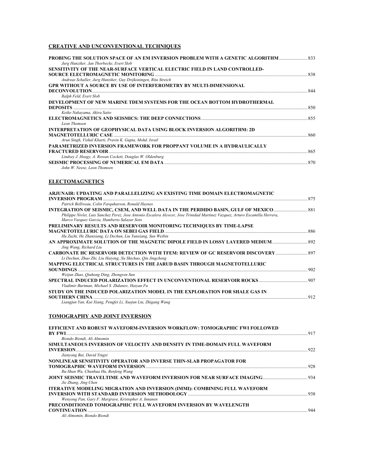#### **CREATIVE AND UNCONVENTIONAL TECHNIQUES**

| <b>PROBING THE SOLUTION SPACE OF AN EM INVERSION PROBLEM WITH A GENETIC ALGORITHM  833</b><br>Jurg Hunziker, Jan Thorbecke, Evert Slob |  |
|----------------------------------------------------------------------------------------------------------------------------------------|--|
| SENSITIVITY OF THE NEAR-SURFACE VERTICAL ELECTRIC FIELD IN LAND CONTROLLED-                                                            |  |
|                                                                                                                                        |  |
| Andreas Schaller, Jurg Hunziker, Guy Drijkoningen, Rita Streich                                                                        |  |
| <b>GPR WITHOUT A SOURCE BY USE OF INTERFEROMETRY BY MULTI-DIMENSIONAL</b>                                                              |  |
|                                                                                                                                        |  |
| Ralph Feld, Evert Slob                                                                                                                 |  |
| DEVELOPMENT OF NEW MARINE TDEM SYSTEMS FOR THE OCEAN BOTTOM HYDROTHERMAL                                                               |  |
| <b>DEPOSITS</b>                                                                                                                        |  |
| Keiko Nakayama, Akira Saito                                                                                                            |  |
|                                                                                                                                        |  |
| Leon Thomsen                                                                                                                           |  |
| <b>INTERPRETATION OF GEOPHYSICAL DATA USING BLOCK INVERSION ALGORITHM: 2D</b>                                                          |  |
|                                                                                                                                        |  |
| Arun Singh, Vishal Kharti, Pravin K. Gupta, Mohd. Israil                                                                               |  |
| <b>PARAMETRIZED INVERSION FRAMEWORK FOR PROPPANT VOLUME IN A HYDRAULICALLY</b>                                                         |  |
|                                                                                                                                        |  |
| Lindsey J. Heagy, A. Rowan Cockett, Douglas W. Oldenburg                                                                               |  |
|                                                                                                                                        |  |
| John W. Neese, Leon Thomsen                                                                                                            |  |

#### **ELECTOMAGNETICS**

| ARJUNAIR: UPDATING AND PARALLELIZING AN EXISTING TIME DOMAIN ELECTROMAGNETIC                                                                                                                                                                                          | 875 |
|-----------------------------------------------------------------------------------------------------------------------------------------------------------------------------------------------------------------------------------------------------------------------|-----|
| Patrick Belliveau, Colin Farguharson, Ronald Haynes                                                                                                                                                                                                                   |     |
| 1881 INTEGRATION OF SEISMIC, CSEM, AND WELL DATA IN THE PERDIDO BASIN, GULF OF MEXICO<br>Philippe Nivlet, Luis Sanchez Perez, Jose Antonio Escalera Alcocer, Jose Trinidad Martinez Vazquez, Arturo Escamilla Herrera,<br>Marco Vazquez Garcia, Humberto Salazar Soto |     |
| PRELIMINARY RESULTS AND RESERVOIR MONITORING TECHNIQUES BY TIME-LAPSE                                                                                                                                                                                                 |     |
| Hu Zuzhi, He Zhanxiang, Li Dechun, Liu Yunxiang, Sun Weibin                                                                                                                                                                                                           |     |
| AN APPROXIMATE SOLUTION OF THE MAGNETIC DIPOLE FIELD IN LOSSY LAYERED MEDIUM<br>Jing Wang, Richard Liu                                                                                                                                                                |     |
| <b>CARBONATE HC RESERVOIR DETECTION WITH TFEM: REVIEW OF GC RESERVOIR DISCOVERY </b> 897<br>Li Dechun, Zhao Zhi, Liu Haiving, Xu Shichao, Qin Jingcheng                                                                                                               |     |
| MAPPING ELECTRICAL STRUCTURES IN THE JARUD BASIN THROUGH MAGNETOTELLURIC                                                                                                                                                                                              |     |
| <b>SOUNDINGS</b><br>Weijun Zhao, Qiuhong Ding, Zhongren Sun                                                                                                                                                                                                           | 902 |
| Vladimir Burtman, Michael S. Zhdanov, Haiyan Fu                                                                                                                                                                                                                       |     |
| STUDY ON THE INDUCED POLARIZATION MODEL IN THE EXPLORATION FOR SHALE GAS IN<br><b>SOUTHERN CHINA</b>                                                                                                                                                                  | 912 |
|                                                                                                                                                                                                                                                                       |     |

*Liangjun Yan, Kui Xiang, Pengfei Li, Xuejun Liu, Zhigang Wang* 

#### **TOMOGRAPHY AND JOINT INVERSION**

| EFFICIENT AND ROBUST WAVEFORM-INVERSION WORKFLOW: TOMOGRAPHIC FWI FOLLOWED        |      |
|-----------------------------------------------------------------------------------|------|
| $BY$ FWI                                                                          |      |
| Biondo Biondi, Ali Almomin                                                        |      |
| SIMULTANEOUS INVERSION OF VELOCITY AND DENSITY IN TIME-DOMAIN FULL WAVEFORM       |      |
| <b>INVERSION</b>                                                                  | 922  |
| Jianyong Bai, David Yingst                                                        |      |
| NONLINEAR SENSITIVITY OPERATOR AND INVERSE THIN-SLAB PROPAGATOR FOR               |      |
|                                                                                   | 928  |
| Ru-Shan Wu, Chunhua Hu, Benfeng Wang                                              |      |
|                                                                                   |      |
| Jie Zhang, Jing Chen                                                              |      |
| <b>ITERATIVE MODELING MIGRATION AND INVERSION (IMMI): COMBINING FULL WAVEFORM</b> |      |
|                                                                                   | -938 |
| Wenvong Pan, Gary F. Margrave, Kristopher A. Innanen                              |      |
| PRECONDITIONED TOMOGRAPHIC FULL WAVEFORM INVERSION BY WAVELENGTH                  |      |
| <b>CONTINUATION</b>                                                               | 944  |
| Ali Almomin, Biondo Biondi                                                        |      |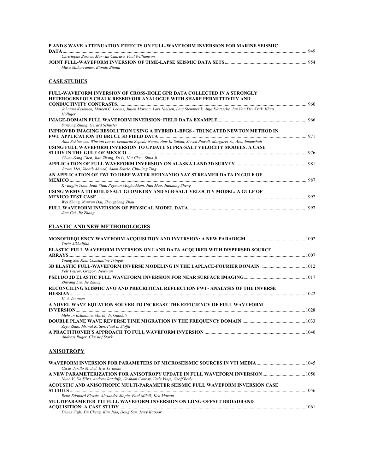| P AND S WAVE ATTENUATION EFFECTS ON FULL-WAVEFORM INVERSION FOR MARINE SEISMIC                                                      |     |
|-------------------------------------------------------------------------------------------------------------------------------------|-----|
| <b>DATA</b><br>Christophe Barnes, Marwan Charara, Paul Williamson                                                                   |     |
| Musa Maharramov. Biondo Biondi                                                                                                      |     |
| <b>CASE STUDIES</b>                                                                                                                 |     |
| FULL-WAVEFORM INVERSION OF CROSS-HOLE GPR DATA COLLECTED IN A STRONGLY                                                              |     |
| HETEROGENEOUS CHALK RESERVOIR ANALOGUE WITH SHARP PERMITTIVITY AND                                                                  |     |
|                                                                                                                                     | 960 |
| Johanna Keskinen, Majken C. Looms, Julien Moreau, Lars Nielsen, Lars Stemmerik, Anja Klotzsche, Jan Van Der Kruk, Klaus<br>Holliger |     |
|                                                                                                                                     | 966 |
| Sanzong Zhang, Gerard Schuster                                                                                                      |     |
| IMPROVED IMAGING RESOLUTION USING A HYBRID L-BFGS - TRUNCATED NEWTON METHOD IN                                                      |     |
|                                                                                                                                     | 971 |
| Alan Schiemenz, Winston Lewis, Leonardo Zepeda-Nunez, Amr El-Sabaa, Steven Powell, Margaret Yu, Azza Imamshah                       |     |
| USING FULL WAVEFORM INVERSION TO UPDATE SUPRA-SALT VELOCITY MODELS: A CASE                                                          |     |
|                                                                                                                                     | 976 |
| Chuen-Song Chen, Jian Zhang, Xu Li, Hui Chen, Shuo Ji                                                                               |     |
| 981 ـ 981 ـ 981 APPLICATION OF FULL WAVEFORM INVERSION ON ALASKA LAND 3D SURVEY                                                     |     |
| Jiawei Mei, Shoaib Ahmed, Adam Searle, Chu-Ong Ting                                                                                 |     |
| AN APPLICATION OF FWI TO DEEP WATER HERNANDO NAZ STREAMER DATA IN GULF OF                                                           |     |
|                                                                                                                                     | 987 |
| Kwangjin Yoon, Ioan Vlad, Peyman Moghaddam, Jian Mao, Jianming Sheng                                                                |     |
| USING WEMVA TO BUILD SALT GEOMETRY AND SUB-SALT VELOCITY MODEL: A GULF OF                                                           |     |
| <b>MEXICO TEST CASE</b>                                                                                                             | 992 |
| Wei Zhang, Nanxun Dai, Zhengzheng Zhou                                                                                              |     |
|                                                                                                                                     | 997 |

#### *Jian Cai, Jie Zhang*

#### **ELASTIC AND NEW METHODOLOGIES**

| Tarig Alkhalifah                                                                 |      |
|----------------------------------------------------------------------------------|------|
| ELASTIC FULL WAVEFORM INVERSION ON LAND DATA ACOUIRED WITH DISPERSED SOURCE      |      |
| <b>ARRAYS</b>                                                                    | 1007 |
| Young Seo Kim, Constantine Tsingas                                               |      |
| Petr Petrov, Gregory Newman                                                      |      |
|                                                                                  |      |
| Zhivang Liu, Jie Zhang                                                           |      |
| RECONCILING SEISMIC AVO AND PRECRITICAL REFLECTION FWI - ANALYSIS OF THE INVERSE |      |
| <b>HESSIAN</b>                                                                   |      |
| K. A. Innanen                                                                    |      |
| A NOVEL WAVE EQUATION SOLVER TO INCREASE THE EFFICIENCY OF FULL WAVEFORM         |      |
| <b>INVERSION</b>                                                                 | 1028 |
| Mehran Eslaminia, Murthy N. Guddati                                              |      |
|                                                                                  |      |
| Zevu Zhao, Mrinal K. Sen, Paul L. Stoffa                                         |      |
|                                                                                  |      |
| Andreas Ruger, Christof Stork                                                    |      |

## **ANISOTROPY**

| Oscar Jarillo Michel, Ilya Tsvankin                                           |  |
|-------------------------------------------------------------------------------|--|
|                                                                               |  |
| Nuno V. Da Silva, Andrew Ratcliffe, Graham Conroy, Vetle Vinje, Geoff Body    |  |
| ACOUSTIC AND ANISOTROPIC MULTI-PARAMETER SEISMIC FULL WAVEFORM INVERSION CASE |  |
|                                                                               |  |
| Rene-Edouard Plessix, Alexandre Stopin, Paul Milcik, Ken Matson               |  |
| MULTIPARAMETER TTI FULL WAVEFORM INVERSION ON LONG-OFFSET BROADBAND           |  |
|                                                                               |  |
| Denes Vigh, Xin Cheng, Kun Jiao, Dong Sun, Jerry Kapoor                       |  |
|                                                                               |  |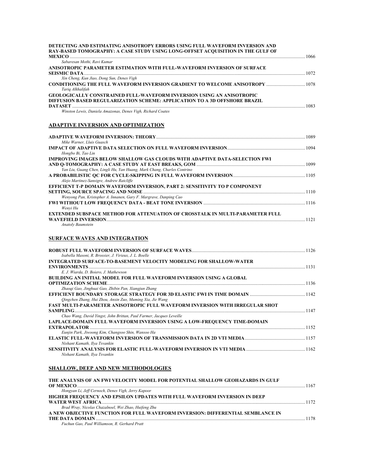| DETECTING AND ESTIMATING ANISOTROPY ERRORS USING FULL WAVEFORM INVERSION AND         |  |
|--------------------------------------------------------------------------------------|--|
| RAY-BASED TOMOGRAPHY: A CASE STUDY USING LONG-OFFSET ACQUISITION IN THE GULF OF      |  |
| 1066                                                                                 |  |
| Sabaresan Mothi, Ravi Kumar                                                          |  |
| ANISOTROPIC PARAMETER ESTIMATION WITH FULL-WAVEFORM INVERSION OF SURFACE             |  |
|                                                                                      |  |
| Xin Cheng, Kun Jiao, Dong Sun, Denes Vigh                                            |  |
| Tariq Alkhalifah                                                                     |  |
| <b>GEOLOGICALLY CONSTRAINED FULL-WAVEFORM INVERSION USING AN ANISOTROPIC</b>         |  |
| DIFFUSION BASED REGULARIZATION SCHEME: APPLICATION TO A 3D OFFSHORE BRAZIL           |  |
|                                                                                      |  |
| Winston Lewis, Daniela Amazonas, Denes Vigh, Richard Coates                          |  |
|                                                                                      |  |
| <b>ADAPTIVE INVERSION AND OPTIMIZATION</b>                                           |  |
|                                                                                      |  |
|                                                                                      |  |
| Mike Warner, Lluis Guasch                                                            |  |
|                                                                                      |  |
| Hongbo Bi, Tao Lin                                                                   |  |
| <b>IMPROVING IMAGES BELOW SHALLOW GAS CLOUDS WITH ADAPTIVE DATA-SELECTION FWI</b>    |  |
|                                                                                      |  |
| Yan Liu, Guang Chen, Lingli Hu, Yan Huang, Mark Chang, Charles Contrino              |  |
| Alejo Martinez-Sansigre, Andrew Ratcliffe                                            |  |
| EFFICIENT T-P DOMAIN WAVEFORM INVERSION, PART 2: SENSITIVITY TO P COMPONENT          |  |
|                                                                                      |  |
| Wenyong Pan, Kristopher A. Innanen, Gary F. Margrave, Danping Cao                    |  |
|                                                                                      |  |
| Wenvi Hu                                                                             |  |
| <b>EXTENDED SUBSPACE METHOD FOR ATTENUATION OF CROSSTALK IN MULTI-PARAMETER FULL</b> |  |
| WAVEFIELD INVERSION                                                                  |  |
| <b>Anatoly Baumstein</b>                                                             |  |
|                                                                                      |  |

#### **SURFACE WAVES AND INTEGRATION**

| Isabella Masoni, R. Brossier, J. Virieux, J. L. Boelle                              |  |
|-------------------------------------------------------------------------------------|--|
| <b>INTEGRATED SURFACE-TO-BASEMENT VELOCITY MODELING FOR SHALLOW-WATER</b>           |  |
|                                                                                     |  |
| E. J. Wiarda. D. Boiero. J. Mathewson                                               |  |
| <b>BUILDING AN INITIAL MODEL FOR FULL WAVEFORM INVERSION USING A GLOBAL</b>         |  |
|                                                                                     |  |
| Zhaoqi Gao, Jinghuai Gao, Zhibin Pan, Xiangjun Zhang                                |  |
|                                                                                     |  |
| Oingchen Zhang, Hui Zhou, Anxin Zuo, Muming Xia, Jie Wang                           |  |
| <b>FAST MULTI-PARAMETER ANISOTROPIC FULL WAVEFORM INVERSION WITH IRREGULAR SHOT</b> |  |
|                                                                                     |  |
| Chao Wang, David Yingst, John Brittan, Paul Farmer, Jacques Leveille                |  |
| LAPLACE-DOMAIN FULL WAVEFORM INVERSION USING A LOW-FREQUENCY TIME-DOMAIN            |  |
|                                                                                     |  |
| Eunjin Park, Jiwoong Kim, Changsoo Shin, Wansoo Ha                                  |  |
|                                                                                     |  |
| Nishant Kamath, Ilya Tsvankin                                                       |  |
|                                                                                     |  |
| Nishant Kamath. Ilva Tsvankin                                                       |  |

### **SHALLOW, DEEP AND NEW METHODOLOGIES**

| THE ANALYSIS OF AN FWI VELOCITY MODEL FOR POTENTIAL SHALLOW GEOHAZARDS IN GULF  |  |
|---------------------------------------------------------------------------------|--|
|                                                                                 |  |
| Hongyan Li, Jeff Cernoch, Denes Vigh, Jerry Kapoor                              |  |
| HIGHER FREOUENCY AND EPSILON UPDATES WITH FULL WAVEFORM INVERSION IN DEEP       |  |
| <b>WATER WEST AFRICA</b> [172]                                                  |  |
| Brad Wray, Nicolas Chazalnoel, Wei Zhao, Huifeng Zhu                            |  |
| A NEW OBJECTIVE FUNCTION FOR FULL WAVEFORM INVERSION: DIFFERENTIAL SEMBLANCE IN |  |
|                                                                                 |  |
| Fuchun Gao, Paul Williamson, R. Gerhard Pratt                                   |  |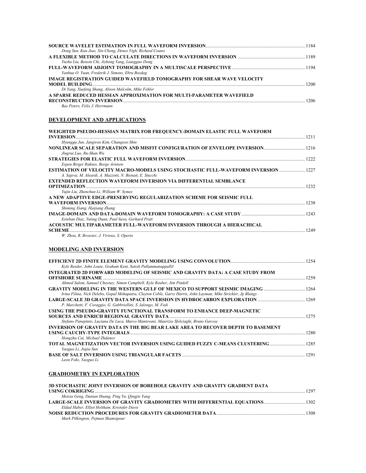| Dong Sun, Kun Jiao, Xin Cheng, Denes Vigh, Richard Coates                                                                                                                                                                                                                                                   |  |
|-------------------------------------------------------------------------------------------------------------------------------------------------------------------------------------------------------------------------------------------------------------------------------------------------------------|--|
|                                                                                                                                                                                                                                                                                                             |  |
| Yuzhu Liu, Benxin Chi, Jizhong Yang, Liangguo Dong                                                                                                                                                                                                                                                          |  |
|                                                                                                                                                                                                                                                                                                             |  |
| Yanhua O. Yuan, Frederik J. Simons, Ebru Bozdag                                                                                                                                                                                                                                                             |  |
| <b>IMAGE REGISTRATION GUIDED WAVEFIELD TOMOGRAPHY FOR SHEAR WAVE VELOCITY</b>                                                                                                                                                                                                                               |  |
|                                                                                                                                                                                                                                                                                                             |  |
| Di Yang, Xuefeng Shang, Alison Malcolm, Mike Fehler                                                                                                                                                                                                                                                         |  |
| A SPARSE REDUCED HESSIAN APPROXIMATION FOR MULTI-PARAMETER WAVEFIELD                                                                                                                                                                                                                                        |  |
|                                                                                                                                                                                                                                                                                                             |  |
| $\mathbf{a}$ , $\mathbf{b}$ , $\mathbf{c}$ , $\mathbf{c}$ , $\mathbf{c}$ , $\mathbf{c}$ , $\mathbf{c}$ , $\mathbf{c}$ , $\mathbf{c}$ , $\mathbf{c}$ , $\mathbf{c}$ , $\mathbf{c}$ , $\mathbf{c}$ , $\mathbf{c}$ , $\mathbf{c}$ , $\mathbf{c}$ , $\mathbf{c}$ , $\mathbf{c}$ , $\mathbf{c}$ , $\mathbf{c}$ , |  |

*Bas Peters, Felix J. Herrmann* 

## **DEVELOPMENT AND APPLICATIONS**

| WEIGHTED PSEUDO-HESSIAN MATRIX FOR FREQUENCY-DOMAIN ELASTIC FULL WAVEFORM                 |      |
|-------------------------------------------------------------------------------------------|------|
| <b>INVERSION</b>                                                                          | 1211 |
| Hyunggu Jun, Jangwoo Kim, Changsoo Shin                                                   |      |
| Jingrui Luo, Ru-Shan Wu                                                                   |      |
|                                                                                           |      |
| Espen Birger Raknes, Borge Arntsen                                                        |      |
| ESTIMATION OF VELOCITY MACRO-MODELS USING STOCHASTIC FULL-WAVEFORM INVERSION  1227        |      |
| A. Sajeva, M. Aleardi, A. Mazzotti, N. Bienati, E. Stucchi                                |      |
| <b>EXTENDED REFLECTION WAVEFORM INVERSION VIA DIFFERENTIAL SEMBLANCE</b>                  |      |
| <b>OPTIMIZATION</b>                                                                       | 1232 |
| Yujin Liu, Zhenchun Li, William W. Symes                                                  |      |
| A NEW ADAPTIVE EDGE-PRESERVING REGULARIZATION SCHEME FOR SEISMIC FULL                     |      |
|                                                                                           | 1238 |
| Shiming Xiang, Haijiang Zhang                                                             |      |
| <b>IMAGE-DOMAIN AND DATA-DOMAIN WAVEFORM TOMOGRAPHY: A CASE STUDY www.com.com/com/243</b> |      |
| Esteban Diaz, Yuting Duan, Paul Sava, Gerhard Pratt                                       |      |
| ACOUSTIC MULTIPARAMETER FULL-WAVEFORM INVERSION THROUGH A HIERACHICAL                     |      |
| <b>SCHEME</b>                                                                             | 1249 |
| W. Zhou, R. Brossier, J. Virieux, S. Operto                                               |      |

#### **MODELING AND INVERSION**

| Kyle Reeder, John Louie, Graham Kent, Satish Pullammanappallil                                                  |      |
|-----------------------------------------------------------------------------------------------------------------|------|
| INTEGRATED 2D FORWARD MODELING OF SEISMIC AND GRAVITY DATA: A CASE STUDY FROM                                   |      |
|                                                                                                                 | 1259 |
| Ahmed Salem, Samuel Cheyney, Simon Campbell, Kyle Reuber, Jim Pindell                                           |      |
|                                                                                                                 |      |
| Irina Filina, Nick Delebo, Gopal Mohapatra, Clayton Coble, Garry Harris, John Layman, Mike Strickler, Jp Blangy |      |
|                                                                                                                 |      |
| P. Marchetti, F. Coraggio, G. Gabbriellini, S. Ialongo, M. Fedi                                                 |      |
| USING THE PSEUDO-GRAVITY FUNCTIONAL TRANSFORM TO ENHANCE DEEP-MAGNETIC                                          |      |
|                                                                                                                 |      |
| Stefano Panepinto, Luciana De Luca, Marco Mantovani, Maurizio Sfolciaghi, Bruno Garcea                          |      |
| <b>INVERSION OF GRAVITY DATA IN THE BIG BEAR LAKE AREA TO RECOVER DEPTH TO BASEMENT</b>                         |      |
|                                                                                                                 | 1280 |
| Hongzhu Cai, Michael Zhdanov                                                                                    |      |
| TOTAL MAGNETIZATION VECTOR INVERSION USING GUIDED FUZZY C-MEANS CLUSTERING                                      |      |
| Yaoguo Li, Jiajia Sun                                                                                           |      |
|                                                                                                                 |      |
| Leon Foks, Yaoguo Li                                                                                            |      |

## **GRADIOMETRY IN EXPLORATION**

| 3D STOCHASTIC JOINT INVERSION OF BOREHOLE GRAVITY AND GRAVITY GRADIENT DATA |        |
|-----------------------------------------------------------------------------|--------|
|                                                                             | - 1297 |
| Meixia Geng, Danian Huang, Ping Yu, Qingjie Yang                            |        |
|                                                                             |        |
| Eldad Haber, Elliot Holtham, Kristofer Davis                                |        |
| Mark Pilkington, Pejman Shamsipour                                          |        |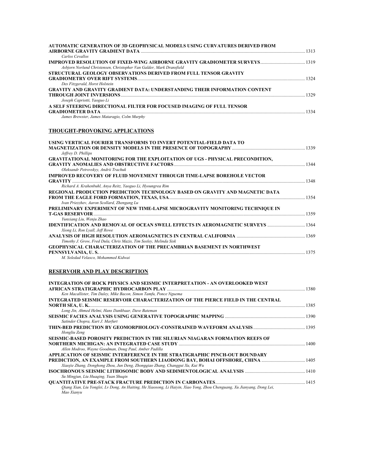| AUTOMATIC GENERATION OF 3D GEOPHYSICAL MODELS USING CURVATURES DERIVED FROM                                         | 1313 |
|---------------------------------------------------------------------------------------------------------------------|------|
| Carlos Cevallos                                                                                                     |      |
| Asbjorn Norlund Christensen, Christopher Van Galder, Mark Dransfield                                                |      |
| STRUCTURAL GEOLOGY OBSERVATIONS DERIVED FROM FULL TENSOR GRAVITY                                                    |      |
| Des Fitzgerald, Horst Holstein<br><b>GRAVITY AND GRAVITY GRADIENT DATA: UNDERSTANDING THEIR INFORMATION CONTENT</b> |      |
| Joseph Capriotti, Yaoguo Li                                                                                         | 1329 |
| A SELF STEERING DIRECTIONAL FILTER FOR FOCUSED IMAGING OF FULL TENSOR                                               | 1334 |
| James Brewster, James Mataragio, Colm Murphy                                                                        |      |

## **THOUGHT-PROVOKING APPLICATIONS**

| USING VERTICAL FOURIER TRANSFORMS TO INVERT POTENTIAL-FIELD DATA TO                                                         |      |
|-----------------------------------------------------------------------------------------------------------------------------|------|
| Jeffrey D. Phillips<br><b>GRAVITATIONAL MONITORING FOR THE EXPLOITATION OF UGS - PHYSICAL PRECONDITION,</b>                 |      |
| Oleksandr Petrovskyv, Andrii Trachuk                                                                                        |      |
| <b>IMPROVED RECOVERY OF FLUID MOVEMENT THROUGH TIME-LAPSE BOREHOLE VECTOR</b>                                               |      |
| Richard A. Krahenbuhl, Anya Reitz, Yaoguo Li, Hyoungrea Rim                                                                 |      |
| REGIONAL PRODUCTION PREDICTION TECHNOLOGY BASED ON GRAVITY AND MAGNETIC DATA<br>Ivan Priezzhev, Aaron Scollard, Zhengang Lu |      |
| PRELIMINARY EXPERIMENT OF NEW TIME-LAPSE MICROGRAVITY MONITORING TECHNIQUE IN                                               |      |
| <b>T-GAS RESERVOIR</b> 1359<br>Yunxiang Liu, Wenju Zhao                                                                     |      |
| Xiong Li, Ron Lyall, Jeff Rowe                                                                                              |      |
| Timothy J. Grow, Fred Dula, Chris Mazis, Tim Seeley, Melinda Sisk                                                           |      |
| <b>GEOPHYSICAL CHARACTERIZATION OF THE PRECAMBRIAN BASEMENT IN NORTHWEST</b>                                                | 1375 |
| M. Soledad Velasco, Mohammed Kidwai                                                                                         |      |

## **RESERVOIR AND PLAY DESCRIPTION**

| INTEGRATION OF ROCK PHYSICS AND SEISMIC INTERPRETATION - AN OVERLOOKED WEST                                                           |      |
|---------------------------------------------------------------------------------------------------------------------------------------|------|
|                                                                                                                                       |      |
| Ken Macallister, Tim Daley, Mike Bacon, Simon Tamfu, Ponce Nguema                                                                     |      |
| INTEGRATED SEISMIC RESERVOIR CHARACTERIZATION OF THE PIERCE FIELD IN THE CENTRAL                                                      |      |
|                                                                                                                                       | 1385 |
| Long Jin, Ahmed Helmi, Hans Dankbaar, Dave Bateman                                                                                    |      |
|                                                                                                                                       |      |
| Satinder Chopra, Kurt J. Marfurt                                                                                                      |      |
|                                                                                                                                       |      |
| Hongliu Zeng                                                                                                                          |      |
| SEISMIC-BASED POROSITY PREDICTION IN THE SILURIAN NIAGARAN FORMATION REEFS OF                                                         |      |
|                                                                                                                                       |      |
| Allen Modroo, Wayne Goodman, Doug Paul, Amber Padilla                                                                                 |      |
| APPLICATION OF SEISMIC INTERFERENCE IN THE STRATIGRAPHIC PINCH-OUT BOUNDARY                                                           |      |
|                                                                                                                                       |      |
| Xiaojie Zhang, Donghong Zhou, Jun Deng, Zhongqiao Zhang, Changgui Xu, Kui Wu                                                          |      |
|                                                                                                                                       |      |
| Su Mingjun, Liu Huaging, Yuan Shugin                                                                                                  |      |
|                                                                                                                                       |      |
| Oiang Xian, Liu Yonglei, Lv Dong, An Haiting, He Xiaosong, Li Haiyin, Xiao Yong, Zhou Chenguang, Xu Jianyang, Dong Lei,<br>Mao Xianvu |      |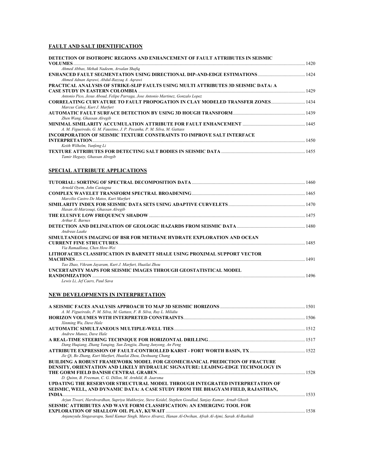#### **FAULT AND SALT IDENTIFICATION**

| DETECTION OF ISOTROPIC REGIONS AND ENHANCEMENT OF FAULT ATTRIBUTES IN SEISMIC<br><b>VOLUMES</b>                        |      |
|------------------------------------------------------------------------------------------------------------------------|------|
| Ahmed Abbas, Mehak Nadeem, Arsalan Shafiq                                                                              |      |
|                                                                                                                        |      |
| Ahmed Adnan Agrawi, Abdul-Razzag A. Agrawi                                                                             |      |
| PRACTICAL ANALYSIS OF STRIKE-SLIP FAULTS USING MULTI ATTRIBUTES 3D SEISMIC DATA: A                                     |      |
|                                                                                                                        | 1429 |
| Antonio Pico, Jesus Aboud, Felipe Parraga, Jose Antonio Martinez, Gonzalo Lopez                                        |      |
| <b>CORRELATING CURVATURE TO FAULT PROPOGATION IN CLAY MODELED TRANSFER ZONES 1434</b><br>Marcus Cahoj, Kurt J. Marfurt |      |
|                                                                                                                        |      |
| Zhen Wang, Ghassan Alregib                                                                                             |      |
| A. M. Figueiredo, G. M. Faustino, J. P. Pecanha, P. M. Silva, M. Gattass                                               |      |
| INCORPORATION OF SEISMIC TEXTURE CONSTRAINTS TO IMPROVE SALT INTERFACE                                                 |      |
| <b>INTERPRETATION</b>                                                                                                  |      |
| Keith Wilhelm, Yunfeng Li                                                                                              |      |
| Tamir Hegazy, Ghassan Alregib                                                                                          |      |

#### **SPECIAL ATTRIBUTE APPLICATIONS**

| Arnold Ovem, John Castagna                                                |      |
|---------------------------------------------------------------------------|------|
|                                                                           |      |
| Marcilio Castro De Matos, Kurt Marfurt                                    |      |
|                                                                           |      |
| Hasan Al-Marzougi, Ghassan Alregib                                        |      |
|                                                                           |      |
| Arthur E. Barnes                                                          |      |
|                                                                           |      |
| Andreas Laake                                                             |      |
| SIMULTANEOUS IMAGING OF BSR FOR METHANE HYDRATE EXPLORATION AND OCEAN     |      |
|                                                                           |      |
| Via Ramadlona, Chen How-Wei                                               |      |
| LITHOFACIES CLASSIFICATION IN BARNETT SHALE USING PROXIMAL SUPPORT VECTOR |      |
| <b>MACHINES</b>                                                           |      |
| Tao Zhao, Vikram Jayaram, Kurt J. Marfurt, Huailai Zhou                   |      |
| UNCERTAINTY MAPS FOR SEISMIC IMAGES THROUGH GEOSTATISTICAL MODEL          |      |
|                                                                           | 1496 |
| Lewis Li, Jef Caers, Paul Sava                                            |      |

## **NEW DEVELOPMENTS IN INTERPRETATION**

| A. M. Figueiredo, P. M. Silva, M. Gattass, F. B. Silva, Ruy L. Milidiu                                     |      |
|------------------------------------------------------------------------------------------------------------|------|
|                                                                                                            |      |
| Xinming Wu, Dave Hale                                                                                      |      |
|                                                                                                            |      |
| Andrew Munoz. Dave Hale                                                                                    |      |
|                                                                                                            |      |
| Dang Huqiang, Zhang Yanqing, Sun Zengjiu, Zhang Junyong, An Peng                                           |      |
|                                                                                                            |      |
| Jie Oi, Bo Zhang, Kurt Marfurt, Huailai Zhou, Deshuang Chang                                               |      |
| <b>BUILDING A ROBUST FRAMEWORK MODEL FOR GEOMECHANICAL PREDICTION OF FRACTURE</b>                          |      |
| DENSITY, ORIENTATION AND LIKELY HYDRAULIC SIGNATURE: LEADING-EDGE TECHNOLOGY IN                            |      |
|                                                                                                            | 1528 |
| D. Quinn, B. Freeman, C. G. Dillon, M. Arnhild, B. Jaarsma                                                 |      |
| UPDATING THE RESERVOIR STRUCTURAL MODEL THROUGH INTEGRATED INTERPRETATION OF                               |      |
| SEISMIC, WELL, AND DYNAMIC DATA: A CASE STUDY FROM THE BHAGYAM FIELD, RAJASTHAN,                           |      |
| INDIA                                                                                                      | 1533 |
| Arjun Tiwari, Harshvardhan, Supriya Mukherjee, Steve Keidel, Stephen Goodlad, Sanjay Kumar, Arnab Ghosh    |      |
| <b>SEISMIC ATTRIBUTES AND WAVE FORM CLASSIFICATION: AN EMERGING TOOL FOR</b>                               |      |
|                                                                                                            | 1538 |
| Anjaneyulu Singavarapu, Sunil Kumar Singh, Marco Alvarez, Hanan Al-Owihan, Afrah Al-Ajmi, Sarah Al-Rashidi |      |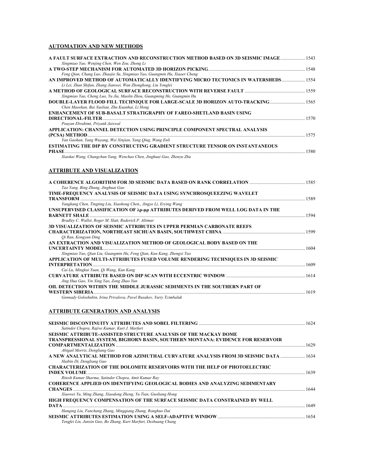#### **AUTOMATION AND NEW METHODS**

| Xingmiao Yao, Wenjing Chen, Wen Zou, Zhong Li<br>Feng Qian, Chang Luo, Zhaojie Su, Xingmiao Yao, Guangmin Hu, Xiaoer Cheng<br>Li Lei, Zhan Shifan, Zhang Jianwei, Wan Zhonghong, Liu Yonglei<br>Xingmiao Yao, Cheng Luo, Yu Jia, Maolin Zhou, Guangming He, Guangmin Hu<br>Chen Maoshan, Bai Xuelian, Zhu Kuanhai, Li Hong<br>ENHANCEMENT OF SUB-BASALT STRATIGRAPHY OF FAREO-SHETLAND BASIN USING<br>Pouyan Ebrahimi, Priyank Jaiswal<br>Yan Gaohan, Yang Wuyang, Wei Xinjian, Yang Qing, Wang Enli<br>ESTIMATING THE DIP BY CONSTRUCTING GRADIENT STRUCTURE TENSOR ON INSTANTANEOUS<br>Xiaokai Wang, Changchun Yang, Wenchao Chen, Jinghuai Gao, Zhenyu Zhu<br>ATTRIBUTE AND VISUALIZATION<br>Tao Yang, Bing Zhang, Jinghuai Gao<br>Yangkang Chen, Tingting Liu, Xiaohong Chen,, Jingye Li, Erying Wang<br>Bradley C. Wallet, Roger M. Slatt, Roderick P. Altimar<br>Qi Ran, Kongyun Ding<br>AN EXTRACTION AND VISUALIZATION METHOD OF GEOLOGICAL BODY BASED ON THE<br>Xingmiao Yao, Qian Liu, Guangmin Hu, Feng Qian, Kun Kang, Zhengxi Tao<br>APPLICATION OF MULTI-ATTRIBUTES FUSED VOLUME RENDERING TECHNIQUES IN 3D SEISMIC<br>Cai Lu, Mingkai Yuan, Qi Wang, Kun Kang<br>Jing Hua Gao, Yin Xing Yao, Zong Zhao Yun<br>Gennady Goloshubin, Irina Privalova, Pavel Rusakov, Yuriy Tcimbaluk<br>ATTRIBUTE GENERATION AND ANALYSIS<br>Satinder Chopra, Rajive Kumar, Kurt J. Marfurt<br>Abigail Morris, Dengliang Gao |                                                                                     |  |
|--------------------------------------------------------------------------------------------------------------------------------------------------------------------------------------------------------------------------------------------------------------------------------------------------------------------------------------------------------------------------------------------------------------------------------------------------------------------------------------------------------------------------------------------------------------------------------------------------------------------------------------------------------------------------------------------------------------------------------------------------------------------------------------------------------------------------------------------------------------------------------------------------------------------------------------------------------------------------------------------------------------------------------------------------------------------------------------------------------------------------------------------------------------------------------------------------------------------------------------------------------------------------------------------------------------------------------------------------------------------------------------------------------------------------|-------------------------------------------------------------------------------------|--|
| AN IMPROVED METHOD OF AUTOMATICALLY IDENTIFYING MICRO TECTONICS IN WATERSHEDS 1554<br>DOUBLE-LAYER FLOOD FILL TECHNIQUE FOR LARGE-SCALE 3D HORIZON AUTO-TRACKING 1565<br>APPLICATION: CHANNEL DETECTION USING PRINCIPLE COMPONENT SPECTRAL ANALYSIS<br>TIME-FREQUENCY ANALYSIS OF SEISMIC DATA USING SYNCHROSQUEEZING WAVELET<br>UNSUPERVISED CLASSIFICATION OF $\lambda \rho$ -µp attributes derived from well log data in the<br>3D VISUALIZATION OF SEISMIC ATTRIBUTES IN UPPER PERMIAN CARBONATE REEFS<br>OIL DETECTION WITHIN THE MIDDLE JURASSIC SEDIMENTS IN THE SOUTHERN PART OF                                                                                                                                                                                                                                                                                                                                                                                                                                                                                                                                                                                                                                                                                                                                                                                                                                 |                                                                                     |  |
|                                                                                                                                                                                                                                                                                                                                                                                                                                                                                                                                                                                                                                                                                                                                                                                                                                                                                                                                                                                                                                                                                                                                                                                                                                                                                                                                                                                                                          |                                                                                     |  |
|                                                                                                                                                                                                                                                                                                                                                                                                                                                                                                                                                                                                                                                                                                                                                                                                                                                                                                                                                                                                                                                                                                                                                                                                                                                                                                                                                                                                                          |                                                                                     |  |
|                                                                                                                                                                                                                                                                                                                                                                                                                                                                                                                                                                                                                                                                                                                                                                                                                                                                                                                                                                                                                                                                                                                                                                                                                                                                                                                                                                                                                          |                                                                                     |  |
|                                                                                                                                                                                                                                                                                                                                                                                                                                                                                                                                                                                                                                                                                                                                                                                                                                                                                                                                                                                                                                                                                                                                                                                                                                                                                                                                                                                                                          |                                                                                     |  |
|                                                                                                                                                                                                                                                                                                                                                                                                                                                                                                                                                                                                                                                                                                                                                                                                                                                                                                                                                                                                                                                                                                                                                                                                                                                                                                                                                                                                                          |                                                                                     |  |
|                                                                                                                                                                                                                                                                                                                                                                                                                                                                                                                                                                                                                                                                                                                                                                                                                                                                                                                                                                                                                                                                                                                                                                                                                                                                                                                                                                                                                          |                                                                                     |  |
|                                                                                                                                                                                                                                                                                                                                                                                                                                                                                                                                                                                                                                                                                                                                                                                                                                                                                                                                                                                                                                                                                                                                                                                                                                                                                                                                                                                                                          |                                                                                     |  |
|                                                                                                                                                                                                                                                                                                                                                                                                                                                                                                                                                                                                                                                                                                                                                                                                                                                                                                                                                                                                                                                                                                                                                                                                                                                                                                                                                                                                                          |                                                                                     |  |
|                                                                                                                                                                                                                                                                                                                                                                                                                                                                                                                                                                                                                                                                                                                                                                                                                                                                                                                                                                                                                                                                                                                                                                                                                                                                                                                                                                                                                          |                                                                                     |  |
|                                                                                                                                                                                                                                                                                                                                                                                                                                                                                                                                                                                                                                                                                                                                                                                                                                                                                                                                                                                                                                                                                                                                                                                                                                                                                                                                                                                                                          |                                                                                     |  |
|                                                                                                                                                                                                                                                                                                                                                                                                                                                                                                                                                                                                                                                                                                                                                                                                                                                                                                                                                                                                                                                                                                                                                                                                                                                                                                                                                                                                                          |                                                                                     |  |
|                                                                                                                                                                                                                                                                                                                                                                                                                                                                                                                                                                                                                                                                                                                                                                                                                                                                                                                                                                                                                                                                                                                                                                                                                                                                                                                                                                                                                          |                                                                                     |  |
|                                                                                                                                                                                                                                                                                                                                                                                                                                                                                                                                                                                                                                                                                                                                                                                                                                                                                                                                                                                                                                                                                                                                                                                                                                                                                                                                                                                                                          |                                                                                     |  |
|                                                                                                                                                                                                                                                                                                                                                                                                                                                                                                                                                                                                                                                                                                                                                                                                                                                                                                                                                                                                                                                                                                                                                                                                                                                                                                                                                                                                                          |                                                                                     |  |
|                                                                                                                                                                                                                                                                                                                                                                                                                                                                                                                                                                                                                                                                                                                                                                                                                                                                                                                                                                                                                                                                                                                                                                                                                                                                                                                                                                                                                          |                                                                                     |  |
|                                                                                                                                                                                                                                                                                                                                                                                                                                                                                                                                                                                                                                                                                                                                                                                                                                                                                                                                                                                                                                                                                                                                                                                                                                                                                                                                                                                                                          |                                                                                     |  |
|                                                                                                                                                                                                                                                                                                                                                                                                                                                                                                                                                                                                                                                                                                                                                                                                                                                                                                                                                                                                                                                                                                                                                                                                                                                                                                                                                                                                                          |                                                                                     |  |
|                                                                                                                                                                                                                                                                                                                                                                                                                                                                                                                                                                                                                                                                                                                                                                                                                                                                                                                                                                                                                                                                                                                                                                                                                                                                                                                                                                                                                          |                                                                                     |  |
|                                                                                                                                                                                                                                                                                                                                                                                                                                                                                                                                                                                                                                                                                                                                                                                                                                                                                                                                                                                                                                                                                                                                                                                                                                                                                                                                                                                                                          |                                                                                     |  |
|                                                                                                                                                                                                                                                                                                                                                                                                                                                                                                                                                                                                                                                                                                                                                                                                                                                                                                                                                                                                                                                                                                                                                                                                                                                                                                                                                                                                                          |                                                                                     |  |
|                                                                                                                                                                                                                                                                                                                                                                                                                                                                                                                                                                                                                                                                                                                                                                                                                                                                                                                                                                                                                                                                                                                                                                                                                                                                                                                                                                                                                          |                                                                                     |  |
|                                                                                                                                                                                                                                                                                                                                                                                                                                                                                                                                                                                                                                                                                                                                                                                                                                                                                                                                                                                                                                                                                                                                                                                                                                                                                                                                                                                                                          |                                                                                     |  |
|                                                                                                                                                                                                                                                                                                                                                                                                                                                                                                                                                                                                                                                                                                                                                                                                                                                                                                                                                                                                                                                                                                                                                                                                                                                                                                                                                                                                                          |                                                                                     |  |
|                                                                                                                                                                                                                                                                                                                                                                                                                                                                                                                                                                                                                                                                                                                                                                                                                                                                                                                                                                                                                                                                                                                                                                                                                                                                                                                                                                                                                          |                                                                                     |  |
|                                                                                                                                                                                                                                                                                                                                                                                                                                                                                                                                                                                                                                                                                                                                                                                                                                                                                                                                                                                                                                                                                                                                                                                                                                                                                                                                                                                                                          |                                                                                     |  |
|                                                                                                                                                                                                                                                                                                                                                                                                                                                                                                                                                                                                                                                                                                                                                                                                                                                                                                                                                                                                                                                                                                                                                                                                                                                                                                                                                                                                                          |                                                                                     |  |
|                                                                                                                                                                                                                                                                                                                                                                                                                                                                                                                                                                                                                                                                                                                                                                                                                                                                                                                                                                                                                                                                                                                                                                                                                                                                                                                                                                                                                          |                                                                                     |  |
|                                                                                                                                                                                                                                                                                                                                                                                                                                                                                                                                                                                                                                                                                                                                                                                                                                                                                                                                                                                                                                                                                                                                                                                                                                                                                                                                                                                                                          |                                                                                     |  |
|                                                                                                                                                                                                                                                                                                                                                                                                                                                                                                                                                                                                                                                                                                                                                                                                                                                                                                                                                                                                                                                                                                                                                                                                                                                                                                                                                                                                                          |                                                                                     |  |
|                                                                                                                                                                                                                                                                                                                                                                                                                                                                                                                                                                                                                                                                                                                                                                                                                                                                                                                                                                                                                                                                                                                                                                                                                                                                                                                                                                                                                          |                                                                                     |  |
|                                                                                                                                                                                                                                                                                                                                                                                                                                                                                                                                                                                                                                                                                                                                                                                                                                                                                                                                                                                                                                                                                                                                                                                                                                                                                                                                                                                                                          |                                                                                     |  |
|                                                                                                                                                                                                                                                                                                                                                                                                                                                                                                                                                                                                                                                                                                                                                                                                                                                                                                                                                                                                                                                                                                                                                                                                                                                                                                                                                                                                                          |                                                                                     |  |
|                                                                                                                                                                                                                                                                                                                                                                                                                                                                                                                                                                                                                                                                                                                                                                                                                                                                                                                                                                                                                                                                                                                                                                                                                                                                                                                                                                                                                          |                                                                                     |  |
|                                                                                                                                                                                                                                                                                                                                                                                                                                                                                                                                                                                                                                                                                                                                                                                                                                                                                                                                                                                                                                                                                                                                                                                                                                                                                                                                                                                                                          |                                                                                     |  |
|                                                                                                                                                                                                                                                                                                                                                                                                                                                                                                                                                                                                                                                                                                                                                                                                                                                                                                                                                                                                                                                                                                                                                                                                                                                                                                                                                                                                                          |                                                                                     |  |
| <b>SEISMIC ATTRIBUTE-ASSISTED STRUCTURE ANALYSIS OF THE MACKAY DOME</b><br>TRANSPRESSIONAL SYSTEM, BIGHORN BASIN, SOUTHERN MONTANA: EVIDENCE FOR RESERVOIR                                                                                                                                                                                                                                                                                                                                                                                                                                                                                                                                                                                                                                                                                                                                                                                                                                                                                                                                                                                                                                                                                                                                                                                                                                                               |                                                                                     |  |
|                                                                                                                                                                                                                                                                                                                                                                                                                                                                                                                                                                                                                                                                                                                                                                                                                                                                                                                                                                                                                                                                                                                                                                                                                                                                                                                                                                                                                          |                                                                                     |  |
|                                                                                                                                                                                                                                                                                                                                                                                                                                                                                                                                                                                                                                                                                                                                                                                                                                                                                                                                                                                                                                                                                                                                                                                                                                                                                                                                                                                                                          |                                                                                     |  |
|                                                                                                                                                                                                                                                                                                                                                                                                                                                                                                                                                                                                                                                                                                                                                                                                                                                                                                                                                                                                                                                                                                                                                                                                                                                                                                                                                                                                                          |                                                                                     |  |
|                                                                                                                                                                                                                                                                                                                                                                                                                                                                                                                                                                                                                                                                                                                                                                                                                                                                                                                                                                                                                                                                                                                                                                                                                                                                                                                                                                                                                          |                                                                                     |  |
|                                                                                                                                                                                                                                                                                                                                                                                                                                                                                                                                                                                                                                                                                                                                                                                                                                                                                                                                                                                                                                                                                                                                                                                                                                                                                                                                                                                                                          |                                                                                     |  |
|                                                                                                                                                                                                                                                                                                                                                                                                                                                                                                                                                                                                                                                                                                                                                                                                                                                                                                                                                                                                                                                                                                                                                                                                                                                                                                                                                                                                                          |                                                                                     |  |
|                                                                                                                                                                                                                                                                                                                                                                                                                                                                                                                                                                                                                                                                                                                                                                                                                                                                                                                                                                                                                                                                                                                                                                                                                                                                                                                                                                                                                          | A NEW ANALYTICAL METHOD FOR AZIMUTHAL CURVATURE ANALYSIS FROM 3D SEISMIC DATA  1634 |  |

| A NEW ANALYTICAL METHOD FOR AZIMUTHAL CURVATURE ANALYSIS FROM 3D SEISMIC DATA  1634 |      |
|-------------------------------------------------------------------------------------|------|
| Haibin Di, Dengliang Gao                                                            |      |
| <b>CHARACTERIZATION OF THE DOLOMITE RESERVOIRS WITH THE HELP OF PHOTOELECTRIC</b>   |      |
|                                                                                     | 1639 |
| Ritesh Kumar Sharma, Satinder Chopra, Amit Kumar Ray                                |      |
| <b>COHERENCE APPLIED ON IDENTIFYING GEOLOGICAL BODIES AND ANALYZING SEDIMENTARY</b> |      |
|                                                                                     | 1644 |
| Xiaowei Yu, Ming Zhang, Xiaodong Zheng, Yu Tian, Guoliang Hong                      |      |
| HIGH FREQUENCY COMPENSATION OF THE SURFACE SEISMIC DATA CONSTRAINED BY WELL         |      |
|                                                                                     | 1649 |
| Hanging Liu, Fanchang Zhang, Minggiang Zhang, Ronghuo Dai                           |      |
|                                                                                     |      |

*Tengfei Lin, Junxin Guo, Bo Zhang, Kurt Marfurt, Deshuang Chang*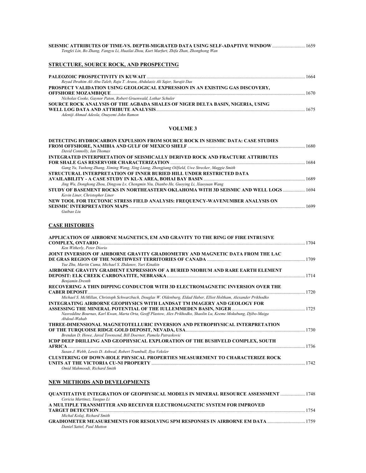| SEISMIC ATTRIBUTES OF TIME-VS, DEPTH-MIGRATED DATA USING SELF-ADAPTIVE WINDOW 1659      |  |
|-----------------------------------------------------------------------------------------|--|
| Tengfei Lin, Bo Zhang, Fangyu Li, Huailai Zhou, Kurt Marfurt, Zhifa Zhan, Zhonghong Wan |  |

## **STRUCTURE, SOURCE ROCK, AND PROSPECTING**

| Revad Ibrahim Ali Abu-Taleb, Raju T. Arasu, Abdulaziz Ali Sajer, Surajit Das   |  |
|--------------------------------------------------------------------------------|--|
| PROSPECT VALIDATION USING GEOLOGICAL EXPRESSION IN AN EXISTING GAS DISCOVERY,  |  |
|                                                                                |  |
| Nicholas Cooke, Gaynor Paton, Robert Gruenwald, Lothar Schuler                 |  |
| SOURCE ROCK ANALYSIS OF THE AGBADA SHALES OF NIGER DELTA BASIN, NIGERIA, USING |  |
|                                                                                |  |
| Adeniji Ahmad Adeola, Onayemi John Ramon                                       |  |

#### **VOLUME 3**

| DETECTING HYDROCARBON EXPULSION FROM SOURCE ROCK IN SEISMIC DATA: CASE STUDIES                   |  |
|--------------------------------------------------------------------------------------------------|--|
|                                                                                                  |  |
| David Connolly, Ian Thomas                                                                       |  |
| <b>INTEGRATED INTERPRETATION OF SEISMICALLY DERIVED ROCK AND FRACTURE ATTRIBUTES</b>             |  |
|                                                                                                  |  |
| Gang Yu, Yusheng Zhang, Ximing Wang, Xing Liang, Zhengjiang Oilfield, Uwe Strecker, Maggie Smith |  |
| STRUCTURAL INTERPRETATION OF INNER BURIED HILL UNDER RESTRICTED DATA                             |  |
|                                                                                                  |  |
| Jing Wu, Donghong Zhou, Dingyou Lv, Chengmin Niu, Dianbo He, Guoying Li, Xiaoyuan Wang           |  |
| 1694 STUDY OF BASEMENT ROCKS IN NORTHEASTERN OKLAHOMA WITH 3D SEISMIC AND WELL LOGS              |  |
| Kevin Liner, Christopher Liner                                                                   |  |
| NEW TOOL FOR TECTONIC STRESS FIELD ANALYSIS: FREQUENCY-WAVENUMBER ANALYSIS ON                    |  |
|                                                                                                  |  |
|                                                                                                  |  |

## *Guibao Liu*

## **CASE HISTORIES**

| APPLICATION OF AIRBORNE MAGNETICS, EM AND GRAVITY TO THE RING OF FIRE INTRUSIVE                                                   |      |
|-----------------------------------------------------------------------------------------------------------------------------------|------|
| Ken Witherly, Peter Diorio                                                                                                        | 1704 |
|                                                                                                                                   |      |
| JOINT INVERSION OF AIRBORNE GRAVITY GRADIOMETRY AND MAGNETIC DATA FROM THE LAC                                                    |      |
| Yue Zhu, Martin Cuma, Michael S. Zhdanov, Yuri Kinakin                                                                            |      |
| AIRBORNE GRAVITY GRADIENT EXPRESSION OF A BURIED NIOBIUM AND RARE EARTH ELEMENT                                                   |      |
|                                                                                                                                   | 1714 |
| <b>Benjamin Drenth</b>                                                                                                            |      |
| RECOVERING A THIN DIPPING CONDUCTOR WITH 3D ELECTROMAGNETIC INVERSION OVER THE                                                    |      |
| <b>CABER DEPOSIT</b>                                                                                                              | 1720 |
| Michael S. McMillan, Christoph Schwarzbach, Douglas W. Oldenburg, Eldad Haber, Elliot Holtham, Alexander Prikhodko                |      |
| <b>INTEGRATING AIRBORNE GEOPHYSICS WITH LANDSAT TM IMAGERY AND GEOLOGY FOR</b>                                                    |      |
|                                                                                                                                   |      |
| Nasreddine Bournas, Karl Kwan, Marta Orta, Geoff Plastow, Alex Prikhodko, Shaolin Lu, Keeme Mokubung, Djibo-Maiga<br>Abdoul-Wahab |      |
| THREE-DIMENSIONAL MAGNETOTELLURIC INVERSION AND PETROPHYSICAL INTERPRETATION                                                      |      |
|                                                                                                                                   |      |
| Brendan D. Howe, Jared Townsend, Bill Doerner, Pamela Patraskovic                                                                 |      |
| ICDP DEEP DRILLING AND GEOPHYSICAL EXPLORATION OF THE BUSHVELD COMPLEX, SOUTH                                                     |      |
|                                                                                                                                   | 1736 |
| Susan J. Webb, Lewis D. Ashwal, Robert Trumbull, Ilya Veksler                                                                     |      |
| <b>CLUSTERING OF DOWN-HOLE PHYSICAL PROPERTIES MEASUREMENT TO CHARACTERIZE ROCK</b>                                               |      |
|                                                                                                                                   | 1742 |
| Omid Mahmoodi, Richard Smith                                                                                                      |      |
|                                                                                                                                   |      |
|                                                                                                                                   |      |
| <b>NEW METHODS AND DEVELOPMENTS</b>                                                                                               |      |

| <b>OUANTITATIVE INTEGRATION OF GEOPHYSICAL MODELS IN MINERAL RESOURCE ASSESSMENT  1748</b> |      |
|--------------------------------------------------------------------------------------------|------|
| Cericia Martinez, Yaoguo Li                                                                |      |
| A MULTIPLE TRANSMITTER AND RECEIVER ELECTROMAGNETIC SYSTEM FOR IMPROVED                    |      |
|                                                                                            | 1754 |
| Michal Kolaj, Richard Smith                                                                |      |
|                                                                                            |      |
| Daniel Sattel, Paul Mutton                                                                 |      |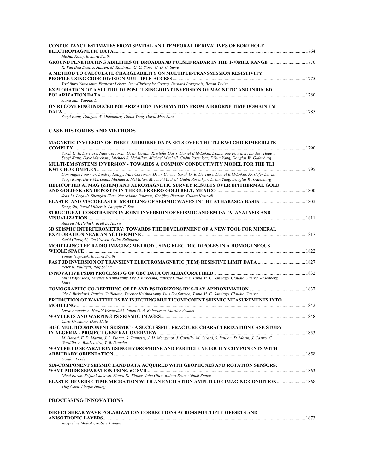| <b>CONDUCTANCE ESTIMATES FROM SPATIAL AND TEMPORAL DERIVATIVES OF BOREHOLE</b>                                                                                                                                                                                                                                                                   |      |
|--------------------------------------------------------------------------------------------------------------------------------------------------------------------------------------------------------------------------------------------------------------------------------------------------------------------------------------------------|------|
|                                                                                                                                                                                                                                                                                                                                                  | 1764 |
| Michal Kolaj, Richard Smith                                                                                                                                                                                                                                                                                                                      |      |
| GROUND PENETRATING ABILITIES OF BROADBAND PULSED RADAR IN THE 1-70MHZ RANGE                                                                                                                                                                                                                                                                      |      |
| K. Van Den Doel, J. Jansen, M. Robinson, G. C. Stove, G. D. C. Stove                                                                                                                                                                                                                                                                             |      |
| A METHOD TO CALCULATE CHARGEABILITY ON MULTIPLE-TRANSMISSION RESISTIVITY                                                                                                                                                                                                                                                                         |      |
|                                                                                                                                                                                                                                                                                                                                                  | 1775 |
| Yoshihiro Yamashita, Francois Lebert, Jean-Christophe Gourry, Bernard Bourgeois, Benoit Texier                                                                                                                                                                                                                                                   |      |
| <b>EXPLORATION OF A SULFIDE DEPOSIT USING JOINT INVERSION OF MAGNETIC AND INDUCED</b>                                                                                                                                                                                                                                                            |      |
|                                                                                                                                                                                                                                                                                                                                                  |      |
| Jiajia Sun, Yaoguo Li                                                                                                                                                                                                                                                                                                                            |      |
| ON RECOVERING INDUCED POLARIZATION INFORMATION FROM AIRBORNE TIME DOMAIN EM                                                                                                                                                                                                                                                                      |      |
|                                                                                                                                                                                                                                                                                                                                                  | 1785 |
| $R_{i+1}: V_{i+1}: D_{i+1}: U \cup U \cup U_{i+1}: U_{i+1}: V_{i+1}: D_{i+1}: U_{i+1}: U_{i+1}: U_{i+1}: U_{i+1}: U_{i+1}: U_{i+1}: U_{i+1}: U_{i+1}: U_{i+1}: U_{i+1}: U_{i+1}: U_{i+1}: U_{i+1}: U_{i+1}: U_{i+1}: U_{i+1}: U_{i+1}: U_{i+1}: U_{i+1}: U_{i+1}: U_{i+1}: U_{i+1}: U_{i+1}: U_{i+1}: U_{i+1}: U_{i+1}: U_{i+1}: U_{i+1}: U_{i+$ |      |

*Seogi Kang, Douglas W. Oldenburg, Dikun Yang, David Marchant* 

## **CASE HISTORIES AND METHODS**

| MAGNETIC INVERSION OF THREE AIRBORNE DATA SETS OVER THE TLI KWI CHO KIMBERLITE                                                                                                                                                      |       |
|-------------------------------------------------------------------------------------------------------------------------------------------------------------------------------------------------------------------------------------|-------|
| <b>COMPLEX</b>                                                                                                                                                                                                                      | .1790 |
| Sarah G. R. Devriese, Nate Corcoran, Devin Cowan, Kristofer Davis, Daniel Bild-Enkin, Dominique Fournier, Lindsey Heagy,                                                                                                            |       |
| Seogi Kang, Dave Marchant, Michael S. McMillan, Michael Mitchell, Gudni Rosenkjar, Dikun Yang, Douglas W. Oldenburg                                                                                                                 |       |
| MULTI-EM SYSTEMS INVERSION - TOWARDS A COMMON CONDUCTIVITY MODEL FOR THE TLI                                                                                                                                                        |       |
| <b>KWI CHO COMPLEX</b> [1795] [1795] [1795] [1795] [1795] [1795] [1795] [1795] [1795] [1795] [1795] [1795] [1795] [1795] [1795] [1795] [1795] [1795] [1795] [1795] [1795] [1795] [1795] [1795] [1795] [1795] [1795] [1795] [1795] [ |       |
| Dominique Fournier, Lindsey Heagy, Nate Corcoran, Devin Cowan, Sarah G. R. Devriese, Daniel Bild-Enkin, Kristofer Davis,                                                                                                            |       |
| Seogi Kang, Dave Marchant, Michael S. McMillan, Michael Mitchell, Gudni Rosenkjar, Dikun Yang, Douglas W. Oldenburg                                                                                                                 |       |
| HELICOPTER AFMAG (ZTEM) AND AEROMAGNETIC SURVEY RESULTS OVER EPITHERMAL GOLD                                                                                                                                                        |       |
|                                                                                                                                                                                                                                     |       |
| Jean M. Legault, Shengkai Zhao, Nasreddine Bournas, Geoffrey Plastow, Gillian Kearvell                                                                                                                                              |       |
|                                                                                                                                                                                                                                     |       |
| Dong Shi, Bernd Milkereit, Langqiu F. Sun                                                                                                                                                                                           |       |
| STRUCTURAL CONSTRAINTS IN JOINT INVERSION OF SEISMIC AND EM DATA: ANALYSIS AND                                                                                                                                                      |       |
|                                                                                                                                                                                                                                     |       |
| Andrew M. Pethick, Brett D. Harris                                                                                                                                                                                                  |       |
| 3D SEISMIC INTERFEROMETRY: TOWARDS THE DEVELOPMENT OF A NEW TOOL FOR MINERAL                                                                                                                                                        |       |
|                                                                                                                                                                                                                                     |       |
| Saeid Cheraghi, Jim Craven, Gilles Bellefleur                                                                                                                                                                                       |       |
|                                                                                                                                                                                                                                     |       |
| MODELLING THE RADIO IMAGING METHOD USING ELECTRIC DIPOLES IN A HOMOGENEOUS                                                                                                                                                          |       |
|                                                                                                                                                                                                                                     |       |
| Tomas Naprstek, Richard Smith                                                                                                                                                                                                       |       |
|                                                                                                                                                                                                                                     |       |
| Peter K. Fullagar, Ralf Schaa                                                                                                                                                                                                       |       |
|                                                                                                                                                                                                                                     |       |
| Luis D'Afonseca, Terence Krishnasamy, Ole J. Birkeland, Patrice Guillaume, Tania M. G. Santiago, Claudio Guerra, Rosenberg                                                                                                          |       |
| Lima                                                                                                                                                                                                                                |       |
|                                                                                                                                                                                                                                     |       |
| Ole J. Birkeland, Patrice Guillaume, Terence Krishnasamy, Luis D'Afonseca, Tania M. G. Santiago, Claudio Guerra                                                                                                                     |       |
| PREDICTION OF WAVEFIELDS BY INJECTING MULTICOMPONENT SEISMIC MEASUREMENTS INTO                                                                                                                                                      |       |
|                                                                                                                                                                                                                                     |       |
| Lasse Amundsen, Harald Westerdahl, Johan O. A. Robertsson, Marlies Vasmel                                                                                                                                                           |       |
|                                                                                                                                                                                                                                     |       |
| Chris Graziano, Dave Hale                                                                                                                                                                                                           |       |
| 3D3C MULTICOMPONENT SEISMIC - A SUCCESSFUL FRACTURE CHARACTERIZATION CASE STUDY                                                                                                                                                     |       |
|                                                                                                                                                                                                                                     |       |
| M. Donati, F. D. Martin, J. L. Piazza, S. Vanneste, J. M. Mongenot, J. Cantillo, M. Girard, S. Baillon, D. Marin, J. Castro, C.                                                                                                     |       |
| Gordillo, A. Bouheouira, T. Belhouchet                                                                                                                                                                                              |       |
| WAVEFIELD SEPARATION USING HYDROPHONE AND PARTICLE VELOCITY COMPONENTS WITH                                                                                                                                                         |       |
|                                                                                                                                                                                                                                     |       |
| Gordon Poole                                                                                                                                                                                                                        |       |
| SIX-COMPONENT SEISMIC LAND DATA ACOUIRED WITH GEOPHONES AND ROTATION SENSORS:                                                                                                                                                       |       |
|                                                                                                                                                                                                                                     |       |
| Ohad Barak, Priyank Jaiswal, Sjoerd De Ridder, John Giles, Robert Brune; Shuki Ronen                                                                                                                                                |       |
| ELASTIC REVERSE-TIME MIGRATION WITH AN EXCITATION AMPLITUDE IMAGING CONDITION  1868                                                                                                                                                 |       |
| Ting Chen, Lianjie Huang                                                                                                                                                                                                            |       |
|                                                                                                                                                                                                                                     |       |
|                                                                                                                                                                                                                                     |       |

### **PROCESSING INNOVATIONS**

| DIRECT SHEAR WAVE POLARIZATION CORRECTIONS ACROSS MULTIPLE OFFSETS AND |  |
|------------------------------------------------------------------------|--|
| ANISOTROPIC LAYERS                                                     |  |
| Jacqueline Maleski, Robert Tatham                                      |  |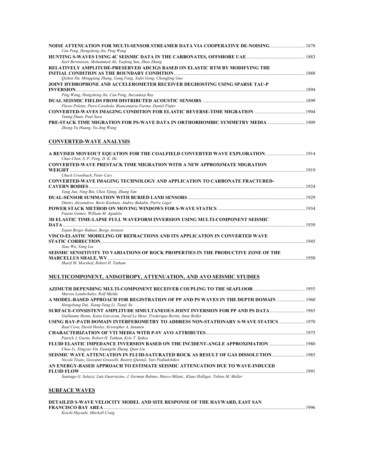| Can Peng, Hongzheng Jin, Ping Wang                                                 |       |
|------------------------------------------------------------------------------------|-------|
| Karl Berteussen, Mohammed Ali, Yuefeng Sun, Zhao Zhang                             |       |
| RELATIVELY AMPLITUDE-PRESERVED ADCIGS BASED ON ELASTIC RTM BY MODIFYING THE        |       |
| 1888                                                                               |       |
| Oizhen Du, Mingqiang Zhang, Gang Fang, Xufei Gong, Chengfeng Guo                   |       |
| JOINT HYDROPHONE AND ACCELEROMETER RECEIVER DEGHOSTING USING SPARSE TAU-P          |       |
| 1894                                                                               |       |
| Ping Wang, Hongzheng Jin, Can Peng, Suryadeep Ray                                  |       |
| 1899 - DUAL SEISMIC FIELDS FROM DISTRIBUTED ACOUSTIC SENSORS                       |       |
| Flavio Poletto, Piero Corubolo, Biancamaria Farina, Daniel Finfer                  |       |
| Yuting Duan, Paul Sava                                                             |       |
|                                                                                    |       |
| Zhong-Yu Huang, Yu-Jing Wang                                                       |       |
| <b>CONVERTED-WAVE ANALYSIS</b>                                                     |       |
| Chao Chen, S. P. Peng, D. K. He                                                    |       |
| CONVERTED-WAVE PRESTACK TIME MIGRATION WITH A NEW APPROXIMATE MIGRATION            |       |
|                                                                                    | 1919  |
| Chuck Ursenbach, Peter Cary                                                        |       |
| <b>CONVERTED-WAVE IMAGING TECHNOLOGY AND APPLICATION TO CARBONATE FRACTURED-</b>   |       |
| <b>CAVERN BODIES</b><br>1924                                                       |       |
| Yang Jun, Ning Bin, Chen Yijing, Zhang Yan                                         |       |
|                                                                                    |       |
| Dmitry Alexandrov, Boris Kashtan, Andrey Bakulin, Pierre Leger                     |       |
| Fausto Gomez, William M. Agudelo                                                   |       |
| 3D ELASTIC TIME-LAPSE FULL WAVEFORM INVERSION USING MULTI-COMPONENT SEISMIC        |       |
| 1939                                                                               |       |
| Espen Birger Raknes, Borge Arntsen                                                 |       |
| VISCO-ELASTIC MODELING OF REFRACTIONS AND ITS APPLICATION IN CONVERTED WAVE        |       |
|                                                                                    | 1945  |
| Xiao Wu, Yang Liu                                                                  |       |
| SEISMIC SENSITIVITY TO VARIATIONS OF ROCK PROPERTIES IN THE PRODUCTIVE ZONE OF THE |       |
| Sharif M. Morshed, Robert H. Tatham                                                | .1950 |
|                                                                                    |       |

#### **MULTICOMPONENT, ANISOTROPY, ATTENUATION, AND AVO SEISMIC STUDIES**

| Marcus Landschulze, Rolf Mielde                                                         |  |
|-----------------------------------------------------------------------------------------|--|
| A MODEL-BASED APPROACH FOR REGISTRATION OF PP AND PS WAVES IN THE DEPTH DOMAIN          |  |
| Hengchang Dai, Xiang-Yang Li, Tianji Xu                                                 |  |
| SURFACE-CONSISTENT AMPLITUDE SIMULTANEOUS JOINT INVERSION FOR PP AND PS DATA            |  |
| Guillaume Henin, Katia Garceran, David Le Meur, Frederique Bertin, Anne Rollet          |  |
| 1970 USING RAY-PATH DOMAIN INTERFEROMETRY TO ADDRESS NON-STATIONARY S-WAVE STATICS      |  |
| Raul Cova, David Henley, Kristopher A. Innanen                                          |  |
|                                                                                         |  |
| Patrick J. Gustie, Robert H. Tatham, Kyle T. Spikes                                     |  |
| <b>FLUID ELASTIC IMPEDANCE INVERSION BASED ON THE INCIDENT-ANGLE APPROXIMATION</b> 1980 |  |
| Chao Li, Xingyao Yin, Guangzhi Zhang, Qian Liu                                          |  |
| SEISMIC WAVE ATTENUATION IN FLUID-SATURATED ROCK AS RESULT OF GAS DISSOLUTION 1985      |  |
| Nicola Tisato, Giovanni Grasselli, Beatriz Quintal, Yuri Podladchikov                   |  |
| AN ENERGY-BASED APPROACH TO ESTIMATE SEISMIC ATTENUATION DUE TO WAVE-INDUCED            |  |
|                                                                                         |  |
|                                                                                         |  |

*Santiago G. Solazzi, Luis Guarracino, J. German Rubino, Marco Milani,, Klaus Holliger, Tobias M. Muller* 

#### **SURFACE WAVES**

| DETAILED S-WAVE VELOCITY MODEL AND SITE RESPONSE OF THE HAYWARD. EAST SAN |      |
|---------------------------------------------------------------------------|------|
| <b>FRANCISCO BAY AREA</b>                                                 | 1996 |
| Koichi Hayashi, Mitchell Craig                                            |      |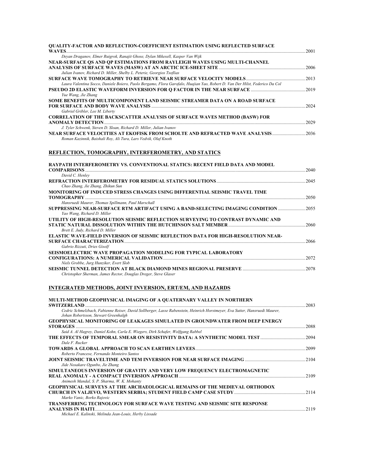| <b>QUALITY-FACTOR AND REFLECTION-COEFFICIENT ESTIMATION USING REFLECTED SURFACE</b>                                         |      |
|-----------------------------------------------------------------------------------------------------------------------------|------|
|                                                                                                                             | 2001 |
| Devan Draganov, Elmer Ruigrok, Ranajit Ghose, Dylan Mikesell, Kasper Van Wijk                                               |      |
| NEAR-SURFACE OS AND OP ESTIMATIONS FROM RAYLEIGH WAVES USING MULTI-CHANNEL                                                  |      |
|                                                                                                                             | 2006 |
| Julian Ivanov, Richard D. Miller, Shelby L. Peterie, Georgios Tsoflias                                                      |      |
|                                                                                                                             |      |
| Laura Valentina Socco, Daniele Boiero, Paolo Bergamo, Flora Garofalo, Huajian Yao, Robert D. Van Der Hilst, Federico Da Col |      |
|                                                                                                                             |      |
| Yue Wang, Jie Zhang                                                                                                         |      |
| SOME BENEFITS OF MULTICOMPONENT LAND SEISMIC STREAMER DATA ON A ROAD SURFACE                                                |      |
|                                                                                                                             | 2024 |
| Gabriel Gribler, Lee M. Liberty                                                                                             |      |
| <b>CORRELATION OF THE BACKSCATTER ANALYSIS OF SURFACE WAVES METHOD (BASW) FOR</b>                                           |      |
|                                                                                                                             | 2029 |
| J. Tyler Schwenk, Steven D. Sloan, Richard D. Miller, Julian Ivanov                                                         |      |
| NEAR SURFACE VELOCITIES AT EKOFISK FROM SCHOLTE AND REFRACTED WAVE ANALYSIS2036                                             |      |
|                                                                                                                             |      |

*Roman Kazinnik, Baishali Roy, Ali Tura, Lars Vedvik, Olaf Knoth* 

## **REFLECTION, TOMOGRAPHY, INTERFEROMETRY, AND STATICS**

| RAYPATH INTERFEROMETRY VS. CONVENTIONAL STATICS: RECENT FIELD DATA AND MODEL                                  |       |
|---------------------------------------------------------------------------------------------------------------|-------|
| COMPARISONS <b>COMPARISONS</b>                                                                                | 2040  |
| David C. Henley                                                                                               |       |
|                                                                                                               | 2045  |
| Chao Zhang, Jie Zhang, Zhikun Sun                                                                             |       |
| <b>MONITORING OF INDUCED STRESS CHANGES USING DIFFERENTIAL SEISMIC TRAVEL TIME</b>                            |       |
| <b>TOMOGRAPHY</b>                                                                                             | 2050  |
| Hansruedi Maurer, Thomas Spillmann, Paul Marschall                                                            |       |
| SUPPRESSING NEAR-SURFACE RTM ARTIFACT USING A BAND-SELECTING IMAGING CONDITION<br>Yao Wang, Richard D. Miller | .2055 |
| UTILITY OF HIGH-RESOLUTION SEISMIC REFLECTION SURVEYING TO CONTRAST DYNAMIC AND                               |       |
|                                                                                                               | 2060  |
| Brett E. Judy, Richard D. Miller                                                                              |       |
| ELASTIC WAVE-FIELD INVERSION OF SEISMIC REFLECTION DATA FOR HIGH-RESOLUTION NEAR-                             |       |
|                                                                                                               | 2066  |
| Gabrio Rizzuti, Dries Gisolf                                                                                  |       |
| <b>SEISMOELECTRIC WAVE PROPAGATION MODELING FOR TYPICAL LABORATORY</b>                                        |       |
|                                                                                                               | 2072  |
| Niels Grobbe, Jurg Hunziker, Evert Slob                                                                       |       |
|                                                                                                               | 2078  |
| Christopher Sherman, James Rector, Douglas Dreger, Steve Glaser                                               |       |

## **INTEGRATED METHODS, JOINT INVERSION, ERT/EM, AND HAZARDS**

| <b>MULTI-METHOD GEOPHYSICAL IMAGING OF A QUATERNARY VALLEY IN NORTHERN</b>                                                                                          |      |
|---------------------------------------------------------------------------------------------------------------------------------------------------------------------|------|
| <b>SWITZERLAND</b>                                                                                                                                                  | 2083 |
| Cedric Schmelzbach, Fabienne Reiser, David Sollberger, Lasse Rabenstein, Heinrich Horstmeyer, Eva Sutter, Hansruedi Maurer,<br>Johan Robertsson, Stewart Greenhalgh |      |
| GEOPHYSICAL MONITORING OF LEAKAGES SIMULATED IN GROUNDWATER FROM DEEP ENERGY                                                                                        |      |
| <b>STORAGES</b>                                                                                                                                                     | 2088 |
| Said A. Al Hagrey, Daniel Kohn, Carla E. Wiegers, Dirk Schafer, Wolfgang Rabbel                                                                                     |      |
| Dale F. Rucker                                                                                                                                                      | 2094 |
| TOWARDS A GLOBAL APPROACH TO SCAN EARTHEN LEVEES <b>And Law Account to the CANACH TO SCAN</b><br>Roberto Francese, Fernando Monteiro Santos                         | 2099 |
| Jide Nosakare Ogunbo, Jie Zhang                                                                                                                                     | 2104 |
| SIMULTANEOUS INVERSION OF GRAVITY AND VERY LOW FREQUENCY ELECTROMAGNETIC                                                                                            |      |
| Animesh Mandal, S. P. Sharma, W. K. Mohanty                                                                                                                         | 2109 |
| GEOPHYSICAL SURVEYS AT THE ARCHAEOLOGICAL REMAINS OF THE MEDIEVAL ORTHODOX                                                                                          | 2114 |
| Marko Vanic, Borko Rajovic                                                                                                                                          |      |
| <b>TRANSFERRING TECHNOLOGY FOR SURFACE WAVE TESTING AND SEISMIC SITE RESPONSE</b>                                                                                   |      |
| ANALYSIS IN HAITI                                                                                                                                                   | 2119 |
| Michael E. Kalinski, Melinda Jean-Louis, Herby Lissade                                                                                                              |      |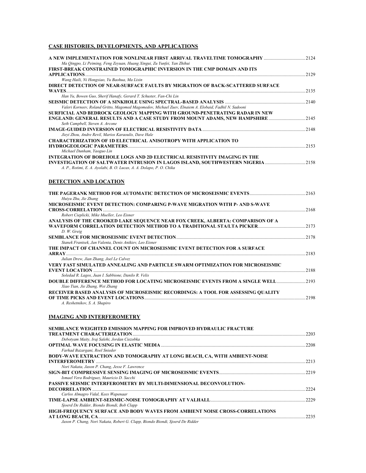#### **CASE HISTORIES, DEVELOPMENTS, AND APPLICATIONS**

| A NEW IMPLEMENTATION FOR NONLINEAR FIRST ARRIVAL TRAVELTIME TOMOGRAPHY ……………………………2124<br>Ma Qingpo, Li Peiming, Feng Zeyuan, Huang Xingui, Zu Yunfei, Yan Zhihui |  |
|-------------------------------------------------------------------------------------------------------------------------------------------------------------------|--|
| FIRST-BREAK CONSTRAINED TOMOGRAPHIC INVERSION IN THE CMP DOMAIN AND ITS                                                                                           |  |
|                                                                                                                                                                   |  |
| Wang Haili, Ni Hongxiao, Yu Baohua, Ma Lixin                                                                                                                      |  |
| DIRECT DETECTION OF NEAR-SURFACE FAULTS BY MIGRATION OF BACK-SCATTERED SURFACE                                                                                    |  |
|                                                                                                                                                                   |  |
| Han Yu, Bowen Guo, Sherif Hanafy, Gerard T. Schuster, Fan-Chi Lin                                                                                                 |  |
|                                                                                                                                                                   |  |
| Valeri Korneev, Roland Gritto, Magomed Magomedov, Michael Zuev, Elnaiem A. Elobaid, Fadhil N. Sadooni                                                             |  |
| SURFICIAL AND BEDROCK GEOLOGY MAPPING WITH GROUND-PENETRATING RADAR IN NEW                                                                                        |  |
| ENGLAND: GENERAL RESULTS AND A CASE STUDY FROM MOUNT ADAMS, NEW HAMPSHIRE 2145                                                                                    |  |
| Seth Campbell, Steven A. Arcone                                                                                                                                   |  |
|                                                                                                                                                                   |  |
| Jieyi Zhou, Andre Revil, Marios Karaoulis, Dave Hale                                                                                                              |  |
| <b>CHARACTERIZATION OF 1D ELECTRICAL ANISOTROPY WITH APPLICATION TO</b>                                                                                           |  |
|                                                                                                                                                                   |  |
| Michael Dunham, Yaoguo Lin                                                                                                                                        |  |
| <b>INTEGRATION OF BOREHOLE LOGS AND 2D ELECTRICAL RESISTIVITY IMAGING IN THE</b>                                                                                  |  |
| INVESTIGATION OF SALTWATER INTRUSION IN LAGOS ISLAND, SOUTHWESTERN NIGERIA 2158<br>A. P., Rotimi, E. A. Ayolabi, B. O. Lucas, A. A. Dolapo, P. O. Chika           |  |
|                                                                                                                                                                   |  |
| Huiyu Zhu, Jie Zhang                                                                                                                                              |  |
| MICROSEISMIC EVENT DETECTION: COMPARING P-WAVE MIGRATION WITH P- AND S-WAVE                                                                                       |  |
|                                                                                                                                                                   |  |
| Robert Cieplicki, Mike Mueller, Leo Eisner                                                                                                                        |  |
| ANALYSIS OF THE CROOKED LAKE SEQUENCE NEAR FOX CREEK, ALBERTA: COMPARISON OF A                                                                                    |  |
|                                                                                                                                                                   |  |
| D. W. Greig                                                                                                                                                       |  |
|                                                                                                                                                                   |  |
| Stanek Frantsek, Jan Valenta, Denis Anikiev, Leo Eisner                                                                                                           |  |
| THE IMPACT OF CHANNEL COUNT ON MICROSEISMIC EVENT DETECTION FOR A SURFACE                                                                                         |  |
|                                                                                                                                                                   |  |
| Julian Drew, Jian Zhang, Joel Le Calvez                                                                                                                           |  |
| VERY FAST SIMULATED ANNEALING AND PARTICLE SWARM OPTIMIZATION FOR MICROSEISMIC                                                                                    |  |
| Soledad R. Lagos, Juan I. Sabbione, Danilo R. Velis                                                                                                               |  |
| DOUBLE DIFFERENCE METHOD FOR LOCATING MICROSEISMIC EVENTS FROM A SINGLE WELL 2193                                                                                 |  |
| Xiao Tian, Jie Zhang, Wei Zhang                                                                                                                                   |  |
| RECEIVER BASED ANALYSIS OF MICROSEISMIC RECORDINGS: A TOOL FOR ASSESSING OUALITY                                                                                  |  |
|                                                                                                                                                                   |  |
|                                                                                                                                                                   |  |
| A. Reshetnikov, S. A. Shapiro                                                                                                                                     |  |

#### **IMAGING AND INTERFEROMETRY**

| <b>SEMBLANCE WEIGHTED EMISSION MAPPING FOR IMPROVED HYDRAULIC FRACTURE</b>    |      |
|-------------------------------------------------------------------------------|------|
|                                                                               | 2203 |
| Debotyam Maity, Iraj Salehi, Jordan Ciezobka                                  |      |
| Farhad Bazargani, Roel Snieder                                                | 2208 |
| BODY-WAVE EXTRACTION AND TOMOGRAPHY AT LONG BEACH, CA, WITH AMBIENT-NOISE     |      |
|                                                                               | 2213 |
| Nori Nakata, Jason P. Chang, Jesse F. Lawrence                                |      |
| Ismael Vera Rodriguez, Mauricio D. Sacchi                                     | 2219 |
| <b>PASSIVE SEISMIC INTERFEROMETRY BY MULTI-DIMENSIONAL DECONVOLUTION-</b>     |      |
|                                                                               | 2224 |
| Carlos Almagro Vidal, Kees Wapenaar                                           |      |
| Sjoerd De Ridder, Biondo Biondi, Bob Clapp                                    | 2229 |
| HIGH-FREQUENCY SURFACE AND BODY WAVES FROM AMBIENT NOISE CROSS-CORRELATIONS   |      |
|                                                                               | 2235 |
| Jason P. Chang, Nori Nakata, Robert G. Clapp, Biondo Biondi, Sjoerd De Ridder |      |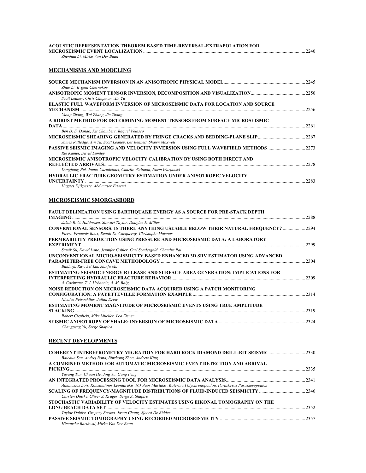| Zhenhua Li, Mirko Van Der Baan                                                                                                                                                 |      |
|--------------------------------------------------------------------------------------------------------------------------------------------------------------------------------|------|
| <b>MECHANISMS AND MODELING</b>                                                                                                                                                 |      |
| Zhao Li, Evgeni Chesnokov                                                                                                                                                      |      |
| Scott Leaney, Chris Chapman, Xin Yu                                                                                                                                            |      |
| ELASTIC FULL WAVEFORM INVERSION OF MICROSEISMIC DATA FOR LOCATION AND SOURCE                                                                                                   |      |
| Xiong Zhang, Wei Zhang, Jie Zhang<br>A ROBUST METHOD FOR DETERMINING MOMENT TENSORS FROM SURFACE MICROSEISMIC                                                                  |      |
| Ben D. E. Dando, Kit Chambers, Raquel Velasco                                                                                                                                  |      |
| James Rutledge, Xin Yu, Scott Leaney, Les Bennett, Shawn Maxwell<br>PASSIVE SEISMIC IMAGING AND VELOCITY INVERSION USING FULL WAVEFIELD METHODS2273<br>Rie Kamei, David Lumley |      |
| MICROSEISMIC ANISOTROPIC VELOCITY CALIBRATION BY USING BOTH DIRECT AND                                                                                                         |      |
| Donghong Pei, James Carmichael, Charlie Waltman, Norm Warpinski<br><b>HYDRAULIC FRACTURE GEOMETRY ESTIMATION UNDER ANISOTROPIC VELOCITY</b>                                    |      |
| Hugues Djikpesse, Abdunaser Erwemi                                                                                                                                             |      |
| <b>MICROSEISMIC SMORGASBORD</b>                                                                                                                                                |      |
| <b>FAULT DELINEATION USING EARTHOUAKE ENERGY AS A SOURCE FOR PRE-STACK DEPTH</b>                                                                                               |      |
| Jakob B. U. Haldorsen, Stewart Taylor, Douglas E. Miller<br><b>CONVENTIONAL SENSORS: IS THERE ANYTHING USEABLE BELOW THEIR NATURAL FREQUENCY? 2294</b>                         |      |
| Pierre-Francois Roux, Benoit De Cacqueray, Christophe Maisons                                                                                                                  |      |
| PERMEABILITY PREDICTION USING PRESSURE AND MICROSEISMIC DATA: A LABORATORY                                                                                                     | 2299 |
| Samik Sil, David Lane, Jennifer Gabler, Carl Sondergeld, Chandra Rai<br>UNCONVENTIONAL MICRO-SEISMICITY BASED ENHANCED 3D SRV ESTIMATOR USING ADVANCED                         | 2304 |
| Baidurja Ray, Avi Lin, Jianfu Ma                                                                                                                                               |      |

| <b>ESTIMATING SEISMIC ENERGY RELEASE AND SURFACE AREA GENERATION: IMPLICATIONS FOR</b> |      |
|----------------------------------------------------------------------------------------|------|
|                                                                                        |      |
| A. Cochrane, T. I. Urbancic, A. M. Baig                                                |      |
| NOISE REDUCTION ON MICROSEISMIC DATA ACQUIRED USING A PATCH MONITORING                 |      |
|                                                                                        |      |
| Nicolas Petrochilos, Julian Drew                                                       |      |
| <b>ESTIMATING MOMENT MAGNITUDE OF MICROSEISMIC EVENTS USING TRUE AMPLITUDE</b>         |      |
|                                                                                        | 2319 |
| Robert Cieplicki, Mike Mueller, Leo Eisner                                             |      |
|                                                                                        |      |
| Changpeng Yu, Serge Shapiro                                                            |      |

#### **RECENT DEVELOPMENTS**

| Baichun Sun, Andrej Bona, Binzhong Zhou, Andrew King                                                                |      |
|---------------------------------------------------------------------------------------------------------------------|------|
| A COMBINED METHOD FOR AUTOMATIC MICROSEISMIC EVENT DETECTION AND ARRIVAL                                            |      |
|                                                                                                                     | 2335 |
| Yuyang Tan, Chuan He, Jing Yu, Gang Feng                                                                            |      |
|                                                                                                                     | 2341 |
| Athanasios Lois, Konstantinos Leontarakis, Nikolaos Martakis, Katerina Polychronopoulou, Paraskevas Paraskevopoulos |      |
|                                                                                                                     | 2346 |
| Carsten Dinske, Oliver S. Kruger, Serge A. Shapiro                                                                  |      |
| STOCHASTIC VARIABILITY OF VELOCITY ESTIMATES USING EIKONAL TOMOGRAPHY ON THE                                        |      |
|                                                                                                                     | 2352 |
| Taylor Dahlke, Gregory Beroza, Jason Chang, Sjoerd De Ridder                                                        |      |
|                                                                                                                     | 2357 |
| Himanshu Barthwal. Mirko Van Der Baan                                                                               |      |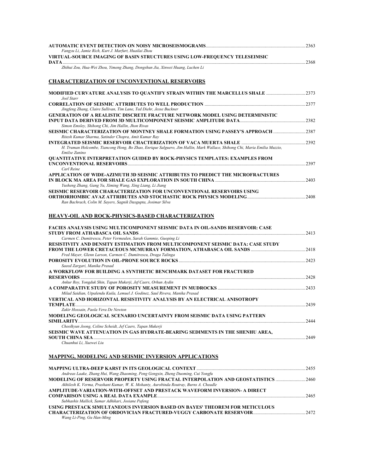|                                                                               | 2363 |
|-------------------------------------------------------------------------------|------|
| Fangyu Li, Jamie Rich, Kurt J. Marfurt, Huailai Zhou                          |      |
| VIRTUAL-SOURCE IMAGING OF BASIN STRUCTURES USING LOW-FREOUENCY TELESEIMSIC    |      |
| DATA                                                                          | 2368 |
| Zhihui Zou, Hua-Wei Zhou, Yimeng Zhang, Dongshun Jia, Xinwei Huang, Luchen Li |      |

#### **CHARACTERIZATION OF UNCONVENTIONAL RESERVOIRS**

| <b>MODIFIED CURVATURE ANALYSIS TO QUANTIFY STRAIN WITHIN THE MARCELLUS SHALE </b><br>Joel Starr                                                                                                               | 2373 |
|---------------------------------------------------------------------------------------------------------------------------------------------------------------------------------------------------------------|------|
| Jingfeng Zhang, Claire Sullivan, Tim Lane, Ted Diehr, Jesse Buckner                                                                                                                                           | 2377 |
| GENERATION OF A REALISTIC DISCRETE FRACTURE NETWORK MODEL USING DETERMINISTIC<br>Simon Emsley, Shihong Chi, Jim Hallin, Jhon Rivas                                                                            | 2382 |
| SEISMIC CHARACTERIZATION OF MONTNEY SHALE FORMATION USING PASSEY'S APPROACH<br>Ritesh Kumar Sharma, Satinder Chopra, Amit Kumar Ray                                                                           | 2387 |
| H. Truman Holcombe, Tiancong Hong, Bo Zhao, Enrique Salguero, Jim Hallin, Mark Wallace, Shihong Chi, Maria Emilia Muzzio,<br>Emilse Zunino                                                                    | 2392 |
| <b>OUANTITATIVE INTERPRETATION GUIDED BY ROCK-PHYSICS TEMPLATES: EXAMPLES FROM</b><br>UNCONVENTIONAL RESERVOIRS<br>Carl Reine                                                                                 | 2397 |
| APPLICATION OF WIDE-AZIMUTH 3D SEISMIC ATTRIBUTES TO PREDICT THE MICROFRACTURES<br>Yusheng Zhang, Gang Yu, Ximing Wang, Xing Liang, Li Jiang                                                                  | 2403 |
| SEISMIC RESERVOIR CHARACTERIZATION FOR UNCONVENTIONAL RESERVOIRS USING<br>ORTHORHOMBIC AVAZ ATTRIBUTES AND STOCHASTIC ROCK PHYSICS MODELING.<br>Ran Bachrach, Colin M. Sayers, Sagnik Dasgupta, Josimar Silva | 2408 |

#### **HEAVY-OIL AND ROCK-PHYSICS-BASED CHARACTERIZATION**

| FACIES ANALYSIS USING MULTICOMPONENT SEISMIC DATA IN OIL-SANDS RESERVOIR: CASE         |       |
|----------------------------------------------------------------------------------------|-------|
|                                                                                        | 2413  |
| Carmen C. Dumitrescu, Peter Vermeulen, Sarah Gammie, Guoping Li                        |       |
| <b>RESISTIVITY AND DENSITY ESTIMATION FROM MULTICOMPONENT SEISMIC DATA: CASE STUDY</b> |       |
|                                                                                        | .2418 |
| Fred Mayer, Glenn Larson, Carmen C. Dumitrescu, Draga Talinga                          |       |
|                                                                                        | 2423  |
| Saeed Zargari, Manika Prasad                                                           |       |
| A WORKFLOW FOR BUILDING A SYNTHETIC BENCHMARK DATASET FOR FRACTURED                    |       |
| <b>RESERVOIRS</b>                                                                      | 2428  |
| Ankur Roy, Yongduk Shin, Tapan Mukerji, Jef Caers, Orhun Aydin                         |       |
|                                                                                        | 2433  |
| Milad Saidian, Utpalendu Kuila, Lemuel J. Godinez, Saul Rivera, Manika Prasad          |       |
| VERTICAL AND HORIZONTAL RESISTIVITY ANALYSIS BY AN ELECTRICAL ANISOTROPY               |       |
| <b>TEMPLATE</b>                                                                        | 2439  |
| Zakir Hossain, Paola Vera De Newton                                                    |       |
| MODELING GEOLOGICAL SCENARIO UNCERTAINTY FROM SEISMIC DATA USING PATTERN               |       |
| SIMILARITY                                                                             | 2444  |
| Cheolkyun Jeong, Celine Scheidt, Jef Caers, Tapan Mukerji                              |       |
| SEISMIC WAVE ATTENUATION IN GAS HYDRATE-BEARING SEDIMENTS IN THE SHENHU AREA,          |       |
| <b>SOUTH CHINA SEA</b>                                                                 | 2449  |
| Chuanhui Li, Xuewei Liu                                                                |       |
|                                                                                        |       |

#### **MAPPING, MODELING AND SEISMIC INVERSION APPLICATIONS**

| Andreas Laake, Zhang Hui, Wang Zhaoming, Peng Gengxin, Zheng Duoming, Cui Yongfu      |        |
|---------------------------------------------------------------------------------------|--------|
| MODELING OF RESERVOIR PROPERTY USING FRACTAL INTERPOLATION AND GEOSTATISTICS 2460     |        |
| Akhilesh K. Verma, Prashant Kumar, W. K. Mohanty, Aurobinda Routray, Burns A. Cheadle |        |
| AMPLITUDE-VARIATION-WITH-OFFSET AND PRESTACK WAVEFORM INVERSION- A DIRECT             |        |
|                                                                                       | - 2465 |
| Subhashis Mallick, Samar Adhikari, Josiane Pafeng                                     |        |
| USING PRESTACK SIMULTANEOUS INVERSION BASED ON BAYES' THEOREM FOR METICULOUS          |        |
|                                                                                       |        |
| Wang Li-Ping, Gu Han-Ming                                                             |        |
|                                                                                       |        |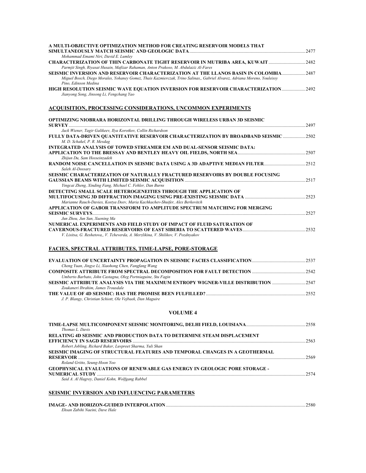| A MULTI-OBJECTIVE OPTIMIZATION METHOD FOR CREATING RESERVOIR MODELS THAT                                                                                                                                                              | 2477  |
|---------------------------------------------------------------------------------------------------------------------------------------------------------------------------------------------------------------------------------------|-------|
| Mohammad Emami Niri, David E. Lumley                                                                                                                                                                                                  |       |
| <b>CHARACTERIZATION OF THIN CARBONATE TIGHT RESERVOIR IN MUTRIBA AREA, KUWAIT </b><br>Parmjit Singh, Riyasat Husain, Mafizar Rahaman, Anton Prakoso, M. Abdulaziz Al-Fares                                                            | .2482 |
| SEISMIC INVERSION AND RESERVOIR CHARACTERIZATION AT THE LLANOS BASIN IN COLOMBIA<br>Miguel Bosch, Diego Morales, Yohaney Gomez, Thais Kazmierczak, Trino Salinas,, Gabriel Alvarez, Adriana Moreno, Youleissy<br>Pino. Edinson Medina | 2487  |
| HIGH RESOLUTION SEISMIC WAVE EQUATION INVERSION FOR RESERVOIR CHARACTERIZATION 2492<br>Jianyong Song, Jinsong Li, Fengchang Yao                                                                                                       |       |
| <b>ACQUISITION, PROCESSING CONSIDERATIONS, UNCOMMON EXPERIMENTS</b>                                                                                                                                                                   |       |
| OPTIMIZING NIOBRARA HORIZONTAL DRILLING THROUGH WIRELESS URBAN 3D SEISMIC                                                                                                                                                             |       |
|                                                                                                                                                                                                                                       | 2497  |
| Jack Wiener, Tagir Galikeev, Ilya Korotkov, Collin Richardson                                                                                                                                                                         |       |
| FULLY DATA-DRIVEN QUANTITATIVE RESERVOIR CHARACTERIZATION BY BROADBAND SEISMIC 2502<br>M. D. Schakel, P. R. Mesdag                                                                                                                    |       |
| <b>INTEGRATED ANALYSIS OF TOWED STREAMER EM AND DUAL-SENSOR SEISMIC DATA:</b>                                                                                                                                                         |       |
|                                                                                                                                                                                                                                       | 2507  |
| Zhijun Du, Sam Hosseinzadeh                                                                                                                                                                                                           |       |
| <b>RANDOM NOISE CANCELLATION IN SEISMIC DATA USING A 3D ADAPTIVE MEDIAN FILTER</b>                                                                                                                                                    | 2512  |
| Saleh Al-Dossary                                                                                                                                                                                                                      |       |
| SEISMIC CHARACTERIZATION OF NATURALLY FRACTURED RESERVOIRS BY DOUBLE FOCUSING                                                                                                                                                         | 2517  |
| Yingcai Zheng, Xinding Fang, Michael C. Fehler, Dan Burns                                                                                                                                                                             |       |
| DETECTING SMALL SCALE HETEROGENEITIES THROUGH THE APPLICATION OF                                                                                                                                                                      |       |
|                                                                                                                                                                                                                                       |       |
| Marianne Rauch-Davies, Kostya Deev, Maria Kachkachev-Shuifer, Alex Berkovitch                                                                                                                                                         |       |
| APPLICATION OF GABOR TRANSFORM TO AMPLITUDE SPECTRUM MATCHING FOR MERGING                                                                                                                                                             |       |
| <b>SEISMIC SURVEYS</b>                                                                                                                                                                                                                | 2527  |
| Jun Zhou, Jun Sun, Xuening Ma                                                                                                                                                                                                         |       |
| NUMERICAL EXPERIMENTS AND FIELD STUDY OF IMPACT OF FLUID SATURATION OF                                                                                                                                                                | 2532  |
|                                                                                                                                                                                                                                       |       |

*V. Lisitsa, G. Reshetova,, V. Tcheverda, A. Merzlikina, V. Shilikov, V. Pozdnyakov* 

#### **FACIES, SPECTRAL ATTRIBUTES, TIME-LAPSE, PORE-STORAGE**

| Cheng Yuan, Jingye Li, Xiaohong Chen, Fangfang Wang                               |      |
|-----------------------------------------------------------------------------------|------|
|                                                                                   |      |
| Umberto Barbato, John Castagna, Oleg Portniaguine, Stu Fagin                      |      |
| SEISMIC ATTRIBUTE ANALYSIS VIA THE MAXIMUM ENTROPY WIGNER-VILLE DISTRIBUTION 2547 |      |
| Zoukaneri Ibrahim. James Trousdale                                                |      |
|                                                                                   | 2552 |
| J. P. Blangy, Christian Schiott, Ole Vejbaek, Dan Maguire                         |      |

#### **VOLUME 4**

| Thomas L. Davis                                                                   |      |
|-----------------------------------------------------------------------------------|------|
| <b>RELATING 4D SEISMIC AND PRODUCTION DATA TO DETERMINE STEAM DISPLACEMENT</b>    |      |
|                                                                                   | 2563 |
| Robert Jobling, Richard Baker, Luvpreet Sharma, Yuli Shan                         |      |
| SEISMIC IMAGING OF STRUCTURAL FEATURES AND TEMPORAL CHANGES IN A GEOTHERMAL       |      |
|                                                                                   | 2569 |
| Roland Gritto, Seung-Hoon Yoo                                                     |      |
| <b>GEOPHYSICAL EVALUATIONS OF RENEWABLE GAS ENERGY IN GEOLOGIC PORE STORAGE -</b> |      |
|                                                                                   |      |
| Said A. Al Hagrey, Daniel Kohn, Wolfgang Rabbel                                   |      |

#### **SEISMIC INVERSION AND INFLUENCING PARAMETERS**

| IMAGE- AND HORIZON-GUIDED INTERPOLATION. | $-2580$ |
|------------------------------------------|---------|
| Ehsan Zabihi Naeini, Dave Hale           |         |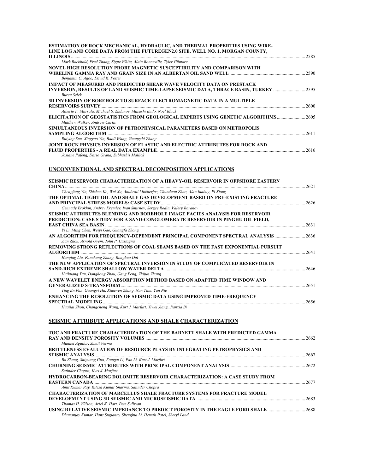| ESTIMATION OF ROCK MECHANICAL, HYDRAULIC, AND THERMAL PROPERTIES USING WIRE-<br>LINE LOG AND CORE DATA FROM THE FUTUREGEN2.0 SITE, WELL NO. 1, MORGAN COUNTY,                      |       |
|------------------------------------------------------------------------------------------------------------------------------------------------------------------------------------|-------|
|                                                                                                                                                                                    | 2585  |
| Mark Rockhold, Fred Zhang, Signe White, Alain Bonneville, Tyler Gilmore                                                                                                            |       |
| NOVEL HIGH RESOLUTION PROBE MAGNETIC SUSCEPTIBILITY AND COMPARISON WITH<br>Benjamin C. Agbo, David K. Potter                                                                       | 2590  |
| <b>IMPACT OF MEASURED AND PREDICTED SHEAR WAVE VELOCITY DATA ON PRESTACK</b>                                                                                                       |       |
| INVERSION, RESULTS OF LAND SEISMIC TIME-LAPSE SEISMIC DATA, THRACE BASIN, TURKEY<br><b>Burcu Selek</b>                                                                             | .2595 |
| <b>3D INVERSION OF BOREHOLE TO SURFACE ELECTROMAGNETIC DATA IN A MULTIPLE</b>                                                                                                      | 2600  |
| Alberto F. Marsala, Michael S. Zhdanov, Masashi Endo, Noel Black<br>ELICITATION OF GEOSTATISTICS FROM GEOLOGICAL EXPERTS USING GENETIC ALGORITHMS<br>Matthew Walker, Andrew Curtis | .2605 |
| SIMULTANEOUS INVERSION OF PETROPHYSICAL PARAMETERS BASED ON METROPOLIS<br><b>SAMPLING ALGORITHM</b>                                                                                | 2611  |
| Ruiying Sun, Xingyao Yin, Baoli Wang, Guangzhi Zhang<br>JOINT ROCK PHYSICS INVERSION OF ELASTIC AND ELECTRIC ATTRIBUTES FOR ROCK AND                                               |       |
|                                                                                                                                                                                    | 2616  |
| Josiane Pafeng, Dario Grana, Subhashis Mallick                                                                                                                                     |       |
| UNCONVENTIONAL AND SPECTRAL DECOMPOSITION APPLICATIONS                                                                                                                             |       |
| SEISMIC RESERVOIR CHARACTERIZATION OF A HEAVY-OIL RESERVOIR IN OFFSHORE EASTERN<br><b>CHINA</b>                                                                                    | 2621  |
| Chengfang Yin, Shizhen Ke, Wei Xu, Anubrati Mukherjee, Chunduan Zhao, Alan Inabuy, Pi Xiong<br>THE OPTIMAL TIGHT OIL AND SHALE GAS DEVELOPMENT BASED ON PRE-EXISTING FRACTURE      |       |
| Gennady Erokhin, Andrey Kremlev, Ivan Smirnov, Sergey Rodin, Valery Baranov                                                                                                        | 2626  |
| SEISMIC ATTRIBUTES BLENDING AND BOREHOLE IMAGE FACIES ANALYSIS FOR RESERVOIR<br><b>PREDICTION: CASE STUDY FOR A SAND-CONGLOMERATE RESERVOIR IN PINGHU OIL FIELD.</b>               |       |
|                                                                                                                                                                                    | 2631  |

**AN ALGORITHM FOR FREQUENCY-DEPENDENT PRINCIPAL COMPONENT SPECTRAL ANALYSIS**..........................2636

**ALGORITHM** ..............................................................................................................................................................................................2641

**SAND-RICH EXTREME SHALLOW WATER DELTA**.......................................................................................................................2646

**GENERALIZED S-TRANSFORM**............................................................................................................................................................2651

**REMOVING STRONG REFLECTIONS OF COAL SEAMS BASED ON THE FAST EXPONENTIAL PURSUIT** 

**THE NEW APPLICATION OF SPECTRAL INVERSION IN STUDY OF COMPLICATED RESERVOIR IN** 

**A NEW WAVELET ENERGY ABSORPTION METHOD BASED ON ADAPTED TIME WINDOW AND** 

**ENHANCING THE RESOLUTION OF SEISMIC DATA USING IMPROVED TIME-FREQUENCY** 

**SPECTRAL MODELING**...........................................................................................................................................................................2656 *Huailai Zhou, Changcheng Wang, Kurt J. Marfurt, Yiwei Jiang, Jianxia Bi* 

*Yi Li, Ming Chen, Weiyi Gao, Guangfa Zhong* 

*Hanqing Liu, Fanchang Zhang, Ronghuo Dai* 

*Huihuang Tan, Donghong Zhou, Gang Peng, Zhijun Zhang* 

*Ting'En Fan, Guangyi Hu, Xianwen Zhang, Nan Tian, Yan Nie* 

*Jian Zhou, Arnold Oyem, John P. Castagna* 

#### **SEISMIC ATTRIBUTE APPLICATIONS AND SHALE CHARACTERIZATION**

| TOC AND FRACTURE CHARACTERIZATION OF THE BARNETT SHALE WITH PREDICTED GAMMA       |      |
|-----------------------------------------------------------------------------------|------|
|                                                                                   | 2662 |
| Manuel Aguilar, Sumit Verma                                                       |      |
| <b>BRITTLENESS EVALUATION OF RESOURCE PLAYS BY INTEGRATING PETROPHYSICS AND</b>   |      |
|                                                                                   | 2667 |
| Bo Zhang, Shiguang Guo, Fangyu Li, Pan Li, Kurt J. Marfurt                        |      |
|                                                                                   |      |
| Satinder Chopra, Kurt J. Marfurt                                                  |      |
| <b>HYDROCARBON-BEARING DOLOMITE RESERVOIR CHARACTERIZATION: A CASE STUDY FROM</b> |      |
|                                                                                   | 2677 |
| Amit Kumar Ray, Ritesh Kumar Sharma, Satinder Chopra                              |      |
| <b>CHARACTERIZATION OF MARCELLUS SHALE FRACTURE SYSTEMS FOR FRACTURE MODEL</b>    |      |
|                                                                                   | 2683 |
| Thomas H. Wilson, Ariel K. Hart, Pete Sullivan                                    |      |
| USING RELATIVE SEISMIC IMPEDANCE TO PREDICT POROSITY IN THE EAGLE FORD SHALE2688  |      |
| Dhananjay Kumar, Hans Sugianto, Shenghui Li, Hemali Patel, Shervl Land            |      |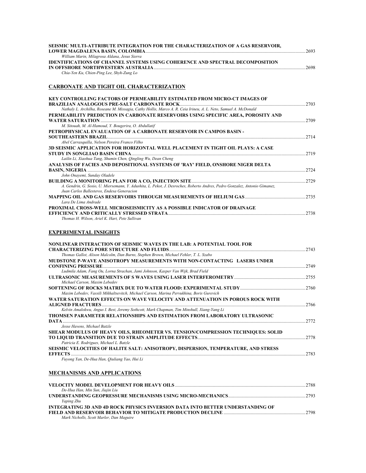| SEISMIC MULTI-ATTRIBUTE INTEGRATION FOR THE CHARACTERIZATION OF A GAS RESERVOIR.     |      |
|--------------------------------------------------------------------------------------|------|
|                                                                                      | 2693 |
| William Marin, Milagrosa Aldana, Jesus Sierra                                        |      |
| <b>IDENTIFICATIONS OF CHANNEL SYSTEMS USING COHERENCE AND SPECTRAL DECOMPOSITION</b> |      |
|                                                                                      | 2698 |
| Chia-Yen Ku, Chien-Ping Lee, Shyh-Zung Lo                                            |      |

#### **CARBONATE AND TIGHT OIL CHARACTERIZATION**

| KEY CONTROLLING FACTORS OF PERMEABILITY ESTIMATED FROM MICRO-CT IMAGES OF                                                                                                | 2703 |
|--------------------------------------------------------------------------------------------------------------------------------------------------------------------------|------|
| Nathaly L. Archilha, Roseane M. Missagia, Cathy Hollis, Marco A. R. Ceia Irineu, A. L. Neto, Samuel A. McDonald                                                          |      |
| PERMEABILITY PREDICTION IN CARBONATE RESERVOIRS USING SPECIFIC AREA, POROSITY AND                                                                                        | 2709 |
| M. Sitouah, M. Al-Hamoud, Y. Bougerira, O. Abdullatif<br>PETROPHYSICAL EVALUATION OF A CARBONATE RESERVOIR IN CAMPOS BASIN -                                             |      |
| <b>SOUTHEASTERN BRAZIL</b><br>Abel Carrasquilla, Nelson Pereira Franco Filho                                                                                             | 2714 |
| 3D SEISMIC APPLICATION FOR HORIZONTAL WELL PLACEMENT IN TIGHT OIL PLAYS: A CASE<br>STUDY IN SONGLIAO BASIN CHINA                                                         | 2719 |
| Lailin Li, Xiaohua Tang, Shumin Chen, Qingling Wu, Dean Cheng<br>ANALYSIS OF FACIES AND DEPOSITIONAL SYSTEMS OF 'RAY' FIELD, ONSHORE NIGER DELTA                         |      |
| <b>BASIN, NIGERIA.</b>                                                                                                                                                   | 2724 |
| John Onavemi, Sunday Oladele                                                                                                                                             | 2729 |
| A. Gendrin, G. Sosio, U. Miersemann, Y. Adushita, L. Pekot, J. Desroches, Roberto Andres, Pedro Gonzalez, Antonio Gimanez,<br>Juan Carlos Ballesteros, Endesa Generacion |      |
| Lara De Lima Andrade                                                                                                                                                     | 2735 |
| PROXIMAL CROSS-WELL MICROSEISMICITY AS A POSSIBLE INDICATOR OF DRAINAGE<br><b>EFFICIENCY AND CRITICALLY STRESSED STRATA</b>                                              | 2738 |
| Thomas H. Wilson, Ariel K. Hart, Pete Sullivan                                                                                                                           |      |

#### **EXPERIMENTAL INSIGHTS**

*Mark Nicholls, Scott Marler, Dan Maguire* 

| NONLINEAR INTERACTION OF SEISMIC WAVES IN THE LAB: A POTENTIAL TOOL FOR                                                      |       |
|------------------------------------------------------------------------------------------------------------------------------|-------|
|                                                                                                                              | 2743  |
| Thomas Gallot, Alison Malcolm, Dan Burns, Stephen Brown, Michael Fehler, T. L. Szabo                                         |       |
| MUDSTONE P-WAVE ANISOTROPY MEASUREMENTS WITH NON-CONTACTING LASERS UNDER                                                     | 2749  |
| Ludmila Adam, Fang Ou, Lorna Strachan, Jami Johnson, Kasper Van Wijk, Brad Field                                             |       |
| Michael Carson, Maxim Lebedev                                                                                                | .2755 |
|                                                                                                                              | 2760  |
| Maxim Lebedev, Vassili Mikhaltsevitch, Michael Carson, Marina Pervukhina, Boris Gurevich                                     |       |
| WATER SATURATION EFFECTS ON WAVE VELOCITY AND ATTENUATION IN POROUS ROCK WITH                                                | 2766  |
| Kelvin Amalokwu, Angus I. Best, Jeremy Sothcott, Mark Chapman, Tim Minshull, Xiang-Yang Li                                   |       |
| THOMSEN PARAMETER RELATIONSHIPS AND ESTIMATION FROM LABORATORY ULTRASONIC<br>DATA.                                           | 2772  |
| Jesse Havens, Michael Batzle                                                                                                 |       |
| SHEAR MODULUS OF HEAVY OILS, RHEOMETER VS. TENSION/COMPRESSION TECHNIQUES: SOLID<br>Patricia E. Rodrigues, Michael L. Batzle | 2778  |
|                                                                                                                              |       |
| SEISMIC VELOCITIES OF HALITE SALT: ANISOTROPY, DISPERSION, TEMPERATURE, AND STRESS                                           | 2783  |
| Fuyong Yan, De-Hua Han, Oiuliang Yao, Hui Li                                                                                 |       |
| <b>MECHANISMS AND APPLICATIONS</b>                                                                                           |       |
| De-Hua Han, Min Sun, Jiajin Liu                                                                                              | 2788  |
| Yaping Zhu                                                                                                                   | 2793  |

**FIELD AND RESERVOIR BEHAVIOR TO MITIGATE PRODUCTION DECLINE** .....................................................................2798

**INTEGRATING 3D AND 4D ROCK PHYSICS INVERSION DATA INTO BETTER UNDERSTANDING OF**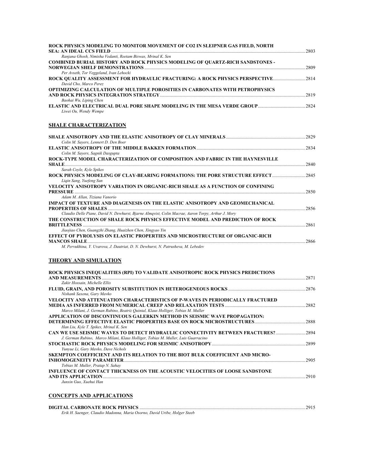| ROCK PHYSICS MODELING TO MONITOR MOVEMENT OF CO2 IN SLEIPNER GAS FIELD, NORTH        |      |
|--------------------------------------------------------------------------------------|------|
|                                                                                      | 2803 |
| Ranjana Ghosh, Nimisha Vedanti, Reetam Biswas, Mrinal K. Sen                         |      |
| <b>COMBINED BURIAL HISTORY AND ROCK PHYSICS MODELING OF QUARTZ-RICH SANDSTONES -</b> |      |
|                                                                                      | 2809 |
| Per Avseth, Tor Veggeland, Ivan Lehocki                                              |      |
| ROCK OUALITY ASSESSMENT FOR HYDRAULIC FRACTURING: A ROCK PHYSICS PERSPECTIVE2814     |      |
| David Cho. Marco Perez                                                               |      |
| OPTIMIZING CALCULATION OF MULTIPLE POROSITIES IN CARBONATES WITH PETROPHYSICS        |      |
|                                                                                      | 2819 |
| Baohai Wu, Liping Chen                                                               |      |
|                                                                                      |      |
| Liwei Ou, Wendy Wempe                                                                |      |
|                                                                                      |      |

#### **SHALE CHARACTERIZATION**

|                                                                                                    | 2829 |
|----------------------------------------------------------------------------------------------------|------|
| Colin M. Savers, Lennert D. Den Boer                                                               |      |
|                                                                                                    | 2834 |
| Colin M. Sayers, Sagnik Dasgupta                                                                   |      |
| ROCK-TYPE MODEL CHARACTERIZATION OF COMPOSITION AND FABRIC IN THE HAYNESVILLE                      |      |
| <b>SHALE</b>                                                                                       | 2840 |
| Sarah Coyle, Kyle Spikes                                                                           |      |
|                                                                                                    | 2845 |
| Ligin Sang, Yuefeng Sun                                                                            |      |
| VELOCITY ANISOTROPY VARIATION IN ORGANIC-RICH SHALE AS A FUNCTION OF CONFINING                     |      |
| <b>PRESSURE</b>                                                                                    | 2850 |
| Adam M. Allan. Tiziana Vanorio                                                                     |      |
| IMPACT OF TEXTURE AND DIAGENESIS ON THE ELASTIC ANISOTROPY AND GEOMECHANICAL                       |      |
|                                                                                                    | 2856 |
| Claudio Delle Piane, David N. Dewhurst, Bjarne Almqvist, Colin Macrae, Aaron Torpy, Arthur J. Mory |      |
| THE CONSTRUCTION OF SHALE ROCK PHYSICS EFFECTIVE MODEL AND PREDICTION OF ROCK                      |      |
| <b>BRITTLENESS</b>                                                                                 | 2861 |
| Jiaojiao Chen, Guangzhi Zhang, Huaizhen Chen, Xingyao Yin                                          |      |
| EFFECT OF PYROLYSIS ON ELASTIC PROPERTIES AND MICROSTRUCTURE OF ORGANIC-RICH                       |      |
| <b>MANCOS SHALE</b>                                                                                | 2866 |
| M. Pervukhina, Y. Uvarova, J. Dautriat, D. N. Dewhurst, N. Patrusheva, M. Lebedev                  |      |
|                                                                                                    |      |

## **THEORY AND SIMULATION**

| ROCK PHYSICS INEQUALITIES (RPI) TO VALIDATE ANISOTROPIC ROCK PHYSICS PREDICTIONS  |       |
|-----------------------------------------------------------------------------------|-------|
|                                                                                   | 2871  |
| Zakir Hossain, Michelle Ellis                                                     |       |
|                                                                                   | .2876 |
| Nishank Saxena, Gary Mavko                                                        |       |
| VELOCITY AND ATTENUATION CHARACTERISTICS OF P-WAVES IN PERIODICALLY FRACTURED     |       |
|                                                                                   | 2882  |
| Marco Milani, J. German Rubino, Beatriz Quintal, Klaus Holliger, Tobias M. Muller |       |
| APPLICATION OF DISCONTINUOUS GALERKIN METHOD IN SEISMIC WAVE PROPAGATION:         |       |
|                                                                                   | .2888 |
| Han Liu, Kyle T. Spikes, Mrinal K. Sen                                            |       |
| CAN WE USE SEISMIC WAVES TO DETECT HYDRAULIC CONNECTIVITY BETWEEN FRACTURES?      | 2894  |
| J. German Rubino, Marco Milani, Klaus Holliger, Tobias M. Muller, Luis Guarracino |       |
|                                                                                   | 2899  |
| Yunyue Li, Gary Mayko, Dave Nichols                                               |       |
| SKEMPTON COEFFICIENT AND ITS RELATION TO THE BIOT BULK COEFFICIENT AND MICRO-     |       |
| INHOMOGENEITY PARAMETER                                                           | 2905  |
| Tobias M. Muller, Pratap N. Sahav                                                 |       |
| INFLUENCE OF CONTACT THICKNESS ON THE ACOUSTIC VELOCITIES OF LOOSE SANDSTONE      |       |
| AND ITS APPLICATION                                                               | 2910  |
| Junxin Guo, Xuehui Han                                                            |       |
|                                                                                   |       |

#### **CONCEPTS AND APPLICATIONS**

| Erik H. Saenger, Claudio Madonna, Maria Osorno, David Uribe, Holger Steeb |  |
|---------------------------------------------------------------------------|--|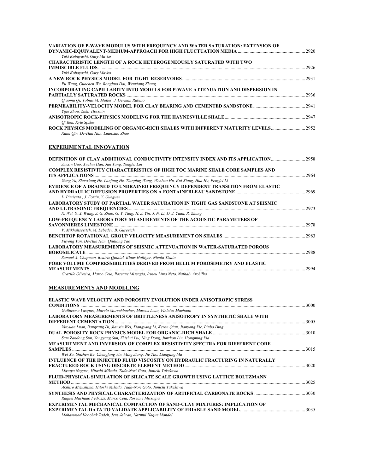| VARIATION OF P-WAVE MODULUS WITH FREQUENCY AND WATER SATURATION: EXTENSION OF              |       |
|--------------------------------------------------------------------------------------------|-------|
|                                                                                            | 2920  |
| Yuki Kobayashi, Gary Mavko                                                                 |       |
| <b>CHARACTERISTIC LENGTH OF A ROCK HETEROGENEOUSLY SATURATED WITH TWO</b>                  | 2926  |
| Yuki Kobayashi, Gary Mavko                                                                 |       |
|                                                                                            |       |
| Pu Wang, Guochen Wu, Ronghuo Dai, Wenxiang Zhang                                           | .2931 |
| INCORPORATING CAPILLARITY INTO MODELS FOR P-WAVE ATTENUATION AND DISPERSION IN             |       |
|                                                                                            | 2936  |
| Oiaomu Oi, Tobias M. Muller, J. German Rubino                                              |       |
|                                                                                            |       |
| Yijie Zhou, Zakir Hossain                                                                  |       |
| ANISOTROPIC ROCK-PHYSICS MODELING FOR THE HAYNESVILLE SHALE ……………………………………………………           | 2947  |
| Oi Ren, Kyle Spikes                                                                        |       |
| ROCK PHYSICS MODELING OF ORGANIC-RICH SHALES WITH DIFFERENT MATURITY LEVELS                | .2952 |
| Xuan Oin, De-Hua Han, Luanxiao Zhao                                                        |       |
|                                                                                            |       |
| EXPERIMENTAL INNOVATION                                                                    |       |
|                                                                                            |       |
| DEFINITION OF CLAY ADDITIONAL CONDUCTIVITY INTENSITY INDEX AND ITS APPLICATION             | .2958 |
| Junxin Guo, Xuehui Han, Jun Tang, Tengfei Lin                                              |       |
| <b>COMPLEX RESISTIVITY CHARACTERISTICS OF HIGH TOC MARINE SHALE CORE SAMPLES AND</b>       |       |
|                                                                                            | 2964  |
| Gang Yu, Zhenxiang He, Lanfang He, Tianping Wang, Wenbao Hu, Kui Xiang, Hua Hu, Pengfei Li |       |
| EVIDENCE OF A DRAINED TO UNDRAINED FREQUENCY DEPENDENT TRANSITION FROM ELASTIC             |       |
|                                                                                            | 2969  |
| L. Pimienta , J. Fortin, Y. Gueguen                                                        |       |
| LABORATORY STUDY OF PARTIAL WATER SATURATION IN TIGHT GAS SANDSTONE AT SEISMIC             |       |
|                                                                                            | 2973  |
| X. Wei, S. X. Wang, J. G. Zhao, G. Y. Tang, H. J. Yin. J. N. Li, D. J. Yuan, R. Zhang      |       |
| LOW-FREOUENCY LABORATORY MEASUREMENTS OF THE ACOUSTIC PARAMETERS OF                        |       |
|                                                                                            | 2978  |
| V. Mikhaltsevitch. M. Lebedev. B. Gurevich                                                 |       |
|                                                                                            | 2983  |
| Fuyong Yan, De-Hua Han, Qiuliang Yao                                                       |       |
| LABORATORY MEASUREMENTS OF SEISMIC ATTENUATION IN WATER-SATURATED POROUS                   |       |
|                                                                                            | 2988  |
|                                                                                            |       |
| Samuel A. Chapman, Beatriz Quintal, Klaus Holliger, Nicola Tisato                          |       |

**MEASUREMENTS**......................................................................................................................................................................................2994 *Grazille Oliveira, Marco Ceia, Roseane Missagia, Irineu Lima Neto, Nathaly Archilha* 

#### **MEASUREMENTS AND MODELING**

| <b>ELASTIC WAVE VELOCITY AND POROSITY EVOLUTION UNDER ANISOTROPIC STRESS</b><br><b>CONDITIONS</b>                                                            | 3000 |
|--------------------------------------------------------------------------------------------------------------------------------------------------------------|------|
| Guilherme Vasquez, Marcio Morschbacher, Marcos Leao, Vinicius Machado                                                                                        |      |
| <b>LABORATORY MEASUREMENTS OF BRITTLENESS ANISOTROPY IN SYNTHETIC SHALE WITH</b>                                                                             | 3005 |
| Xinyuan Luan, Bangrang Di, Jianxin Wei, Xiangyang Li, Keran Oian, Jianyong Xie, Pinbo Ding                                                                   |      |
| Sam Zandong Sun, Yongyang Sun, Zhishui Liu, Ning Dong, Junzhou Liu, Hongming Xia                                                                             | 3010 |
| MEASUREMENT AND INVERSION OF COMPLEX RESISTIVITY SPECTRA FOR DIFFERENT CORE<br><b>SAMPLES</b>                                                                | 3015 |
| Wei Xu, Shizhen Ke, Chengfang Yin, Ming Jiang, Jie Tao, Liangang Ma                                                                                          |      |
| INFLUENCE OF THE INJECTED FLUID VISCOSITY ON HYDRAULIC FRACTURING IN NATURALLY<br>Masaya Nagaso, Hitoshi Mikada, Tada-Nori Goto, Junichi Takekawa            | 3020 |
| FLUID-PHYSICAL SIMULATION OF SILICATE SCALE GROWTH USING LATTICE BOLTZMANN<br><b>METHOD</b>                                                                  | 3025 |
| Akihiro Mizushima, Hitoshi Mikada, Tada-Nori Goto, Junichi Takekawa                                                                                          |      |
| Raquel Machado Fedrizzi, Marco Ceia, Roseane Missagia                                                                                                        | 3030 |
| <b>EXPERIMENTAL MECHANICAL COMPACTION OF SAND-CLAY MIXTURES: IMPLICATION OF</b><br><b>EXPERIMENTAL DATA TO VALIDATE APPLICABILITY OF FRIABLE SAND MODEL.</b> | 3035 |
| Mohammad Koochak Zadeh, Jens Jahran, Nazmul Haque Mondol                                                                                                     |      |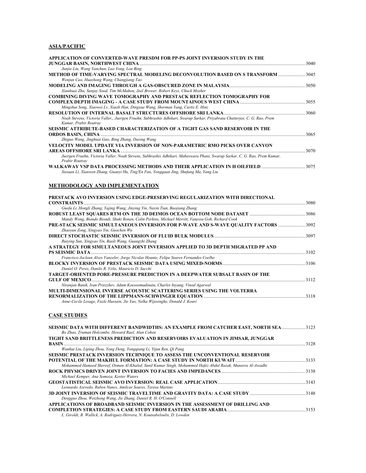#### **ASIA/PACIFIC**

| APPLICATION OF CONVERTED-WAVE PRESDM FOR PP-PS JOINT INVERSION STUDY IN THE                                                                         |       |
|-----------------------------------------------------------------------------------------------------------------------------------------------------|-------|
|                                                                                                                                                     | 3040  |
| Junjie Liu, Wang Yanchun, Luo Yong, Lou Bing                                                                                                        |       |
| METHOD OF TIME-VARYING SPECTRAL MODELING DECONVOLUTION BASED ON S TRANSFORM                                                                         | .3045 |
| Wenjun Cao, Huazhong Wang, Changjiang Tao                                                                                                           |       |
| Xianhuai Zhu, Sanjay Sood, Tim McMahon, Joel Brewer, Robert Keys, Chuck Mosher                                                                      |       |
| <b>COMBINING DIVING WAVE TOMOGRAPHY AND PRESTACK REFLECTION TOMOGRAPHY FOR</b>                                                                      |       |
|                                                                                                                                                     | 3055  |
| Mingshui Song, Xiaowei Lv, Xiaoli Han, Dingxue Wang, Sherman Yang, Curtis E. Hinz                                                                   |       |
|                                                                                                                                                     | 3060  |
| Noah Stevens, Victoria Valler,, Juergen Fruehn, Subhrashis Adhikari, Swarup Sarkar, Privabrata Chatterjee, C. G. Rao, Prem<br>Kumar, Prabir Routray |       |
| SEISMIC ATTRIBUTE-BASED CHARACTERIZATION OF A TIGHT GAS SAND RESERVOIR IN THE                                                                       |       |
|                                                                                                                                                     | 3065  |
| Zhiguo Wang, Jinghuai Gao, Bing Zhang, Daxing Wang                                                                                                  |       |
| VELOCITY MODEL UPDATE VIA INVERSION OF NON-PARAMETRIC RMO PICKS OVER CANYON                                                                         |       |
|                                                                                                                                                     | 3070  |
| Juergen Fruehn, Victoria Valler, Noah Stevens, Subhrashis Adhikari, Maheswara Phani, Swarup Sarkar, C. G. Rao, Prem Kumar,<br>Prabir Routray        |       |
| Xuxuan Li, Xianwen Zhang, Guanyi Hu, Ting'En Fan, Yongquan Jing, Shufang Ma, Yang Liu                                                               | 3075  |

#### **METHODOLOGY AND IMPLEMENTATION**

| PRESTACK AVO INVERSION USING EDGE-PRESERVING REGULARIZATION WITH DIRECTIONAL                      |      |
|---------------------------------------------------------------------------------------------------|------|
| <b>CONSTRAINTS</b>                                                                                | 3080 |
| Guofa Li, Hongli Zhang, Yajing Wang, Jinying Yin, Naxin Tian, Baojiang Zhang                      |      |
|                                                                                                   |      |
| Mandy Wong, Biondo Biondi, Shuki Ronen, Colin Perkins, Michael Merritt, Vanessa Goh, Richard Cook |      |
| <b>PRE-STACK SEISMIC SIMULTANEOUS INVERSION FOR P-WAVE AND S-WAVE QUALITY FACTORS 3092</b>        |      |
| Zhaovun Zong, Xingyao Yin, Guochen Wu                                                             |      |
|                                                                                                   |      |
| Ruiving Sun, Xingyao Yin, Baoli Wang, Guangzhi Zhang                                              |      |
| A STRATEGY FOR SIMULTANEOUS JOINT INVERSION APPLIED TO 3D DEPTH MIGRATED PP AND                   |      |
| <b>PS SEISMIC DATA</b>                                                                            | 3102 |
| Francisco Joclean Alves Vanzeler, Jorge Nicolas Hounie, Felipe Soares Fernandes Coelho            |      |
|                                                                                                   |      |
| Daniel O. Perez. Danilo R. Velis. Mauricio D. Sacchi                                              |      |
| <b>TARGET-ORIENTED PORE-PRESSURE PREDICTION IN A DEEPWATER SUBSALT BASIN OF THE</b>               |      |
|                                                                                                   | 3112 |
| Niranjan Banik, Ivan Priezzhev, Adam Koesoemadinata, Charles Inyang, Vinod Agarwal                |      |
| MULTI-DIMENSIONAL INVERSE ACOUSTIC SCATTERING SERIES USING THE VOLTERRA                           |      |
|                                                                                                   | 3118 |
| Anne-Cecile Lesage, Fazle Hussain, Jie Yao, Nelka Wijesinghe, Donald J. Kouri                     |      |

#### **CASE STUDIES**

| <b>SEISMIC DATA WITH DIFFERENT BANDWIDTHS: AN EXAMPLE FROM CATCHER EAST, NORTH SEA3123</b>                 |      |
|------------------------------------------------------------------------------------------------------------|------|
| Bo Zhao. Truman Holcombe. Howard Rael. Alan Cohen                                                          |      |
| TIGHT SAND BRITTLENESS PREDICTION AND RESERVOIRS EVALUATION IN JIMSAR, JUNGGAR                             |      |
|                                                                                                            | 3128 |
| Wanhui Liu, Liping Zhou, Yong Deng, Yongqiang Li, Yijun Ren, Qi Pang                                       |      |
| <b>SEISMIC PRESTACK INVERSION TECHNIQUE TO ASSESS THE UNCONVENTIONAL RESERVOIR</b>                         |      |
|                                                                                                            |      |
| Mohammed Hameed Shereef, Osman Al-Khaled, Sunil Kumar Singh, Mohammed Hafez Abdul Razak, Muneera Al-Awadhi |      |
|                                                                                                            |      |
| Michael Kemper, Ana Somoza, Kester Waters                                                                  |      |
|                                                                                                            |      |
| Leonardo Azevedo. Ruben Nunes, Amilcar Soares, Teresa Martins                                              |      |
|                                                                                                            |      |
| Dengguo Zhou, Weizhong Wang, Jie Zhang, Daniel R. H. O'Connell                                             |      |
| APPLICATIONS OF BROADBAND SEISMIC INVERSION IN THE ASSESSMENT OF DRILLING AND                              |      |
|                                                                                                            |      |
| L. Giroldi, B. Wallick, A. Rodriguez-Herrera, N. Koutsabeloulis, D. Lowden                                 |      |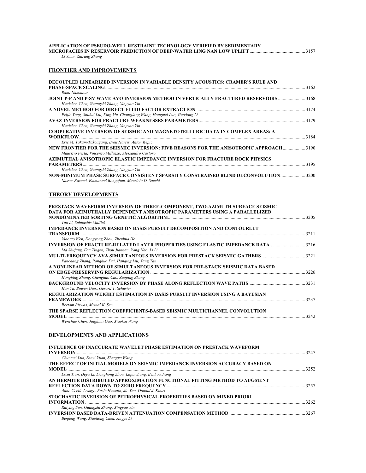| APPLICATION OF PSEUDO-WELL RESTRAINT TECHNOLOGY VERIFIED BY SEDIMENTARY |      |
|-------------------------------------------------------------------------|------|
| MICROFACIES IN RESERVOIR PREDICTION OF DEEP-WATER LING NAN LOW UPLIFT.  | 3157 |
| Li Yuan, Zhirang Zhang                                                  |      |

#### **FRONTIER AND IMPROVEMENTS**

| Rami Nammour<br>JOINT P-P AND P-SV WAVE AVO INVERSION METHOD IN VERTICALLY FRACTURED RESERVOIRS 3168<br>Huaizhen Chen, Guangzhi Zhang, Xingyao Yin<br>Peijie Yang, Shuhui Liu, Xing Mu, Changjiang Wang, Hongmei Luo, Guodong Li<br>Huaizhen Chen, Guangzhi Zhang, Xingyao Yin<br>COOPERATIVE INVERSION OF SEISMIC AND MAGNETOTELLURIC DATA IN COMPLEX AREAS: A<br>Eric M. Takam-Takougang, Brett Harris, Anton Kepic<br>190 NEW FRONTIER FOR THE SEISMIC INVERSION: FIVE REASONS FOR THE ANISOTROPIC APPROACH3190<br>Maurizio Ferla, Vincenzo Milluzzo, Alessandro Castoro<br>AZIMUTHAL ANISOTROPIC ELASTIC IMPEDANCE INVERSION FOR FRACTURE ROCK PHYSICS<br>Huaizhen Chen, Guangzhi Zhang, Xingyao Yin<br>NON-MINIMUM PHASE SURFACE CONSISTENT SPARSITY CONSTRAINED BLIND DECONVOLUTION3200<br>Nasser Kazemi, Emmanuel Bongajum, Mauricio D. Sacchi<br><b>THEORY DEVELOPMENTS</b><br>PRESTACK WAVEFORM INVERSION OF THREE-COMPONENT, TWO-AZIMUTH SURFACE SEISMIC<br>DATA FOR AZIMUTHALLY DEPENDENT ANISOTROPIC PARAMETERS USING A PARALLELIZED<br>Tao Li, Subhashis Mallick<br>IMPEDANCE INVERSION BASED ON BASIS PURSUIT DECOMPOSITION AND CONTOURLET<br>Xiaotao Wen, Dongyong Zhou, Zhenhua He<br>INVERSION OF FRACTURE-RELATED LAYER PROPERTIES USING ELASTIC IMPEDANCE DATA3216<br>Ma Shufang, Fan Tingen, Zhou Jiannan, Yang Hao, Li Li<br>MULTI-FREQUENCY AVA SIMULTANEOUS INVERSION FOR PRESTACK SEISMIC GATHERS 3221<br>Fanchang Zhang, Ronghuo Dai, Hanging Liu, Yang Tan<br>A NONLINEAR METHOD OF SIMULTANEOUS INVERSION FOR PRE-STACK SEISMIC DATA BASED<br>Hongbing Zhang, Chenghao Cao, Zuoping Shang<br>Han Yu, Bowen Guo,, Gerard T. Schuster<br>REGULARIZATION WEIGHT ESTIMATION IN BASIS PURSUIT INVERSION USING A BAYESIAN<br>Reetam Biswas, Mrinal K. Sen<br>THE SPARSE REFLECTION COEFFICIENTS-BASED SEISMIC MULTICHANNEL CONVOLUTION<br>Wenchao Chen, Jinghuai Gao, Xiaokai Wang<br>DEVELOPMENTS AND APPLICATIONS<br>INFLUENCE OF INACCURATE WAVELET PHASE ESTIMATION ON PRESTACK WAVEFORM | DECOUPLED LINEARIZED INVERSION IN VARIABLE DENSITY ACOUSTICS: CRAMER'S RULE AND |  |
|-------------------------------------------------------------------------------------------------------------------------------------------------------------------------------------------------------------------------------------------------------------------------------------------------------------------------------------------------------------------------------------------------------------------------------------------------------------------------------------------------------------------------------------------------------------------------------------------------------------------------------------------------------------------------------------------------------------------------------------------------------------------------------------------------------------------------------------------------------------------------------------------------------------------------------------------------------------------------------------------------------------------------------------------------------------------------------------------------------------------------------------------------------------------------------------------------------------------------------------------------------------------------------------------------------------------------------------------------------------------------------------------------------------------------------------------------------------------------------------------------------------------------------------------------------------------------------------------------------------------------------------------------------------------------------------------------------------------------------------------------------------------------------------------------------------------------------------------------------------------------------------------------------------------------------------------------------------------------------------------------------------------|---------------------------------------------------------------------------------|--|
|                                                                                                                                                                                                                                                                                                                                                                                                                                                                                                                                                                                                                                                                                                                                                                                                                                                                                                                                                                                                                                                                                                                                                                                                                                                                                                                                                                                                                                                                                                                                                                                                                                                                                                                                                                                                                                                                                                                                                                                                                   |                                                                                 |  |
|                                                                                                                                                                                                                                                                                                                                                                                                                                                                                                                                                                                                                                                                                                                                                                                                                                                                                                                                                                                                                                                                                                                                                                                                                                                                                                                                                                                                                                                                                                                                                                                                                                                                                                                                                                                                                                                                                                                                                                                                                   |                                                                                 |  |
|                                                                                                                                                                                                                                                                                                                                                                                                                                                                                                                                                                                                                                                                                                                                                                                                                                                                                                                                                                                                                                                                                                                                                                                                                                                                                                                                                                                                                                                                                                                                                                                                                                                                                                                                                                                                                                                                                                                                                                                                                   |                                                                                 |  |
|                                                                                                                                                                                                                                                                                                                                                                                                                                                                                                                                                                                                                                                                                                                                                                                                                                                                                                                                                                                                                                                                                                                                                                                                                                                                                                                                                                                                                                                                                                                                                                                                                                                                                                                                                                                                                                                                                                                                                                                                                   |                                                                                 |  |
|                                                                                                                                                                                                                                                                                                                                                                                                                                                                                                                                                                                                                                                                                                                                                                                                                                                                                                                                                                                                                                                                                                                                                                                                                                                                                                                                                                                                                                                                                                                                                                                                                                                                                                                                                                                                                                                                                                                                                                                                                   |                                                                                 |  |
|                                                                                                                                                                                                                                                                                                                                                                                                                                                                                                                                                                                                                                                                                                                                                                                                                                                                                                                                                                                                                                                                                                                                                                                                                                                                                                                                                                                                                                                                                                                                                                                                                                                                                                                                                                                                                                                                                                                                                                                                                   |                                                                                 |  |
|                                                                                                                                                                                                                                                                                                                                                                                                                                                                                                                                                                                                                                                                                                                                                                                                                                                                                                                                                                                                                                                                                                                                                                                                                                                                                                                                                                                                                                                                                                                                                                                                                                                                                                                                                                                                                                                                                                                                                                                                                   |                                                                                 |  |
|                                                                                                                                                                                                                                                                                                                                                                                                                                                                                                                                                                                                                                                                                                                                                                                                                                                                                                                                                                                                                                                                                                                                                                                                                                                                                                                                                                                                                                                                                                                                                                                                                                                                                                                                                                                                                                                                                                                                                                                                                   |                                                                                 |  |
|                                                                                                                                                                                                                                                                                                                                                                                                                                                                                                                                                                                                                                                                                                                                                                                                                                                                                                                                                                                                                                                                                                                                                                                                                                                                                                                                                                                                                                                                                                                                                                                                                                                                                                                                                                                                                                                                                                                                                                                                                   |                                                                                 |  |
|                                                                                                                                                                                                                                                                                                                                                                                                                                                                                                                                                                                                                                                                                                                                                                                                                                                                                                                                                                                                                                                                                                                                                                                                                                                                                                                                                                                                                                                                                                                                                                                                                                                                                                                                                                                                                                                                                                                                                                                                                   |                                                                                 |  |
|                                                                                                                                                                                                                                                                                                                                                                                                                                                                                                                                                                                                                                                                                                                                                                                                                                                                                                                                                                                                                                                                                                                                                                                                                                                                                                                                                                                                                                                                                                                                                                                                                                                                                                                                                                                                                                                                                                                                                                                                                   |                                                                                 |  |
|                                                                                                                                                                                                                                                                                                                                                                                                                                                                                                                                                                                                                                                                                                                                                                                                                                                                                                                                                                                                                                                                                                                                                                                                                                                                                                                                                                                                                                                                                                                                                                                                                                                                                                                                                                                                                                                                                                                                                                                                                   |                                                                                 |  |
|                                                                                                                                                                                                                                                                                                                                                                                                                                                                                                                                                                                                                                                                                                                                                                                                                                                                                                                                                                                                                                                                                                                                                                                                                                                                                                                                                                                                                                                                                                                                                                                                                                                                                                                                                                                                                                                                                                                                                                                                                   |                                                                                 |  |
|                                                                                                                                                                                                                                                                                                                                                                                                                                                                                                                                                                                                                                                                                                                                                                                                                                                                                                                                                                                                                                                                                                                                                                                                                                                                                                                                                                                                                                                                                                                                                                                                                                                                                                                                                                                                                                                                                                                                                                                                                   |                                                                                 |  |
|                                                                                                                                                                                                                                                                                                                                                                                                                                                                                                                                                                                                                                                                                                                                                                                                                                                                                                                                                                                                                                                                                                                                                                                                                                                                                                                                                                                                                                                                                                                                                                                                                                                                                                                                                                                                                                                                                                                                                                                                                   |                                                                                 |  |
|                                                                                                                                                                                                                                                                                                                                                                                                                                                                                                                                                                                                                                                                                                                                                                                                                                                                                                                                                                                                                                                                                                                                                                                                                                                                                                                                                                                                                                                                                                                                                                                                                                                                                                                                                                                                                                                                                                                                                                                                                   |                                                                                 |  |
|                                                                                                                                                                                                                                                                                                                                                                                                                                                                                                                                                                                                                                                                                                                                                                                                                                                                                                                                                                                                                                                                                                                                                                                                                                                                                                                                                                                                                                                                                                                                                                                                                                                                                                                                                                                                                                                                                                                                                                                                                   |                                                                                 |  |
|                                                                                                                                                                                                                                                                                                                                                                                                                                                                                                                                                                                                                                                                                                                                                                                                                                                                                                                                                                                                                                                                                                                                                                                                                                                                                                                                                                                                                                                                                                                                                                                                                                                                                                                                                                                                                                                                                                                                                                                                                   |                                                                                 |  |
|                                                                                                                                                                                                                                                                                                                                                                                                                                                                                                                                                                                                                                                                                                                                                                                                                                                                                                                                                                                                                                                                                                                                                                                                                                                                                                                                                                                                                                                                                                                                                                                                                                                                                                                                                                                                                                                                                                                                                                                                                   |                                                                                 |  |
|                                                                                                                                                                                                                                                                                                                                                                                                                                                                                                                                                                                                                                                                                                                                                                                                                                                                                                                                                                                                                                                                                                                                                                                                                                                                                                                                                                                                                                                                                                                                                                                                                                                                                                                                                                                                                                                                                                                                                                                                                   |                                                                                 |  |
|                                                                                                                                                                                                                                                                                                                                                                                                                                                                                                                                                                                                                                                                                                                                                                                                                                                                                                                                                                                                                                                                                                                                                                                                                                                                                                                                                                                                                                                                                                                                                                                                                                                                                                                                                                                                                                                                                                                                                                                                                   |                                                                                 |  |
|                                                                                                                                                                                                                                                                                                                                                                                                                                                                                                                                                                                                                                                                                                                                                                                                                                                                                                                                                                                                                                                                                                                                                                                                                                                                                                                                                                                                                                                                                                                                                                                                                                                                                                                                                                                                                                                                                                                                                                                                                   |                                                                                 |  |
|                                                                                                                                                                                                                                                                                                                                                                                                                                                                                                                                                                                                                                                                                                                                                                                                                                                                                                                                                                                                                                                                                                                                                                                                                                                                                                                                                                                                                                                                                                                                                                                                                                                                                                                                                                                                                                                                                                                                                                                                                   |                                                                                 |  |
|                                                                                                                                                                                                                                                                                                                                                                                                                                                                                                                                                                                                                                                                                                                                                                                                                                                                                                                                                                                                                                                                                                                                                                                                                                                                                                                                                                                                                                                                                                                                                                                                                                                                                                                                                                                                                                                                                                                                                                                                                   |                                                                                 |  |
|                                                                                                                                                                                                                                                                                                                                                                                                                                                                                                                                                                                                                                                                                                                                                                                                                                                                                                                                                                                                                                                                                                                                                                                                                                                                                                                                                                                                                                                                                                                                                                                                                                                                                                                                                                                                                                                                                                                                                                                                                   |                                                                                 |  |
|                                                                                                                                                                                                                                                                                                                                                                                                                                                                                                                                                                                                                                                                                                                                                                                                                                                                                                                                                                                                                                                                                                                                                                                                                                                                                                                                                                                                                                                                                                                                                                                                                                                                                                                                                                                                                                                                                                                                                                                                                   |                                                                                 |  |
|                                                                                                                                                                                                                                                                                                                                                                                                                                                                                                                                                                                                                                                                                                                                                                                                                                                                                                                                                                                                                                                                                                                                                                                                                                                                                                                                                                                                                                                                                                                                                                                                                                                                                                                                                                                                                                                                                                                                                                                                                   |                                                                                 |  |
|                                                                                                                                                                                                                                                                                                                                                                                                                                                                                                                                                                                                                                                                                                                                                                                                                                                                                                                                                                                                                                                                                                                                                                                                                                                                                                                                                                                                                                                                                                                                                                                                                                                                                                                                                                                                                                                                                                                                                                                                                   |                                                                                 |  |
|                                                                                                                                                                                                                                                                                                                                                                                                                                                                                                                                                                                                                                                                                                                                                                                                                                                                                                                                                                                                                                                                                                                                                                                                                                                                                                                                                                                                                                                                                                                                                                                                                                                                                                                                                                                                                                                                                                                                                                                                                   |                                                                                 |  |
|                                                                                                                                                                                                                                                                                                                                                                                                                                                                                                                                                                                                                                                                                                                                                                                                                                                                                                                                                                                                                                                                                                                                                                                                                                                                                                                                                                                                                                                                                                                                                                                                                                                                                                                                                                                                                                                                                                                                                                                                                   |                                                                                 |  |
|                                                                                                                                                                                                                                                                                                                                                                                                                                                                                                                                                                                                                                                                                                                                                                                                                                                                                                                                                                                                                                                                                                                                                                                                                                                                                                                                                                                                                                                                                                                                                                                                                                                                                                                                                                                                                                                                                                                                                                                                                   |                                                                                 |  |
|                                                                                                                                                                                                                                                                                                                                                                                                                                                                                                                                                                                                                                                                                                                                                                                                                                                                                                                                                                                                                                                                                                                                                                                                                                                                                                                                                                                                                                                                                                                                                                                                                                                                                                                                                                                                                                                                                                                                                                                                                   |                                                                                 |  |
|                                                                                                                                                                                                                                                                                                                                                                                                                                                                                                                                                                                                                                                                                                                                                                                                                                                                                                                                                                                                                                                                                                                                                                                                                                                                                                                                                                                                                                                                                                                                                                                                                                                                                                                                                                                                                                                                                                                                                                                                                   |                                                                                 |  |
|                                                                                                                                                                                                                                                                                                                                                                                                                                                                                                                                                                                                                                                                                                                                                                                                                                                                                                                                                                                                                                                                                                                                                                                                                                                                                                                                                                                                                                                                                                                                                                                                                                                                                                                                                                                                                                                                                                                                                                                                                   |                                                                                 |  |
|                                                                                                                                                                                                                                                                                                                                                                                                                                                                                                                                                                                                                                                                                                                                                                                                                                                                                                                                                                                                                                                                                                                                                                                                                                                                                                                                                                                                                                                                                                                                                                                                                                                                                                                                                                                                                                                                                                                                                                                                                   |                                                                                 |  |
|                                                                                                                                                                                                                                                                                                                                                                                                                                                                                                                                                                                                                                                                                                                                                                                                                                                                                                                                                                                                                                                                                                                                                                                                                                                                                                                                                                                                                                                                                                                                                                                                                                                                                                                                                                                                                                                                                                                                                                                                                   |                                                                                 |  |
|                                                                                                                                                                                                                                                                                                                                                                                                                                                                                                                                                                                                                                                                                                                                                                                                                                                                                                                                                                                                                                                                                                                                                                                                                                                                                                                                                                                                                                                                                                                                                                                                                                                                                                                                                                                                                                                                                                                                                                                                                   |                                                                                 |  |
|                                                                                                                                                                                                                                                                                                                                                                                                                                                                                                                                                                                                                                                                                                                                                                                                                                                                                                                                                                                                                                                                                                                                                                                                                                                                                                                                                                                                                                                                                                                                                                                                                                                                                                                                                                                                                                                                                                                                                                                                                   |                                                                                 |  |
|                                                                                                                                                                                                                                                                                                                                                                                                                                                                                                                                                                                                                                                                                                                                                                                                                                                                                                                                                                                                                                                                                                                                                                                                                                                                                                                                                                                                                                                                                                                                                                                                                                                                                                                                                                                                                                                                                                                                                                                                                   |                                                                                 |  |
| $\mathbf{r}$ $\mathbf{r}$ $\mathbf{r}$ $\mathbf{r}$ $\mathbf{r}$ $\mathbf{r}$ $\mathbf{r}$ $\mathbf{r}$ $\mathbf{r}$                                                                                                                                                                                                                                                                                                                                                                                                                                                                                                                                                                                                                                                                                                                                                                                                                                                                                                                                                                                                                                                                                                                                                                                                                                                                                                                                                                                                                                                                                                                                                                                                                                                                                                                                                                                                                                                                                              |                                                                                 |  |

| Chunmei Luo, Sanyi Yuan, Shangxu Wang<br>THE EFFECT OF INITIAL MODELS ON SEISMIC IMPEDANCE INVERSION ACCURACY BASED ON<br>Lixin Tian, Devu Li, Donghong Zhou, Liqun Jiang, Benhou Jiang<br>AN HERMITE DISTRIBUTED APPROXIMATION FUNCTIONAL FITTING METHOD TO AUGMENT |      |
|----------------------------------------------------------------------------------------------------------------------------------------------------------------------------------------------------------------------------------------------------------------------|------|
|                                                                                                                                                                                                                                                                      |      |
|                                                                                                                                                                                                                                                                      |      |
|                                                                                                                                                                                                                                                                      | 3252 |
|                                                                                                                                                                                                                                                                      |      |
|                                                                                                                                                                                                                                                                      |      |
|                                                                                                                                                                                                                                                                      |      |
| Anne-Cecile Lesage, Fazle Hussain, Jie Yao, Donald J. Kouri                                                                                                                                                                                                          |      |
| STOCHASTIC INVERSION OF PETROPHYSICAL PROPERTIES BASED ON MIXED PRIORI                                                                                                                                                                                               |      |
|                                                                                                                                                                                                                                                                      | 3262 |
| Ruiving Sun, Guangzhi Zhang, Xingyao Yin                                                                                                                                                                                                                             |      |
|                                                                                                                                                                                                                                                                      |      |
| Benfeng Wang, Xiaohong Chen, Jingve Li                                                                                                                                                                                                                               |      |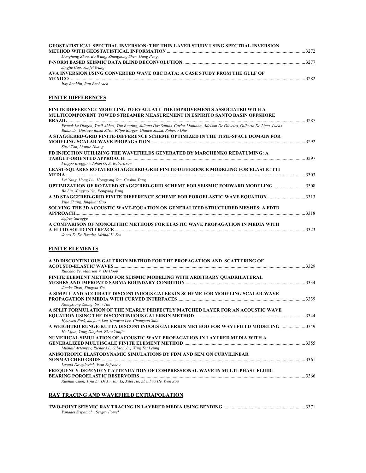| <b>GEOSTATISTICAL SPECTRAL INVERSION: THE THIN LAYER STUDY USING SPECTRAL INVERSION</b> |      |
|-----------------------------------------------------------------------------------------|------|
|                                                                                         | 3272 |
| Donghong Zhou, Bo Wang, Zhanghong Shen, Gang Peng                                       |      |
|                                                                                         |      |
| Jingjie Cao, Yanfei Wang                                                                |      |
| AVA INVERSION USING CONVERTED WAVE OBC DATA: A CASE STUDY FROM THE GULF OF              |      |
| MEXICO                                                                                  | 3282 |
| Itay Rochlin, Ran Bachrach                                                              |      |

#### **FINITE DIFFERENCES**

| FINITE DIFFERENCE MODELING TO EVALUATE THE IMPROVEMENTS ASSOCIATED WITH A<br>MULTICOMPONENT TOWED STREAMER MEASUREMENT IN ESPIRITO SANTO BASIN OFFSHORE                                                  |      |
|----------------------------------------------------------------------------------------------------------------------------------------------------------------------------------------------------------|------|
| <b>BRAZIL</b>                                                                                                                                                                                            | 3287 |
| Franck Le Diagon, Yazil Abbas, Tim Bunting, Juliana Dos Santos, Carlos Montana, Adelson De Oliveira, Gilberto De Lima, Lucas<br>Balancin, Gustavo Basta Silva, Filipe Borges, Glauco Sousa, Roberto Dias |      |
| A STAGGERED-GRID FINITE-DIFFERENCE SCHEME OPTIMIZED IN THE TIME-SPACE DOMAIN FOR                                                                                                                         |      |
|                                                                                                                                                                                                          | 3292 |
| Sirui Tan, Lianjie Huang                                                                                                                                                                                 |      |
| FD INJECTION UTILIZING THE WAVEFIELDS GENERATED BY MARCHENKO REDATUMING: A                                                                                                                               |      |
| TARGET-ORIENTED APPROACH.                                                                                                                                                                                | 3297 |
| Filippo Broggini, Johan O. A. Robertsson                                                                                                                                                                 |      |
| LEAST-SQUARES ROTATED STAGGERED-GRID FINITE-DIFFERENCE MODELING FOR ELASTIC TTI                                                                                                                          |      |
| <b>MEDIA</b>                                                                                                                                                                                             | 3303 |
| Lei Yang, Hong Liu, Hongyong Yan, Guobin Yang                                                                                                                                                            |      |
| OPTIMIZATION OF ROTATED STAGGERED-GRID SCHEME FOR SEISMIC FORWARD MODELING.                                                                                                                              | 3308 |
| Bo Liu, Xingyao Yin, Fengying Yang                                                                                                                                                                       |      |
| A 3D STAGGERED-GRID FINITE DIFFERENCE SCHEME FOR POROELASTIC WAVE EQUATION<br>Yijie Zhang, Jinghuai Gao                                                                                                  | 3313 |
| SOLVING THE 3D ACOUSTIC WAVE-EQUATION ON GENERALIZED STRUCTURED MESHES: A FDTD                                                                                                                           |      |
| <b>APPROACH</b>                                                                                                                                                                                          | 3318 |
| Jeffrey Shragge                                                                                                                                                                                          |      |
| A COMPARISON OF MONOLITHIC METHODS FOR ELASTIC WAVE PROPAGATION IN MEDIA WITH                                                                                                                            |      |
| A FLUID-SOLID INTERFACE                                                                                                                                                                                  | 3323 |
| Jonas D. De Basabe. Mrinal K. Sen                                                                                                                                                                        |      |
|                                                                                                                                                                                                          |      |

## **FINITE ELEMENTS**

| A 3D DISCONTINUOUS GALERKIN METHOD FOR THE PROPAGATION AND SCATTERING OF         |      |
|----------------------------------------------------------------------------------|------|
|                                                                                  | 3329 |
| Ruichao Ye, Maarten V. De Hoop                                                   |      |
| FINITE ELEMENT METHOD FOR SEISMIC MODELING WITH ARBITRARY OUADRILATERAL          |      |
|                                                                                  | 3334 |
| Jianke Zhou, Xingyao Yin                                                         |      |
| A SIMPLE AND ACCURATE DISCONTINUOUS GALERKIN SCHEME FOR MODELING SCALAR-WAVE     |      |
|                                                                                  | 3339 |
| Xiangxiong Zhang, Sirui Tan                                                      |      |
| A SPLIT FORMULATION OF THE NEARLY PERFECTLY MATCHED LAYER FOR AN ACOUSTIC WAVE   |      |
|                                                                                  | 3344 |
| Hyunseo Park, Jaejoon Lee, Kunwoo Lee, Changsoo Shin                             |      |
| A WEIGHTED RUNGE-KUTTA DISCONTINUOUS GALERKIN METHOD FOR WAVEFIELD MODELING 3349 |      |
| He Xijun, Yang Dinghui, Zhou Yanjie                                              |      |
| NUMERICAL SIMULATION OF ACOUSTIC WAVE PROPAGATION IN LAYERED MEDIA WITH A        |      |
|                                                                                  |      |
| Mikhail Artemyev, Richard L. Gibson Jr., Wing Tat Leung                          |      |
| ANISOTROPIC ELASTODYNAMIC SIMULATIONS BY FDM AND SEM ON CURVILINEAR              |      |
| <b>NONMATCHED GRIDS.</b>                                                         | 3361 |
| Leonid Dovgilovich, Ivan Sofronov                                                |      |
| FREQUENCY-DEPENDENT ATTENUATION OF COMPRESSIONAL WAVE IN MULTI-PHASE FLUID-      |      |
| <b>BEARING POROELASTIC RESERVOIRS</b>                                            | 3366 |
| Xuehua Chen, Yijia Li, Di Xu, Bin Li, Xilei He, Zhenhua He, Wen Zou              |      |
|                                                                                  |      |

## **RAY TRACING AND WAVEFIELD EXTRAPOLATION**

| TWO-POINT SEISMIC RAY TRACING IN LAYERED MEDIA USING BENDING | $\sim$ 3371 |
|--------------------------------------------------------------|-------------|
| Yanadet Sripanich, Sergey Fomel                              |             |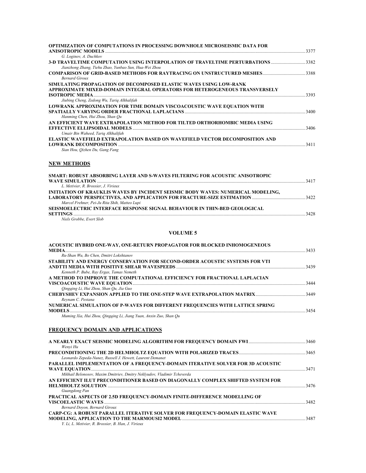| OPTIMIZATION OF COMPUTATIONS IN PROCESSING DOWNHOLE MICROSEISMIC DATA FOR<br>ANISOTROPIC MODELS                                     | 3377 |
|-------------------------------------------------------------------------------------------------------------------------------------|------|
| G. Loginov, A. Duchkov                                                                                                              |      |
| 3-D TRAVELTIME COMPUTATION USING INTERPOLATION OF TRAVELTIME PERTURBATIONS<br>Jianzhong Zhang, Tiehu Zhao, Yunbao Sun, Hua-Wei Zhou | 3382 |
| <b>Bernard Giroux</b>                                                                                                               |      |
| SIMULATING PROPAGATION OF DECOMPOSED ELASTIC WAVES USING LOW-RANK                                                                   |      |
| APPROXIMATE MIXED-DOMAIN INTEGRAL OPERATORS FOR HETEROGENEOUS TRANSVERSELY                                                          |      |
| <b>ISOTROPIC MEDIA</b>                                                                                                              | 3393 |
| Jiubing Cheng, Zedong Wu, Tariq Alkhalifah                                                                                          |      |
| LOWRANK APPROXIMATION FOR TIME DOMAIN VISCOACOUSTIC WAVE EQUATION WITH                                                              |      |
|                                                                                                                                     | 3400 |
| Hanming Chen, Hui Zhou, Shan Ou                                                                                                     |      |
| AN EFFICIENT WAVE EXTRAPOLATION METHOD FOR TILTED ORTHORHOMBIC MEDIA USING                                                          |      |
| EFFECTIVE ELLIPSOIDAL MODELS                                                                                                        | 3406 |
| Umair Bin Waheed, Tariq Alkhalifah                                                                                                  |      |
| ELASTIC WAVEFIELD EXTRAPOLATION BASED ON WAVEFIELD VECTOR DECOMPOSITION AND                                                         |      |
| <b>LOWRANK DECOMPOSITION</b>                                                                                                        | 3411 |
| Sian Hou, Oizhen Du, Gang Fang                                                                                                      |      |

#### **NEW METHODS**

| SMART: ROBUST ABSORBING LAYER AND S-WAVES FILTERING FOR ACOUSTIC ANISOTROPIC            |      |
|-----------------------------------------------------------------------------------------|------|
|                                                                                         |      |
| L. Metivier, R. Brossier, J. Virieux                                                    |      |
| <b>INITIATION OF KRAUKLIS WAVES BY INCIDENT SEISMIC BODY WAVES: NUMERICAL MODELING,</b> |      |
|                                                                                         |      |
| Marcel Frehner, Pei-Ju Rita Shih, Matteo Lupi                                           |      |
| SEISMOELECTRIC INTERFACE RESPONSE SIGNAL BEHAVIOUR IN THIN-BED GEOLOGICAL               |      |
|                                                                                         | 3428 |
| Niels Grobbe, Evert Slob                                                                |      |

#### **VOLUME 5**

| ACOUSTIC HYBRID ONE-WAY, ONE-RETURN PROPAGATOR FOR BLOCKED INHOMOGENEOUS      |      |
|-------------------------------------------------------------------------------|------|
|                                                                               | 3433 |
| Ru-Shan Wu, Bo Chen, Dmitri Lokshtanov                                        |      |
| STABILITY AND ENERGY CONSERVATION FOR SECOND-ORDER ACOUSTIC SYSTEMS FOR VTI   |      |
|                                                                               | 3439 |
| Kenneth P. Bube, Ray Ergas, Tamas Nemeth                                      |      |
| A METHOD TO IMPROVE THE COMPUTATIONAL EFFICIENCY FOR FRACTIONAL LAPLACIAN     |      |
|                                                                               | 3444 |
| Oingging Li, Hui Zhou, Shan Ou, Jia Guo                                       |      |
|                                                                               |      |
| Reynam C. Pestana                                                             |      |
| NUMERICAL SIMULATION OF P-WAVES FOR DIFFERENT FREQUENCIES WITH LATTICE SPRING |      |
|                                                                               | 3454 |
| Muming Xia, Hui Zhou, Oingging Li, Jiang Yuan, Anxin Zuo, Shan Ou             |      |

## **FREQUENCY DOMAIN AND APPLICATIONS**

| Wenvi Hu                                                                              |      |
|---------------------------------------------------------------------------------------|------|
|                                                                                       |      |
| Leonardo Zepeda-Nunez, Russell J. Hewett, Laurent Demanet                             |      |
| <b>PARALLEL IMPLEMENTATION OF A FREQUENCY-DOMAIN ITERATIVE SOLVER FOR 3D ACOUSTIC</b> |      |
|                                                                                       | 3471 |
| Mikhail Belonosov, Maxim Dmitriev, Dmitry Neklyudov, Vladimir Tcheverda               |      |
| AN EFFICIENT ILUT PRECONDITIONER BASED ON DIAGONALLY COMPLEX SHIFTED SYSTEM FOR       |      |
|                                                                                       | 3476 |
| Guangdong Pan                                                                         |      |
| PRACTICAL ASPECTS OF 2.5D FREQUENCY-DOMAIN FINITE-DIFFERENCE MODELLING OF             |      |
|                                                                                       | 3482 |
| Bernard Dovon, Bernard Giroux                                                         |      |
| CARP-CG: A ROBUST PARALLEL ITERATIVE SOLVER FOR FREQUENCY-DOMAIN ELASTIC WAVE         |      |
|                                                                                       | 3487 |
| Y. Li, L. Metivier, R. Brossier, B. Han, J. Virieux                                   |      |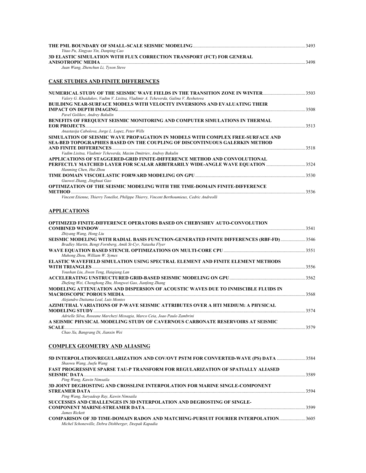|                                                                        | 3493 |
|------------------------------------------------------------------------|------|
| Yitao Pu, Xingyao Yin, Danping Cao                                     |      |
| 3D ELASTIC SIMULATION WITH FLUX CORRECTION TRANSPORT (FCT) FOR GENERAL |      |
|                                                                        | 3498 |
| Juan Wang, Zhenchun Li, Tyson Steve                                    |      |
|                                                                        |      |
|                                                                        |      |

#### **CASE STUDIES AND FINITE DIFFERENCES**

| NUMERICAL STUDY OF THE SEISMIC WAVE FIELDS IN THE TRANSITION ZONE IN WINTER<br>Valery G. Khaidukov, Vadim V. Lisitsa, Vladimir A. Tcheverda, Galina V. Reshetova | 3503 |
|------------------------------------------------------------------------------------------------------------------------------------------------------------------|------|
| <b>BUILDING NEAR-SURFACE MODELS WITH VELOCITY INVERSIONS AND EVALUATING THEIR</b>                                                                                |      |
| IMPACT ON DEPTH IMAGING                                                                                                                                          | 3508 |
| Pavel Golikov, Andrey Bakulin                                                                                                                                    |      |
| BENEFITS OF FREQUENT SEISMIC MONITORING AND COMPUTER SIMULATIONS IN THERMAL                                                                                      |      |
|                                                                                                                                                                  | 3513 |
| Anastasija Cabolova, Jorge L. Lopez, Peter Wills                                                                                                                 |      |
| SIMULATION OF SEISMIC WAVE PROPAGATION IN MODELS WITH COMPLEX FREE-SURFACE AND                                                                                   |      |
| SEA-BED TOPOGRAPHIES BASED ON THE COUPLING OF DISCONTINUOUS GALERKIN METHOD                                                                                      |      |
|                                                                                                                                                                  | 3518 |
| Vadim Lisitsa, Vladimir Tcheverda, Maxim Dmitriev, Andrey Bakulin                                                                                                |      |
| APPLICATIONS OF STAGGERED-GRID FINITE-DIFFERENCE METHOD AND CONVOLUTIONAL                                                                                        |      |
| PERFECTLY MATCHED LAYER FOR SCALAR ARBITRARILY WIDE-ANGLE WAVE EQUATION                                                                                          | 3524 |
| Hanming Chen, Hui Zhou                                                                                                                                           |      |
|                                                                                                                                                                  | 3530 |
| Guowei Zhang, Jinghuai Gao                                                                                                                                       |      |
| <b>OPTIMIZATION OF THE SEISMIC MODELING WITH THE TIME-DOMAIN FINITE-DIFFERENCE</b>                                                                               |      |
| <b>METHOD</b>                                                                                                                                                    | 3536 |
| Vincent Etienne, Thierry Tonellot, Philippe Thierry, Vincent Berthoumieux, Cedric Andreolli                                                                      |      |

## **APPLICATIONS**

| <b>OPTIMIZED FINITE-DIFFERENCE OPERATORS BASED ON CHEBYSHEV AUTO-CONVOLUTION</b>                                                                            |      |
|-------------------------------------------------------------------------------------------------------------------------------------------------------------|------|
| COMBINED WINDOW                                                                                                                                             | 3541 |
| Zhivang Wang, Hong Liu                                                                                                                                      |      |
| <b>SEISMIC MODELING WITH RADIAL BASIS FUNCTION-GENERATED FINITE DIFFERENCES (RBF-FD) 3546</b><br>Bradley Martin, Bengt Fornberg, Amik St-Cyr, Natasha Flyer |      |
| Muhong Zhou, William W. Symes                                                                                                                               |      |
| <b>ELASTIC WAVEFIELD SIMULATION USING SPECTRAL ELEMENT AND FINITE ELEMENT METHODS</b>                                                                       |      |
|                                                                                                                                                             | 3556 |
| Youshan Liu, Jiwen Teng, Haigiang Lan                                                                                                                       |      |
| Zhefeng Wei, Chenghong Zhu, Hongwei Gao, Jianfeng Zhang                                                                                                     |      |
| MODELING ATTENUATION AND DISPERSION OF ACOUSTIC WAVES DUE TO INMISCIBLE FLUIDS IN                                                                           |      |
|                                                                                                                                                             | 3568 |
| Alejandro Duitama Leal, Luis Montes                                                                                                                         |      |
| AZIMUTHAL VARIATIONS OF P-WAVE SEISMIC ATTRIBUTES OVER A HTI MEDIUM: A PHYSICAL                                                                             | 3574 |
| Adrielle Silva, Roseane Marchezi Missagia, Marco Ceia, Joao Paulo Zambrini                                                                                  |      |
| A SEISMIC PHYSICAL MODELING STUDY OF CAVERNOUS CARBONATE RESERVOIRS AT SEISMIC                                                                              |      |
| <b>SCALE</b>                                                                                                                                                | 3579 |
|                                                                                                                                                             |      |

*Chao Xu, Bangrang Di, Jianxin Wei* 

#### **COMPLEX GEOMETRY AND ALIASING**

| Shaowu Wang, Juefu Wang                                                                                                                   |      |
|-------------------------------------------------------------------------------------------------------------------------------------------|------|
| <b>FAST PROGRESSIVE SPARSE TAU-P TRANSFORM FOR REGULARIZATION OF SPATIALLY ALIASED</b>                                                    |      |
|                                                                                                                                           | 3589 |
| Ping Wang, Kawin Nimsaila                                                                                                                 |      |
| 3D JOINT DEGHOSTING AND CROSSLINE INTERPOLATION FOR MARINE SINGLE-COMPONENT                                                               |      |
|                                                                                                                                           | 3594 |
| Ping Wang, Survadeep Ray, Kawin Nimsaila                                                                                                  |      |
| SUCCESSES AND CHALLENGES IN 3D INTERPOLATION AND DEGHOSTING OF SINGLE-                                                                    |      |
| James Rickett                                                                                                                             | 3599 |
| COMPARISON OF 3D TIME-DOMAIN RADON AND MATCHING-PURSUIT FOURIER INTERPOLATION3605<br>Michel Schonewille, Debra Dishberger, Deepak Kapadia |      |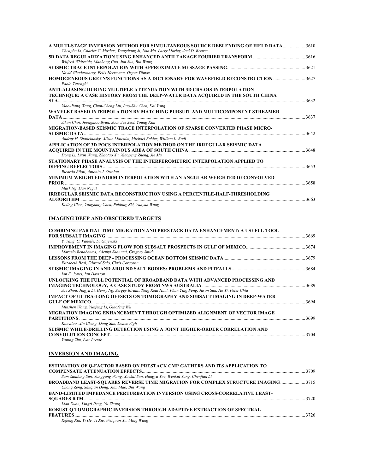| A MULTI-STAGE INVERSION METHOD FOR SIMULTANEOUS SOURCE DEBLENDING OF FIELD DATA<br>Chengbo Li, Charles C. Mosher, Yongchang Ji, Nan Ma, Larry Morley, Joel D. Brewer | 3610 |
|----------------------------------------------------------------------------------------------------------------------------------------------------------------------|------|
| 5D DATA REGULARIZATION USING ENHANCED ANTILEAKAGE FOURIER TRANSFORM                                                                                                  | 3616 |
| Wilfred Whiteside, Manhong Guo, Jun Sun, Bin Wang                                                                                                                    |      |
|                                                                                                                                                                      | 3621 |
| Navid Ghadermarzy, Felix Herrmann, Ozgur Yilmaz                                                                                                                      |      |
| <b>HOMOGENEOUS GREEN'S FUNCTIONS AS A DICTIONARY FOR WAVEFIELD RECONSTRUCTION </b>                                                                                   | 3627 |
| Paolo Terenghi                                                                                                                                                       |      |
| ANTI-ALIASING DURING MULTIPLE ATTENUATION WITH 3D CRS-OIS INTERPOLATION                                                                                              |      |
| TECHNIQUE: A CASE HISTORY FROM THE DEEP-WATER DATA ACQUIRED IN THE SOUTH CHINA                                                                                       |      |
| Xiao-Jiang Wang, Chun-Cheng Liu, Bao-Shu Chen, Kai Yang                                                                                                              | 3632 |
| WAVELET BASED INTERPOLATION BY MATCHING PURSUIT AND MULTICOMPONENT STREAMER                                                                                          |      |
|                                                                                                                                                                      | 3637 |
| Jihun Choi, Joongmoo Byun, Soon Jee Seol, Young Kim                                                                                                                  |      |
| MIGRATION-BASED SEISMIC TRACE INTERPOLATION OF SPARSE CONVERTED PHASE MICRO-                                                                                         |      |
| <b>SEISMIC DATA</b>                                                                                                                                                  | 3642 |
| Andrey H. Shabelansky, Alison Malcolm, Michael Fehler, William L. Rodi                                                                                               |      |
| APPLICATION OF 3D POCS INTERPOLATION METHOD ON THE IRREGULAR SEISMIC DATA                                                                                            |      |
|                                                                                                                                                                      | 3648 |
| Dong Li, Lixin Wang, Zhaotao Xu, Xiaopeng Zheng, Jie Mu                                                                                                              |      |
| STATIONARY PHASE ANALYSIS OF THE INTERFEROMETRIC INTERPOLATION APPLIED TO                                                                                            | 3653 |
| <b>DIPPING REFLECTORS</b><br>Ricardo Biloti, Antonio J. Ortolan                                                                                                      |      |
| MINIMUM WEIGHTED NORM INTERPOLATION WITH AN ANGULAR WEIGHTED DECONVOLVED                                                                                             |      |
| <b>PRIOR</b>                                                                                                                                                         | 3658 |
| Mark Ng, Dan Negut                                                                                                                                                   |      |
| <b>IRREGULAR SEISMIC DATA RECONSTRUCTION USING A PERCENTILE-HALF-THRESHOLDING</b>                                                                                    |      |
| <b>ALGORITHM</b>                                                                                                                                                     | 3663 |
| Keling Chen, Yangkang Chen, Peidong Shi, Yanyan Wang                                                                                                                 |      |
|                                                                                                                                                                      |      |

## **IMAGING DEEP AND OBSCURED TARGETS**

| <b>COMBINING PARTIAL TIME MIGRATION AND PRESTACK DATA ENHANCEMENT: A USEFUL TOOL</b>                       |      |
|------------------------------------------------------------------------------------------------------------|------|
| FOR SUBSALT IMAGING                                                                                        | 3669 |
| Y. Yang, C. Vanelle, D. Gajewski                                                                           |      |
|                                                                                                            | 3674 |
| Marcelo Benabentos, Adeniyi Saanumi, Gregory Smith                                                         |      |
|                                                                                                            |      |
| Elizabeth Beal, Edward Salo, Chris Corcoran                                                                |      |
|                                                                                                            |      |
| Ian F. Jones, Ian Davison                                                                                  |      |
| UNLOCKING THE FULL POTENTIAL OF BROADBAND DATA WITH ADVANCED PROCESSING AND                                |      |
|                                                                                                            | 3689 |
| Joe Zhou, Jingyu Li, Henry Ng, Sergey Birdus, Teng Keat Huat, Phan Ying Peng, Jason Sun, He Yi, Peter Chia |      |
| IMPACT OF ULTRA-LONG OFFSETS ON TOMOGRAPHY AND SUBSALT IMAGING IN DEEP-WATER                               |      |
| <b>GULF OF MEXICO.</b>                                                                                     | 3694 |
| Minshen Wang, Yunfeng Li, Qiaofeng Wu                                                                      |      |
| MIGRATION IMAGING ENHANCEMENT THROUGH OPTIMIZED ALIGNMENT OF VECTOR IMAGE                                  |      |
| <b>PARTITIONS</b>                                                                                          | 3699 |
| Kun Jiao, Xin Cheng, Dong Sun, Denes Vigh                                                                  |      |
| SEISMIC WHILE-DRILLING DETECTION USING A JOINT HIGHER-ORDER CORRELATION AND                                |      |
| <b>CONVOLUTION CONCEPT</b>                                                                                 | 3704 |
| Yaping Zhu, Ivar Brevik                                                                                    |      |

#### **INVERSION AND IMAGING**

| <b>ESTIMATION OF O-FACTOR BASED ON PRESTACK CMP GATHERS AND ITS APPLICATION TO</b>       |      |
|------------------------------------------------------------------------------------------|------|
|                                                                                          | 3709 |
| Sam Zandong Sun, Yonggang Wang, Xuekai Sun, Hangyu Yue, Wenkui Yang, Chenjian Li         |      |
| <b>BROADBAND LEAST-SOUARES REVERSE TIME MIGRATION FOR COMPLEX STRUCTURE IMAGING 3715</b> |      |
| Chong Zeng, Shuqian Dong, Jian Mao, Bin Wang                                             |      |
| <b>BAND-LIMITED IMPEDANCE PERTURBATION INVERSION USING CROSS-CORRELATIVE LEAST-</b>      |      |
|                                                                                          | 3720 |
| Lian Duan, Lingzi Peng, Yu Zhang                                                         |      |
| ROBUST O TOMOGRAPHIC INVERSION THROUGH ADAPTIVE EXTRACTION OF SPECTRAL                   |      |
|                                                                                          | 3726 |
| Kefeng Xin, Yi He, Yi Xie, Weiquan Xu, Ming Wang                                         |      |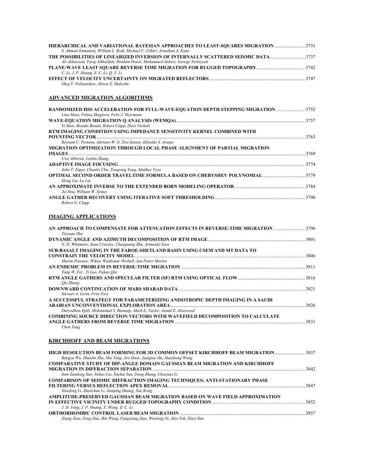| S. Ahmad Zamanian, William L. Rodi, Michael C. Fehler, Jonathan A. Kane            |      |
|------------------------------------------------------------------------------------|------|
| THE POSSIBILITIES OF LINEARIZED INVERSION OF INTERNALLY SCATTERED SEISMIC DATA3737 |      |
| Ali Aldawood, Tariq Alkhalifah, Ibrahim Hoteit, Mohammed Zuberi, George Turkiyyah  |      |
|                                                                                    |      |
| C. Li, J. P. Huang, Z. C. Li, O. Y. Li                                             |      |
|                                                                                    | 3747 |

*Oleg V. Poliannikov, Alison E. Malcolm* 

### **ADVANCED MIGRATION ALGORITHMS**

| RANDOMIZED HSS ACCELERATION FOR FULL-WAVE-EQUATION DEPTH STEPPING MIGRATION 3752<br>Lina Miao, Polina Zheglova, Felix J. Herrmann |      |
|-----------------------------------------------------------------------------------------------------------------------------------|------|
|                                                                                                                                   | 3757 |
| Yi Shen, Biondo Biondi, Robert Clapp, Dave Nichols                                                                                |      |
| RTM IMAGING CONDITION USING IMPEDANCE SENSITIVITY KERNEL COMBINED WITH                                                            |      |
| <b>POYNTING VECTOR</b>                                                                                                            | 3763 |
| Reynam C. Pestana, Adriano W. G. Dos Santos, Edvaldo S. Araujo                                                                    |      |
| MIGRATION OPTIMIZATION THROUGH LOCAL PHASE ALIGNMENT OF PARTIAL MIGRATION                                                         |      |
|                                                                                                                                   | 3769 |
| Uwe Albertin, Linbin Zhang                                                                                                        |      |
|                                                                                                                                   | 3774 |
| John T. Etgen, Chunlei Chu, Tongning Yang, Madhav Vyas                                                                            |      |
|                                                                                                                                   |      |
| Hong Liu, Lu Liu                                                                                                                  |      |
|                                                                                                                                   |      |
| Jie Hou, William W. Symes                                                                                                         |      |
|                                                                                                                                   |      |
| Robert G. Clapp                                                                                                                   |      |

#### **IMAGING APPLICATIONS**

| AN APPROACH TO COMPENSATE FOR ATTENUATION EFFECTS IN REVERSE-TIME MIGRATION 3796    |      |
|-------------------------------------------------------------------------------------|------|
| Tievuan Zhu                                                                         |      |
|                                                                                     |      |
| N. D. Whitmore, Sean Crawley, Chaoguang Zhu, Armando Sosa                           |      |
| SUB-BASALT IMAGING IN THE FAROE-SHETLAND BASIN USING CSEM AND MT DATA TO            |      |
|                                                                                     | 3806 |
| Martin Panzner, Wiktor Waldemar Weibull, Jan Petter Morten                          |      |
|                                                                                     | 3811 |
| Tong W. Fei, Yi Luo, Fuhao Oin                                                      |      |
|                                                                                     |      |
| Oie Zhang                                                                           |      |
|                                                                                     | 3821 |
| Stewart A. Levin, Fritz Foss                                                        |      |
| A SUCCESSFUL STRATEGY FOR PARAMETERIZING ANISOTROPIC DEPTH IMAGING IN A SAUDI       |      |
| ARABIAN UNCONVENTIONAL EXPLORATION AREA                                             | 3826 |
| Duryodhan Epili, Mohammad S. Bannagi, Mark E. Taylor, Asaad E. Alzawwad             |      |
| <b>COMBINING SOURCE DIRECTION VECTORS WITH WAVEFIELD DECOMPOSITION TO CALCULATE</b> |      |
|                                                                                     | 3831 |
| Chen Tang                                                                           |      |

#### **KIRCHHOFF AND BEAM MIGRATIONS**

| HIGH RESOLUTION BEAM FORMING FOR 3D COMMON OFFSET KIRCHHOFF BEAM MIGRATION3837     |      |
|------------------------------------------------------------------------------------|------|
| Bangyu Wu, Zhaolin Zhu, Hui Yang, Are Osen, Jiangtao Hu, Huazhong Wang             |      |
| COMPARATIVE STUDY OF DIP-ANGLE DOMAIN GAUSSIAN BEAM MIGRATION AND KIRCHHOFF        |      |
|                                                                                    | 3842 |
| Sam Zandong Sun, Yubao Liu, Xuekai Sun, Dong Zhang, Chenjian Li                    |      |
| <b>COMPARISON OF SEISMIC DIFFRACTION IMAGING TECHNIQUES: ANTI-STATIONARY PHASE</b> |      |
|                                                                                    | 3847 |
| Xiaofeng Li, Zhenchun Li, Jianping Huang, Xue Kong                                 |      |
| AMPLITUDE-PRESERVED GAUSSIAN BEAM MIGRATION BASED ON WAVE FIELD APPROXIMATION      |      |
|                                                                                    |      |
| J. D. Yang, J. P. Huang, X. Wang, Z. C. Li                                         |      |
|                                                                                    |      |
| Xiang Xiao, Feng Hao, Bin Wang, Fangxiang Jiao, Wenlong Ni, Alex Yeh, Xinyi Sun    |      |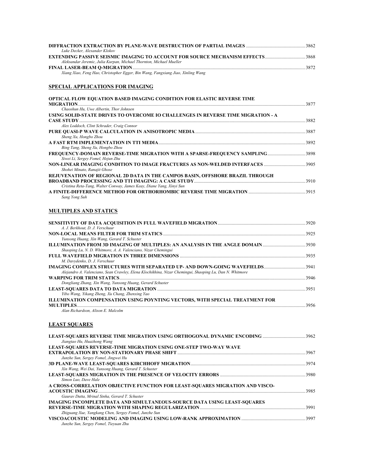| Luke Decker, Alexander Klokov                                                        |      |
|--------------------------------------------------------------------------------------|------|
| <b>EXTENDING PASSIVE SEISMIC IMAGING TO ACCOUNT FOR SOURCE MECHANISM EFFECTS3868</b> |      |
| Aleksandar Jeremic, Julia Kurpan, Michael Thornton, Michael Mueller                  |      |
|                                                                                      | 3872 |
| Xiang Xiao, Feng Hao, Christopher Egger, Bin Wang, Fangxiang Jiao, Xinling Wang      |      |

#### **SPECIAL APPLICATIONS FOR IMAGING**

| <b>OPTICAL FLOW EQUATION BASED IMAGING CONDITION FOR ELASTIC REVERSE TIME</b>       |      |
|-------------------------------------------------------------------------------------|------|
| <b>MIGRATION</b>                                                                    | 3877 |
| Chaoshun Hu. Uwe Albertin. Thor Johnsen                                             |      |
| USING SOLID-STATE DRIVES TO OVERCOME IO CHALLENGES IN REVERSE TIME MIGRATION - A    |      |
|                                                                                     | 3882 |
| Alex Loddoch, Clint Schrader, Craig Connor                                          |      |
|                                                                                     | 3887 |
| Sheng Xu, Hongbo Zhou                                                               |      |
|                                                                                     | 3892 |
| Bing Tang, Sheng Xu, Hongbo Zhou                                                    |      |
| <b>FREQUENCY-DOMAIN REVERSE-TIME MIGRATION WITH A SPARSE-FREQUENCY SAMPLING3898</b> |      |
| Siwei Li, Sergey Fomel, Hejun Zhu                                                   |      |
|                                                                                     | 3905 |
| Shohei Minato, Ranajit Ghose                                                        |      |
| REJUVENATION OF REGIONAL 2D DATA IN THE CAMPOS BASIN, OFFSHORE BRAZIL THROUGH       |      |
|                                                                                     | 3910 |
| Cristina Reta-Tang, Walter Conway, James Keay, Diane Yang, Xinyi Sun                |      |
|                                                                                     | 3915 |
| Sang Yong Suh                                                                       |      |

#### **MULTIPLES AND STATICS**

| A. J. Berkhout. D. J. Verschuur                                                                         |      |
|---------------------------------------------------------------------------------------------------------|------|
|                                                                                                         |      |
| Yunsong Huang, Xin Wang, Gerard T. Schuster                                                             |      |
|                                                                                                         |      |
| Shaoping Lu, N. D. Whitmore, A. A. Valenciano, Nizar Chemingui                                          |      |
|                                                                                                         |      |
| M. Davydenko, D. J. Verschuur                                                                           |      |
|                                                                                                         |      |
| Alejandro A. Valenciano, Sean Crawley, Elena Klochikhina, Nizar Chemingui, Shaoping Lu, Dan N. Whitmore |      |
|                                                                                                         | 3946 |
| Dongliang Zhang, Xin Wang, Yunsong Huang, Gerard Schuster                                               |      |
|                                                                                                         |      |
| Yibo Wang, Yikang Zheng, Xu Chang, Zhenxing Yao                                                         |      |
| ILLUMINATION COMPENSATION USING POYNTING VECTORS, WITH SPECIAL TREATMENT FOR                            |      |
| <b>MULTIPLES</b>                                                                                        | 3956 |
| Alan Richardson, Alison E. Malcolm                                                                      |      |

## **LEAST SQUARES**

| Jiangtao Hu, Huazhong Wang                                                      |      |
|---------------------------------------------------------------------------------|------|
| <b>LEAST-SOUARES REVERSE-TIME MIGRATION USING ONE-STEP TWO-WAY WAVE</b>         |      |
|                                                                                 |      |
| Junzhe Sun, Sergey Fomel, Jingwei Hu                                            |      |
|                                                                                 |      |
| Xin Wang, Wei Dai, Yunsong Huang, Gerard T. Schuster                            |      |
|                                                                                 |      |
| Simon Luo, Dave Hale                                                            |      |
| A CROSS-CORRELATION OBJECTIVE FUNCTION FOR LEAST-SOUARES MIGRATION AND VISCO-   |      |
|                                                                                 | 3985 |
| Gauray Dutta, Mrinal Sinha, Gerard T, Schuster                                  |      |
| <b>IMAGING INCOMPLETE DATA AND SIMULTANEOUS-SOURCE DATA USING LEAST-SOUARES</b> |      |
|                                                                                 |      |
| Zhiguang Xue, Yangkang Chen, Sergey Fomel, Junzhe Sun                           |      |
|                                                                                 |      |
| Junzhe Sun, Sergey Fomel, Tieyuan Zhu                                           |      |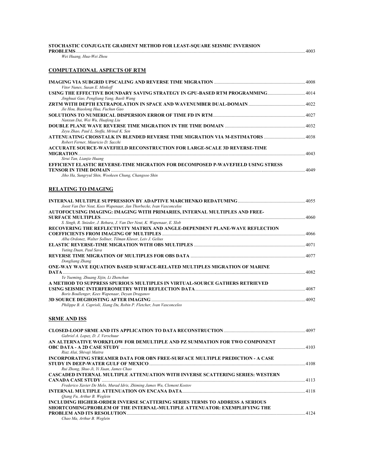| STOCHASTIC CONJUGATE GRADIENT METHOD FOR LEAST-SOUARE SEISMIC INVERSION<br><b>PROBLEMS</b> | 4003 |
|--------------------------------------------------------------------------------------------|------|
| Wei Huang, Hua-Wei Zhou                                                                    |      |
| <b>COMPUTATIONAL ASPECTS OF RTM</b>                                                        |      |
| Vitor Nunes, Susan E. Minkoff                                                              |      |
|                                                                                            |      |
| Jinghuai Gao, Pengliang Yang, Baoli Wang                                                   |      |
|                                                                                            |      |
| Jie Hou, Biaolong Hua, Fuchun Gao                                                          |      |
|                                                                                            |      |

**DOUBLE PLANE WAVE REVERSE TIME MIGRATION IN THE TIME DOMAIN** ....................................................................4032

| ATTENUATING CROSSTALK IN BLENDED REVERSE TIME MIGRATION VIA M-ESTIMATORS         | 4038      |
|----------------------------------------------------------------------------------|-----------|
| Robert Ferner, Mauricio D. Sacchi                                                |           |
| ACCURATE SOURCE-WAVEFIELD RECONSTRUCTION FOR LARGE-SCALE 3D REVERSE-TIME         |           |
| <b>MIGRATION</b>                                                                 | 4043      |
| Sirui Tan, Lianjie Huang                                                         |           |
| EFFICIENT ELASTIC REVERSE-TIME MIGRATION FOR DECOMPOSED P-WAVEFIELD USING STRESS |           |
|                                                                                  | $A\Omega$ |
| Jiho Ha, Sungryul Shin, Wookeen Chung, Changsoo Shin                             |           |
|                                                                                  |           |
|                                                                                  |           |

#### **RELATING TO IMAGING**

*Nanxun Dai, Wei Wu, Huafeng Liu* 

*Zeyu Zhao, Paul L. Stoffa, Mrinal K. Sen* 

| A055. 4055. INTERNAL MULTIPLE SUPPRESSION BY ADAPTIVE MARCHENKO REDATUMING   |      |
|------------------------------------------------------------------------------|------|
| Joost Van Der Neut, Kees Wapenaar, Jan Thorbecke, Ivan Vasconcelos           |      |
| AUTOFOCUSING IMAGING: IMAGING WITH PRIMARIES, INTERNAL MULTIPLES AND FREE-   |      |
|                                                                              | 4060 |
| S. Singh, R. Snieder, J. Behura, J. Van Der Neut, K. Wapenaar, E. Slob       |      |
| RECOVERING THE REFLECTIVITY MATRIX AND ANGLE-DEPENDENT PLANE-WAVE REFLECTION |      |
|                                                                              |      |
| Alba Ordonez, Walter Sollner, Tilman Kluver, Leiv J. Gelius                  |      |
|                                                                              | 4071 |
| Yuting Duan, Paul Sava                                                       |      |
|                                                                              |      |
| Dongliang Zhang                                                              |      |
| ONE-WAY WAVE EQUATION BASED SURFACE-RELATED MULTIPLES MIGRATION OF MARINE    |      |
| DATA                                                                         | 4082 |
| Ye Yueming, Zhuang Xijin, Li Zhenchun                                        |      |
| A METHOD TO SUPPRESS SPURIOUS MULTIPLES IN VIRTUAL-SOURCE GATHERS RETRIEVED  |      |
| 1087 - 4087 USING SEISMIC INTERFEROMETRY WITH REFLECTION DATA                |      |
| Boris Boullenger, Kees Wapenaar, Deyan Draganov                              |      |
|                                                                              | 4092 |
| Philippe B. A. Caprioli, Xiang Du, Robin P. Fletcher, Ivan Vasconcelos       |      |
|                                                                              |      |

#### **SRME AND ISS**

| AN ALTERNATIVE WORKFLOW FOR DEMULTIPLE AND PZ SUMMATION FOR TWO COMPONENT<br>4103<br>Riaz Alai, Shivaji Maitra<br><b>INCORPORATING STREAMER DATA FOR OBN FREE-SURFACE MULTIPLE PREDICTION - A CASE</b> |  |
|--------------------------------------------------------------------------------------------------------------------------------------------------------------------------------------------------------|--|
|                                                                                                                                                                                                        |  |
|                                                                                                                                                                                                        |  |
| 4108                                                                                                                                                                                                   |  |
| Rui Zhong, Shuo Ji, Yi Xuan, James Chao                                                                                                                                                                |  |
| CASCADED INTERNAL MULTIPLE ATTENUATION WITH INVERSE SCATTERING SERIES: WESTERN                                                                                                                         |  |
| 4113                                                                                                                                                                                                   |  |
| Frederico Xavier De Melo, Murad Idris, Zhiming James Wu, Clement Kostov                                                                                                                                |  |
| 4118<br>Oiang Fu, Arthur B. Weglein                                                                                                                                                                    |  |
| INCLUDING HIGHER-ORDER INVERSE SCATTERING SERIES TERMS TO ADDRESS A SERIOUS                                                                                                                            |  |
| SHORTCOMING/PROBLEM OF THE INTERNAL-MULTIPLE ATTENUATOR: EXEMPLIFYING THE                                                                                                                              |  |
| 4124<br><b>PROBLEM AND ITS RESOLUTION EXECUTION AND RESOLUTION</b><br>Chao Ma, Arthur B. Weglein                                                                                                       |  |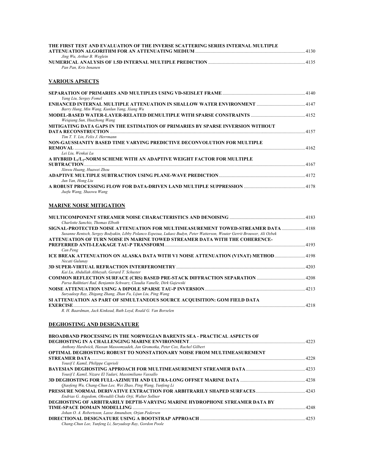| THE FIRST TEST AND EVALUATION OF THE INVERSE SCATTERING SERIES INTERNAL MULTIPLE |      |
|----------------------------------------------------------------------------------|------|
|                                                                                  | 4130 |
| Jing Wu, Arthur B. Weglein                                                       |      |
|                                                                                  | 4135 |
| Pan Pan. Kris Innanen                                                            |      |

#### **VARIOUS APSECTS**

| Yang Liu, Sergey Fomel                                                                                                 | 4140 |
|------------------------------------------------------------------------------------------------------------------------|------|
|                                                                                                                        |      |
| Barry Hung, Min Wang, Kunlun Yang, Xiang Wu                                                                            |      |
| Weigiang Sun, Huazhong Wang<br>MITIGATING DATA GAPS IN THE ESTIMATION OF PRIMARIES BY SPARSE INVERSION WITHOUT         |      |
| Tim T. Y. Lin. Felix J. Herrmann                                                                                       | 4157 |
| NON-GAUSSIANITY BASED TIME VARYING PREDICTIVE DECONVOLUTION FOR MULTIPLE<br><b>REMOVAL</b>                             | 4162 |
| Lei Liu, Wenkai Lu<br>A HYBRID L <sub>1</sub> /L <sub>2</sub> -NORM SCHEME WITH AN ADAPTIVE WEIGHT FACTOR FOR MULTIPLE |      |
| <b>SUBTRACTION</b><br>Xinwu Huang, Huawei Zhou                                                                         | 4167 |
|                                                                                                                        | 4172 |
| Jun Yan, Hong Liu<br>Juefu Wang, Shaowu Wang                                                                           | 4178 |

## **MARINE NOISE MITIGATION**

| Charlotte Sanchis, Thomas Elboth                                                                                                                                                                              |      |
|---------------------------------------------------------------------------------------------------------------------------------------------------------------------------------------------------------------|------|
| 816NAL-PROTECTED NOISE ATTENUATION FOR MULTIMEASUREMENT TOWED-STREAMER DATA  4188<br>Susanne Rentsch, Sergey Bodyakin, Libby Polanco Espezua, Lukasz Budyn, Peter Watterson, Wouter Gerrit Brouwer, Ali Ozbek |      |
| ATTENUATION OF TURN NOISE IN MARINE TOWED STREAMER DATA WITH THE COHERENCE-                                                                                                                                   |      |
| Can Peng                                                                                                                                                                                                      |      |
| Necati Gulunav                                                                                                                                                                                                |      |
| Kai Lu, Abdullah Althevab, Gerard T. Schuster                                                                                                                                                                 |      |
| Parsa Bakhtiari Rad, Benjamin Schwarz, Claudia Vanelle, Dirk Gajewski                                                                                                                                         |      |
| Suryadeep Ray, Zhigang Zhang, Zhan Fu, Lijun Liu, Ping Wang                                                                                                                                                   | 4213 |
| SI ATTENUATION AS PART OF SIMULTANEOUS SOURCE ACOUISITION: GOM FIELD DATA<br>EXERCISE                                                                                                                         | 4218 |
| R. H. Baardman, Jack Kinkead, Ruth Loyd, Roald G. Van Borselen                                                                                                                                                |      |

## **DEGHOSTING AND DESIGNATURE**

| <b>BROADBAND PROCESSING IN THE NORWEGIAN BARENTS SEA - PRACTICAL ASPECTS OF</b> |      |
|---------------------------------------------------------------------------------|------|
| Anthony Hardwick, Hassan Masoomzadeh, Jan Gromotka, Peter Cox, Rachel Gilbert   |      |
| <b>OPTIMAL DEGHOSTING ROBUST TO NONSTATIONARY NOISE FROM MULTIMEASUREMENT</b>   |      |
|                                                                                 |      |
| Yousif I. Kamil, Philippe Caprioli                                              |      |
|                                                                                 |      |
| Yousif I. Kamil, Nizare El Yadari, Massimiliano Vassallo                        |      |
|                                                                                 |      |
| Oiaofeng Wu, Chang-Chun Lee, Wei Zhao, Ping Wang, Yunfeng Li                    |      |
|                                                                                 |      |
| Endrias G. Asgedom, Okwudili Chuks Orji, Walter Sollner                         |      |
| DEGHOSTING OF ARBITRARILY DEPTH-VARYING MARINE HYDROPHONE STREAMER DATA BY      |      |
|                                                                                 | 4248 |
| Johan O. A. Robertsson, Lasse Amundsen, Orjan Pedersen                          |      |
|                                                                                 |      |
| Chang-Chun Lee, Yunfeng Li, Suryadeep Ray, Gordon Poole                         |      |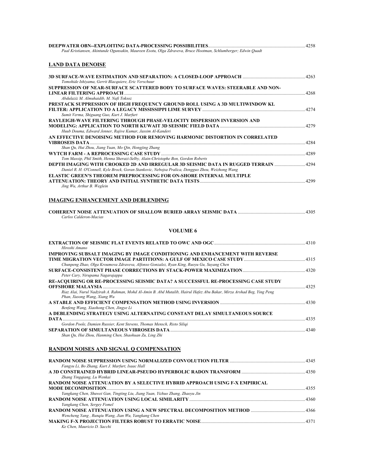| Paal Kristiansen, Akintunde Ogunsakin, Maureen Esotu, Olga Zdraveva, Bruce Hootman, Schlumberger; Edwin Quadt                                                                                                                                                                                                                                          |  |
|--------------------------------------------------------------------------------------------------------------------------------------------------------------------------------------------------------------------------------------------------------------------------------------------------------------------------------------------------------|--|
| <b>LAND DATA DENOISE</b>                                                                                                                                                                                                                                                                                                                               |  |
| Tomohide Ishiyama, Gerrit Blacquiere, Eric Verschuur                                                                                                                                                                                                                                                                                                   |  |
| SUPPRESSION OF NEAR-SURFACE SCATTERED BODY TO SURFACE WAVES: STEERABLE AND NON-                                                                                                                                                                                                                                                                        |  |
| Abdulaziz M. Almuhaidib, M. Nafi Toksoz<br>PRESTACK SUPPRESSION OF HIGH FREQUENCY GROUND ROLL USING A 3D MULTIWINDOW KL                                                                                                                                                                                                                                |  |
| Sumit Verma, Shiguang Guo, Kurt J. Marfurt<br>RAYLEIGH-WAVE FILTERING THROUGH PHASE-VELOCITY DISPERSION INVERSION AND                                                                                                                                                                                                                                  |  |
| Huub Douma, Edward Jenner, Rajive Kumar, Jassim Al-Kanderi<br>AN EFFECTIVE DENOISING METHOD FOR REMOVING HARMONIC DISTORTION IN CORRELATED                                                                                                                                                                                                             |  |
| Shan Qu, Hui Zhou, Jiang Yuan, Mo Qin, Hongjing Zhang                                                                                                                                                                                                                                                                                                  |  |
| Tom Massip, Phil Smith, Henna Sherazi-Selby, Alain-Christophe Bon, Gordon Roberts<br>DEPTH IMAGING WITH CROOKED 2D AND IRREGULAR 3D SEISMIC DATA IN RUGGED TERRAIN<br>Daniel R. H. O'Connell, Kyle Brock, Goran Stankovic, Nebojsa Pralica, Dengguo Zhou, Weizhong Wang<br><b>ELASTIC GREEN'S THEOREM PREPROCESSING FOR ON-SHORE INTERNAL MULTIPLE</b> |  |
| Jing Wu, Arthur B. Weglein                                                                                                                                                                                                                                                                                                                             |  |
| <b>IMAGING ENHANCEMENT AND DEBLENDING</b>                                                                                                                                                                                                                                                                                                              |  |
| Carlos Calderon-Macias                                                                                                                                                                                                                                                                                                                                 |  |
| <b>VOLUME 6</b>                                                                                                                                                                                                                                                                                                                                        |  |
| Hiroshi Amano                                                                                                                                                                                                                                                                                                                                          |  |
| IMPROVING SUBSALT IMAGING BY IMAGE CONDITIONING AND ENHANCEMENT WITH REVERSE                                                                                                                                                                                                                                                                           |  |
| Chunpeng Zhao, Olga Kroumova Zdraveva, Alfonso Gonzalez, Ryan King, Ruoyu Gu, Suyang Chen<br>Peter Cary, Nirupama Nagarajappa                                                                                                                                                                                                                          |  |
| RE-ACQUIRING OR RE-PROCESSING SEISMIC DATA? A SUCCESSFUL RE-PROCESSING CASE STUDY<br><b>OFFSHORE MALAYSIA <i>CONSTRUCTER SERVICES</i></b><br>$\frac{4325}{25}$<br>Riaz Alai, Nurul Nadzirah A. Rahman, Mohd Al-Amin B. Abd Mutalib, Hairul Hafez Abu Bakar, Mirza Arshad Beg, Ying Peng                                                                |  |
| Phan, Xusong Wang, Xiang Wu                                                                                                                                                                                                                                                                                                                            |  |
| Benfeng Wang, Xiaohong Chen, Jingye Li<br>A DEBLENDING STRATEGY USING ALTERNATING CONSTANT DELAY SIMULTANEOUS SOURCE                                                                                                                                                                                                                                   |  |
| Gordon Poole, Damien Russier, Kent Stevens, Thomas Mensch, Risto Siligi                                                                                                                                                                                                                                                                                |  |
| Shan Qu, Hui Zhou, Hanming Chen, Shaohuan Zu, Ling Zhi                                                                                                                                                                                                                                                                                                 |  |
| <b>RANDOM NOISES AND SIGNAL Q COMPENSATION</b>                                                                                                                                                                                                                                                                                                         |  |
| Fangyu Li, Bo Zhang, Kurt J. Marfurt, Isaac Hall                                                                                                                                                                                                                                                                                                       |  |
| Zhang Yingqiang, Lu Wenkai<br><b>RANDOM NOISE ATTENUATION BY A SELECTIVE HYBRID APPROACH USING F-X EMPIRICAL</b>                                                                                                                                                                                                                                       |  |
| Yangkang Chen, Shuwei Gan, Tingting Liu, Jiang Yuan, Yizhuo Zhang, Zhaoyu Jin                                                                                                                                                                                                                                                                          |  |
| Yangkang Chen, Sergey Fomel                                                                                                                                                                                                                                                                                                                            |  |
|                                                                                                                                                                                                                                                                                                                                                        |  |

*Wencheng Yang , Runqiu Wang, Jian Wu, Yangkang Chen*  **MAKING F-X PROJECTION FILTERS ROBUST TO ERRATIC NOISE**........................................................................................4371 *Ke Chen, Mauricio D. Sacchi*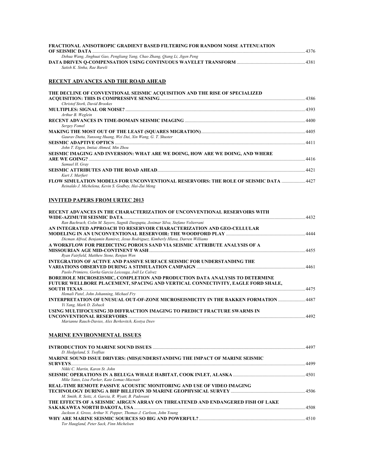| FRACTIONAL ANISOTROPIC GRADIENT BASED FILTERING FOR RANDOM NOISE ATTENUATION |      |
|------------------------------------------------------------------------------|------|
|                                                                              | 4376 |
| Dehua Wang, Jinghuai Gao, Pengliang Yang, Chao Zhang, Oiang Li, Jigen Peng   |      |
|                                                                              | 4381 |
| Satish K. Sinha. Rae Bareli                                                  |      |

#### **RECENT ADVANCES AND THE ROAD AHEAD**

| THE DECLINE OF CONVENTIONAL SEISMIC ACOUISITION AND THE RISE OF SPECIALIZED          |      |
|--------------------------------------------------------------------------------------|------|
|                                                                                      |      |
| <b>Christof Stork, David Brookes</b>                                                 |      |
|                                                                                      | 4393 |
| Arthur B. Weglein                                                                    |      |
|                                                                                      |      |
| Sergey Fomel                                                                         |      |
|                                                                                      |      |
| Gaurav Dutta, Yunsong Huang, Wei Dai, Xin Wang, G. T. Shuster                        |      |
|                                                                                      |      |
| John T. Etgen, Imtiaz Ahmed, Min Zhou                                                |      |
| SEISMIC IMAGING AND INVERSION: WHAT ARE WE DOING, HOW ARE WE DOING, AND WHERE        |      |
|                                                                                      |      |
| Samuel H. Grav                                                                       |      |
|                                                                                      |      |
| Kurt J. Marfurt                                                                      |      |
| FLOW SIMULATION MODELS FOR UNCONVENTIONAL RESERVOIRS: THE ROLE OF SEISMIC DATA  4427 |      |
| Reinaldo J. Michelena, Kevin S. Godbey, Hai-Zui Meng                                 |      |

#### **INVITED PAPERS FROM URTEC 2013**

| RECENT ADVANCES IN THE CHARACTERIZATION OF UNCONVENTIONAL RESERVOIRS WITH           |      |
|-------------------------------------------------------------------------------------|------|
|                                                                                     | 4432 |
| Ran Bachrach, Colin M. Sayers, Sagnik Dasgupta, Josimar Silva, Stefano Volterrani   |      |
| AN INTEGRATED APPROACH TO RESERVOIR CHARACTERIZATION AND GEO-CELLULAR               |      |
|                                                                                     | 4444 |
| Dicman Alfred, Benjamin Ramirez, Jesus Rodriguez, Kimberly Hlava, Darren Williams   |      |
| A WORKFLOW FOR PREDICTING POROUS SAND VIA SEISMIC ATTRIBUTE ANALYSIS OF A           |      |
| MISSOURIAN AGE MID-CONTINENT WASH DELL AND THE MILL OF A 4455                       |      |
| Ryan Fairfield, Matthew Stone, Renjun Wen                                           |      |
| INTEGRATION OF ACTIVE AND PASSIVE SURFACE SEISMIC FOR UNDERSTANDING THE             |      |
|                                                                                     | 4461 |
| Paolo Primiero, Gorka Garcia Leiceaga, Joël Le Calvez                               |      |
| BOREHOLE MICROSEISMIC, COMPLETION AND PRODUCTION DATA ANALYSIS TO DETERMINE         |      |
| FUTURE WELLBORE PLACEMENT, SPACING AND VERTICAL CONNECTIVITY, EAGLE FORD SHALE,     |      |
|                                                                                     | 4475 |
| Hemali Patel, John Johanning, Michael Fry                                           |      |
| INTERPRETATION OF UNUSUAL OUT-OF-ZONE MICROSEISMICITY IN THE BAKKEN FORMATION  4487 |      |
| Yi Yang, Mark D. Zoback                                                             |      |
| USING MULTIFOCUSING 3D DIFFRACTION IMAGING TO PREDICT FRACTURE SWARMS IN            |      |
|                                                                                     | 4492 |
| Marianne Rauch-Davies, Alex Berkovitch, Kostva Deev                                 |      |
| <b>MARINE ENVIRONMENTAL ISSUES</b>                                                  |      |
|                                                                                     | 4497 |
| D. Hedgeland, S. Tsoflias                                                           |      |
| MARINE SOUND ISSUE DRIVERS: (MIS)UNDERSTANDING THE IMPACT OF MARINE SEISMIC         |      |
| SURVEYS <b>SURVEYS</b>                                                              | 4499 |
| Nikki C. Martin, Karen St. John                                                     |      |
|                                                                                     |      |

| Mike Yates, Lisa Parker, Kate Lomac-Macnair                                     |  |
|---------------------------------------------------------------------------------|--|
| <b>REAL-TIME REMOTE PASSIVE ACOUSTIC MONITORING AND USE OF VIDEO IMAGING</b>    |  |
|                                                                                 |  |
| M. Smith, R. Seitz, A. Garcia, R. Wyatt, B. Padovani                            |  |
| THE EFFECTS OF A SEISMIC AIRGUN ARRAY ON THREATENED AND ENDANGERED FISH OF LAKE |  |
|                                                                                 |  |
| Jackson A. Gross, Arthur N. Popper, Thomas J. Carlson, John Young               |  |
|                                                                                 |  |

*Tor Haugland, Peter Sack, Finn Michelsen*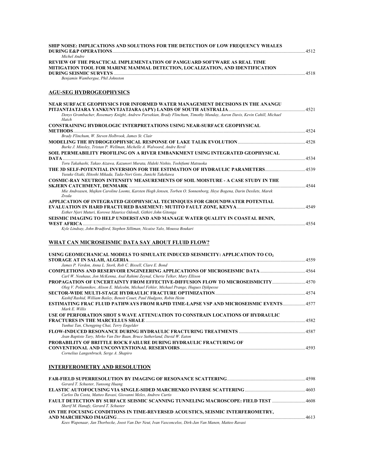| <b>SHIP NOISE: IMPLICATIONS AND SOLUTIONS FOR THE DETECTION OF LOW FREQUENCY WHALES</b>                                                                                          |         |
|----------------------------------------------------------------------------------------------------------------------------------------------------------------------------------|---------|
|                                                                                                                                                                                  | 4512    |
| Michel Andre<br><b>REVIEW OF THE PRACTICAL IMPLEMENTATION OF PAMGUARD SOFTWARE AS REAL TIME</b><br>MITIGATION TOOL FOR MARINE MAMMAL DETECTION, LOCALIZATION, AND IDENTIFICATION | 4518    |
| Benjamin Wambergue, Phil Johnston<br><b>AGU-SEG HYDROGEOPHYSICS</b>                                                                                                              |         |
|                                                                                                                                                                                  |         |
| NEAR SURFACE GEOPHYSICS FOR INFORMED WATER MANAGEMENT DECISIONS IN THE ANANGU                                                                                                    | 4521    |
| Denys Grombacher, Rosemary Knight, Andrew Parsekian, Brady Flinchum, Timothy Munday, Aaron Davis, Kevin Cahill, Michael<br>Hatch                                                 |         |
| <b>CONSTRAINING HYDROLOGIC INTERPRETATIONS USING NEAR-SURFACE GEOPHYSICAL</b>                                                                                                    |         |
| Brady Flinchum, W. Steven Holbrook, James St. Clair                                                                                                                              | 4524    |
|                                                                                                                                                                                  |         |
| Burke J. Minsley, Tristan P. Wellman, Michelle A. Walvoord, Andre Revil                                                                                                          |         |
| SOIL PERMEABILITY PROFILING ON A RIVER EMBANKMENT USING INTEGRATED GEOPHYSICAL                                                                                                   |         |
| Toru Takahashi, Takao Aizawa, Kazunori Murata, Hideki Nishio, Toshifumi Matsuoka                                                                                                 |         |
| Yusuke Ozaki, Hitoshi Mikada, Tada-Nori Goto, Junichi Takekawa                                                                                                                   |         |
| <b>COSMIC-RAY NEUTRON INTENSITY MEASUREMENTS OF SOIL MOISTURE - A CASE STUDY IN THE</b>                                                                                          |         |
| Mie Andreasen, Majken Caroline Looms, Karsten Hogh Jensen, Torben O. Sonnenborg, Heye Bogena, Darin Desilets, Marek<br>Zreda                                                     | 4544    |
| APPLICATION OF INTEGRATED GEOPHYSICAL TECHNIQUES FOR GROUNDWATER POTENTIAL                                                                                                       |         |
|                                                                                                                                                                                  |         |
| Esther Njeri Muturi, Korowe Maurice Odondi, Githiri John Gitonga                                                                                                                 |         |
| SEISMIC IMAGING TO HELP UNDERSTAND AND MANAGE WATER OUALITY IN COASTAL BENIN,                                                                                                    |         |
|                                                                                                                                                                                  | $-4554$ |

*Kyle Lindsay, John Bradford, Stephen Silliman, Nicaise Yalo, Moussa Boukari* 

#### **WHAT CAN MICROSEISMIC DATA SAY ABOUT FLUID FLOW?**

| USING GEOMECHANICAL MODELS TO SIMULATE INDUCED SEISMICITY: APPLICATION TO CO,            |      |
|------------------------------------------------------------------------------------------|------|
|                                                                                          |      |
| James P. Verdon, Anna L. Stork, Rob C. Bissell, Clare E. Bond                            |      |
|                                                                                          |      |
| Carl W. Neuhaus, Jon McKenna, Asal Rahimi Zeynal, Cherie Telker, Mary Ellison            |      |
| <b>PROPAGATION OF UNCERTAINTY FROM EFFECTIVE-DIFFUSION FLOW TO MICROSEISMICITY 2570</b>  |      |
| Oleg V. Poliannikov, Alison E. Malcolm, Michael Fehler, Michael Prange, Hugues Djikpesse |      |
|                                                                                          |      |
| Kashif Rashid, William Bailey, Benoit Couet, Paul Hudgens, Robin Heim                    |      |
| ESTIMATING FRAC FLUID PATHWAYS FROM RAPID TIME-LAPSE VSP AND MICROSEISMIC EVENTS 4577    |      |
| Mark E. Willis                                                                           |      |
| USE OF PERFORATION SHOT S WAVE ATTENUATION TO CONSTRAIN LOCATIONS OF HYDRAULIC           |      |
|                                                                                          | 4582 |
| Yunhui Tan, Chengping Chai, Terry Engelder                                               |      |
|                                                                                          |      |
| Jean Baptiste Tary, Mirko Van Der Baan, Bruce Sutherland, David W. Eaton                 |      |
| <b>PROBABILITY OF BRITTLE ROCK FAILURE DURING HYDRAULIC FRACTURING OF</b>                |      |
|                                                                                          | 4593 |
|                                                                                          |      |

*Cornelius Langenbruch, Serge A. Shapiro* 

#### **INTERFEROMETRY AND RESOLUTION**

| Gerard T. Schuster, Yunsong Huang                                                                      |      |
|--------------------------------------------------------------------------------------------------------|------|
|                                                                                                        |      |
| Carlos Da Costa, Matteo Ravasi, Giovanni Meles, Andrew Curtis                                          |      |
| <b>FAULT DETECTION BY SURFACE SEISMIC SCANNING TUNNELING MACROSCOPE: FIELD TEST 4608</b>               |      |
| Sherif M. Hanafy, Gerard T. Schuster                                                                   |      |
| ON THE FOCUSING CONDITIONS IN TIME-REVERSED ACOUSTICS, SEISMIC INTERFEROMETRY,                         |      |
|                                                                                                        | 4613 |
| Koon Wannanan, Jan Thombooks, Josef Van Dan Naut, Lian Vacconsolog, Digh Jan Van Manon, Matteo Danieri |      |

*Kees Wapenaar, Jan Thorbecke, Joost Van Der Neut, Ivan Vasconcelos, Dirk-Jan Van Manen, Matteo Ravasi*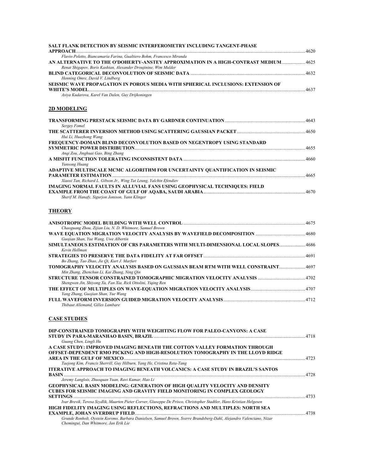| SALT FLANK DETECTION BY SEISMIC INTERFEROMETRY INCLUDING TANGENT-PHASE           | 4620 |
|----------------------------------------------------------------------------------|------|
| Flavio Poletto, Biancamaria Farina, Gualtiero Bohm, Francesco Miranda            |      |
|                                                                                  |      |
| Renat Shigapov, Boris Kashtan, Alexander Droujinine, Wim Mulder                  |      |
|                                                                                  |      |
| Henning Omre, David V. Lindberg                                                  |      |
| SEISMIC WAVE PROPAGATION IN POROUS MEDIA WITH SPHERICAL INCLUSIONS: EXTENSION OF |      |
|                                                                                  |      |
| Asiya Kudarova, Karel Van Dalen, Guy Drijkoningen                                |      |

#### **2D MODELING**

| Sergey Fomel                                                                   |      |
|--------------------------------------------------------------------------------|------|
| Hui Li, Huazhong Wang                                                          |      |
| <b>FREQUENCY-DOMAIN BLIND DECONVOLUTION BASED ON NEGENTROPY USING STANDARD</b> |      |
| Angi Zou, Jinghuai Gao, Bing Zhang                                             | 4655 |
|                                                                                |      |
| Yunsong Huang                                                                  |      |
| ADAPTIVE MULTISCALE MCMC ALGORITHM FOR UNCERTAINTY QUANTIFICATION IN SEISMIC   |      |
|                                                                                | 4665 |
| Xiaosi Tan, Richard L. Gibson Jr., Wing Tat Leung, Yalchin Efendiev            |      |
| IMAGING NORMAL FAULTS IN ALLUVIAL FANS USING GEOPHYSICAL TECHNIQUES: FIELD     |      |
|                                                                                |      |
| Sherif M. Hanafy, Sigurjon Jonsson, Yann Klinger                               |      |

#### **THEORY**

| Chaoguang Zhou, Zijian Liu, N. D. Whitmore, Samuel Brown                                  |  |
|-------------------------------------------------------------------------------------------|--|
|                                                                                           |  |
| Guojian Shan, Yue Wang, Uwe Albertin                                                      |  |
| <b>SIMULTANEOUS ESTIMATION OF CRS PARAMETERS WITH MULTI-DIMENSIONAL LOCAL SLOPES 4686</b> |  |
| Kevin Hellman                                                                             |  |
|                                                                                           |  |
| Bo Zhang, Tao Zhao, Jie Oi, Kurt J. Marfurt                                               |  |
| 1697 - TOMOGRAPHY VELOCITY ANALYSIS BASED ON GAUSSIAN BEAM RTM WITH WELL CONSTRAINT       |  |
| Min Zhang, Zhenchun Li, Kai Zhang, Ning Oin                                               |  |
|                                                                                           |  |
| Shengwen Jin, Shiyong Xu, Fan Xia, Rick Ottolini, Yiqing Ren                              |  |
|                                                                                           |  |
| Yang Zhang, Guojian Shan, Yue Wang                                                        |  |
|                                                                                           |  |
| Thibaut Allemand, Gilles Lambare                                                          |  |

#### **CASE STUDIES**

| DIP-CONSTRAINED TOMOGRAPHY WITH WEIGHTING FLOW FOR PALEO-CANYONS: A CASE                                                                                      |      |
|---------------------------------------------------------------------------------------------------------------------------------------------------------------|------|
|                                                                                                                                                               |      |
| Guang Chen, Lingli Hu                                                                                                                                         |      |
| A CASE STUDY: IMPROVED IMAGING BENEATH THE COTTON VALLEY FORMATION THROUGH                                                                                    |      |
| OFFSET-DEPENDENT RMO PICKING AND HIGH-RESOLUTION TOMOGRAPHY IN THE LLOYD RIDGE                                                                                |      |
| AREA IN THE GULF OF MEXICO                                                                                                                                    | 4723 |
| Taejong Kim, Francis Sherrill, Guy Hilburn, Yang He, Cristina Reta-Tang                                                                                       |      |
| <b>ITERATIVE APPROACH TO IMAGING BENEATH VOLCANICS: A CASE STUDY IN BRAZIL'S SANTOS</b>                                                                       |      |
| <b>BASIN</b>                                                                                                                                                  | 4728 |
| Jeremy Langlois, Zhuoquan Yuan, Ravi Kumar, Hao Li                                                                                                            |      |
| <b>GEOPHYSICAL BASIN MODELING: GENERATION OF HIGH OUALITY VELOCITY AND DENSITY</b>                                                                            |      |
| <b>CUBES FOR SEISMIC IMAGING AND GRAVITY FIELD MONITORING IN COMPLEX GEOLOGY</b>                                                                              |      |
|                                                                                                                                                               | 4733 |
| Ivar Brevik, Teresa Szydlik, Maarten Pieter Corver, Giuseppe De Prisco, Christopher Stadtler, Hans Kristian Helgesen                                          |      |
| HIGH FIDELITY IMAGING USING REFLECTIONS, REFRACTIONS AND MULTIPLES: NORTH SEA                                                                                 |      |
|                                                                                                                                                               | 4738 |
| Grunde Ronholt, Oystein Korsmo, Barbara Danielsen, Samuel Brown, Sverre Brandsberg-Dahl, Alejandro Valenciano, Nizar<br>Chemingui, Dan Whitmore, Jan Erik Lie |      |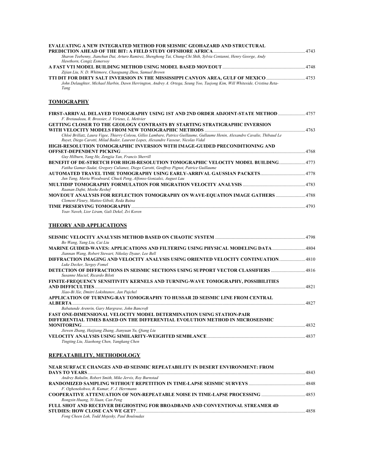| EVALUATING A NEW INTEGRATED METHOD FOR SEISMIC GEOHAZARD AND STRUCTURAL                                                                                                                                                                      |      |
|----------------------------------------------------------------------------------------------------------------------------------------------------------------------------------------------------------------------------------------------|------|
| Sharon Teebenny, Jianchun Dai, Arturo Ramirez, Shenghong Tai, Chung-Chi Shih, Sylvia Centanni, Henry George, Andy                                                                                                                            |      |
| Hawthorn, Cengiz Esmersoy                                                                                                                                                                                                                    |      |
| Zijian Liu, N. D. Whitmore, Chaoguang Zhou, Samuel Brown                                                                                                                                                                                     |      |
| TTI DIT FOR DIRTY SALT INVERSION IN THE MISSISSIPPI CANYON AREA, GULF OF MEXICO 4753                                                                                                                                                         |      |
| John Delaughter, Michael Harbin, Dawn Herrington, Andrey A. Ortega, Seung Yoo, Taejong Kim, Will Whiteside, Cristina Reta-<br>Tang                                                                                                           |      |
| TOMOGRAPHY                                                                                                                                                                                                                                   |      |
| F. Bretaudeau, R. Brossier, J. Virieux, L. Metivier                                                                                                                                                                                          |      |
| GETTING CLOSER TO THE GEOLOGY CONTRASTS BY STARTING STRATIGRAPHIC INVERSION<br>WITH VELOCITY MODELS FROM NEW TOMOGRAPHIC METHODS ……………………………………………………………………………4763                                                                           |      |
| Chloé Brillatz, Laura Vigee, Thierry Coleou, Gilles Lambare, Patrice Guillaume, Gullaume Henin, Alexandre Cavalie, Thibaud Le<br>Ruyet, Diego Carotti, Milad Bader, Laurent Lopes, Alexandre Vasseur, Nicolas Vidal                          |      |
| HIGH-RESOLUTION TOMOGRAPHIC INVERSION WITH IMAGE-GUIDED PRECONDITIONING AND                                                                                                                                                                  |      |
| Guy Hilburn, Yang He, Zengjia Yan, Francis Sherrill<br><b>BENEFIT OF DE-STRETCH FOR HIGH-RESOLUTION TOMOGRAPHIC VELOCITY MODEL BUILDING  4773</b><br>Fatiha Gamar-Sadat, Gregory Culianez, Diego Carotti, Geoffroy Pignot, Patrice Guillaume |      |
| Jun Tang, Marta Woodward, Chuck Peng, Alfonso Gonzalez, August Lau                                                                                                                                                                           |      |
| Raanan Dafni, Moshe Reshef                                                                                                                                                                                                                   |      |
| <b>MOVEOUT ANALYSIS FOR REFLECTION TOMOGRAPHY ON WAVE-EQUATION IMAGE GATHERS  4788</b><br>Clement Fleury, Matteo Giboli, Reda Baina                                                                                                          |      |
| Yoav Naveh, Lior Liram, Gali Dekel, Zvi Koren                                                                                                                                                                                                |      |
| <b>THEORY AND APPLICATIONS</b>                                                                                                                                                                                                               |      |
| Bo Wang, Yang Liu, Cai Liu                                                                                                                                                                                                                   |      |
| MARINE GUIDED-WAVES: APPLICATIONS AND FILTERING USING PHYSICAL MODELING DATA4804<br>Jiannan Wang, Robert Stewart, Nikolay Dyaur, Lee Bell                                                                                                    |      |
| DIFFRACTION IMAGING AND VELOCITY ANALYSIS USING ORIENTED VELOCITY CONTINUATION4810<br>Luke Decker, Sergey Fomel                                                                                                                              |      |
| <b>DETECTION OF DIFFRACTIONS IN SEISMIC SECTIONS USING SUPPORT VECTOR CLASSIFIERS 4816</b><br>Susanne Maciel, Ricardo Biloti                                                                                                                 |      |
| FINITE-FREQUENCY SENSITIVITY KERNELS AND TURNING-WAVE TOMOGRAPHY, POSSIBILITIES                                                                                                                                                              | 4821 |
| Xiao-Bi Xie, Dmitri Lokshtanov, Jan Pajchel                                                                                                                                                                                                  |      |
| APPLICATION OF TURNING-RAY TOMOGRAPHY TO HUSSAR 2D SEISMIC LINE FROM CENTRAL<br>4827<br>Babatunde Arenrin, Gary Margrave, John Bancroft                                                                                                      |      |
| <b>FAST ONE-DIMENSIONAL VELOCITY MODEL DETERMINATION USING STATION-PAIR</b>                                                                                                                                                                  |      |
| DIFFERENTIAL TIMES BASED ON THE DIFFERENTIAL EVOLUTION METHOD IN MICROSEISMIC                                                                                                                                                                |      |
| Jiewen Zhang, Haijiang Zhang, Jianyuan Yu, Qiang Liu                                                                                                                                                                                         |      |
| Tingting Liu, Xiaohong Chen, Yangkang Chen                                                                                                                                                                                                   |      |
| REPEATABILITY, METHODOLOGY                                                                                                                                                                                                                   |      |
|                                                                                                                                                                                                                                              |      |

| NEAR SURFACE CHANGES AND 4D SEISMIC REPEATABILITY IN DESERT ENVIRONMENT: FROM |      |
|-------------------------------------------------------------------------------|------|
|                                                                               | 4843 |
| Andrey Bakulin, Robert Smith, Mike Jervis, Roy Burnstad                       |      |
|                                                                               |      |
| F. Oghenekohwo, R. Kumar, F. J. Herrmann                                      |      |
|                                                                               |      |
| Rongxin Huang, Yi Xuan, Can Peng                                              |      |
| FULL SHOT AND RECEIVER DEGHOSTING FOR BROADBAND AND CONVENTIONAL STREAMER 4D  |      |
|                                                                               | 4858 |
| Fong Cheen Loh, Todd Mojesky, Paul Bouloudas                                  |      |
|                                                                               |      |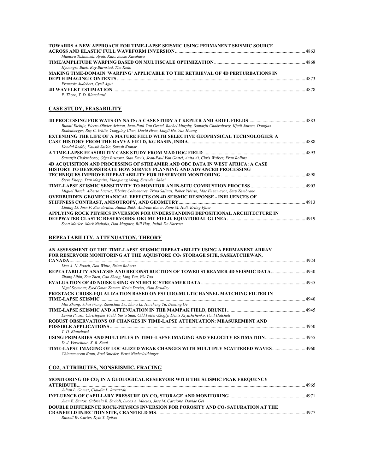| <b>TOWARDS A NEW APPROACH FOR TIME-LAPSE SEISMIC USING PERMANENT SEISMIC SOURCE</b> |  |
|-------------------------------------------------------------------------------------|--|
|                                                                                     |  |
| Mamoru Takanashi, Ayato Kato, Junzo Kasahara                                        |  |
|                                                                                     |  |
| Hyoungsu Baek, Roy Burnstad, Tim Keho                                               |  |
| MAKING TIME-DOMAIN 'WARPING' APPLICABLE TO THE RETRIEVAL OF 4D PERTURBATIONS IN     |  |
|                                                                                     |  |
| Francois Audebert, Cyril Agut                                                       |  |
|                                                                                     |  |
| P. Thore, T. D. Blanchard                                                           |  |

**CASE STUDY, FEASABILITY**

#### **4D PROCESSING FOR WATS ON NATS: A CASE STUDY AT KEPLER AND ARIEL FIELDS**................................................4883 *Bunmi Elebiju, Pierre-Olivier Ariston, Jean-Paul Van Gestel, Rachel Murphy, Samarjit Chakraborty, Kjetil Jansen, Douglas Rodenberger, Roy C. White, Yongping Chen, David Hren, Lingli Hu, Yan Huang*  **EXTENDING THE LIFE OF A MATURE FIELD WITH SELECTIVE GEOPHYSICAL TECHNOLOGIES: A CASE HISTORY FROM THE RAVVA FIELD, KG BASIN, INDIA**...................................................................................................4888 *Kondal Reddy, Kausik Saikia, Suresh Kumar*  **A TIME-LAPSE FEASIBILITY CASE STUDY FROM MAD DOG FIELD** ......................................................................................4893 *Samarjit Chakraborty, Olga Brusova, Stan Davis, Jean-Paul Van Gestel, Anita Ai, Chris Walker, Fran Rollins*  **4D ACQUISITION AND PROCESSING OF STREAMER AND OBC DATA IN WEST AFRICA: A CASE HISTORY TO DEMONSTRATE HOW SURVEY PLANNING AND ADVANCED PROCESSING TECHNIQUES IMPROVE REPEATABILITY FOR RESERVOIR MONITORING**.......................................................................4898 *Steve Knapp, Dan Maguire, Xiaoguang Meng, Surinder Sahai*  **TIME-LAPSE SEISMIC SENSITIVITY TO MONITOR AN IN-SITU COMBUSTION PROCESS** ..............................................4903 *Miguel Bosch, Alberto Lacruz, Tibaire Colmenares, Trino Salinas, Rober Yibirin, Mac Fuenmayor, Sary Zambrano*  **OVERBURDEN GEOMECHANICAL EFFECTS ON 4D SEISMIC RESPONSE - INFLUENCES OF STIFFNESS CONTRAST, ANISOTROPY, AND GEOMETRY**...........................................................................................................4913 *Liming Li, Jorn F. Stenebraten, Audun Bakk, Andreas Bauer, Rune M. Holt, Erling Fjaer*  **APPLYING ROCK PHYSICS INVERSION FOR UNDERSTANDING DEPOSITIONAL ARCHITECTURE IN DEEPWATER CLASTIC RESERVOIRS: OKUME FIELD, EQUATORIAL GUINEA**..................................................................4919

*Scott Marler, Mark Nicholls, Dan Maguire, Bill Hay, Judith De Narvaez* 

#### **REPEATABILITY, ATTENUATION, THEORY**

| AN ASSESSMENT OF THE TIME-LAPSE SEISMIC REPEATABILITY USING A PERMANENT ARRAY<br>FOR RESERVOIR MONITORING AT THE AOUISTORE CO, STORAGE SITE, SASKATCHEWAN, |      |
|------------------------------------------------------------------------------------------------------------------------------------------------------------|------|
| <b>CANADA</b>                                                                                                                                              | 4924 |
| Lisa A. N. Roach, Don White, Brian Roberts                                                                                                                 |      |
| AREPEATABILITY ANALYSIS AND RECONSTRUCTION OF TOWED STREAMER 4D SEISMIC DATA 4930                                                                          |      |
| Zhang Libin, Zou Zhen, Cao Sheng, Ling Yun, Wu Tao                                                                                                         |      |
|                                                                                                                                                            |      |
| Nigel Seymour, Syed Omar Zaman, Kevin Davies, Alan Strudley                                                                                                |      |
| PRESTACK CROSS-EQUALIZATION BASED ON PSEUDO-MULTICHANNEL MATCHING FILTER IN                                                                                |      |
|                                                                                                                                                            | 4940 |
| Min Zhang, Yihui Wang, Zhenchun Li., Zhina Li, Haicheng Yu, Daming Ge                                                                                      |      |
|                                                                                                                                                            |      |
| Lenna Puasa, Christopher Field, Suria Suut, Odd Petter-Skogly, Denis Kiyashchenko, Paul Hatchell                                                           |      |
| ROBUST OBSERVATIONS OF CHANGES IN TIME-LAPSE ATTENUATION: MEASUREMENT AND                                                                                  |      |
|                                                                                                                                                            | 4950 |
| T. D. Blanchard                                                                                                                                            |      |
| USING PRIMARIES AND MULTIPLES IN TIME-LAPSE IMAGING AND VELOCITY ESTIMATION                                                                                | 4955 |
| D. J. Verschuur, X. R. Staal                                                                                                                               |      |
| Chinaemerem Kanu, Roel Snieder, Ernst Niederleithinger                                                                                                     |      |

#### **CO2, ATTRIBUTES, NONSEISMIC, FRACING**

| <b>MONITORING OF CO, IN A GEOLOGICAL RESERVOIR WITH THE SEISMIC PEAK FREOUENCY</b>          |      |
|---------------------------------------------------------------------------------------------|------|
|                                                                                             | 4965 |
| Julian L. Gomez. Claudia L. Ravazzoli                                                       |      |
|                                                                                             |      |
| Juan E. Santos, Gabriela B. Savioli, Lucas A. Macias, Jose M. Carcione, Davide Gei          |      |
| DOUBLE DIFFERENCE ROCK-PHYSICS INVERSION FOR POROSITY AND CO <sub>2</sub> SATURATION AT THE |      |
|                                                                                             |      |
| Russell W. Carter, Kyle T. Spikes                                                           |      |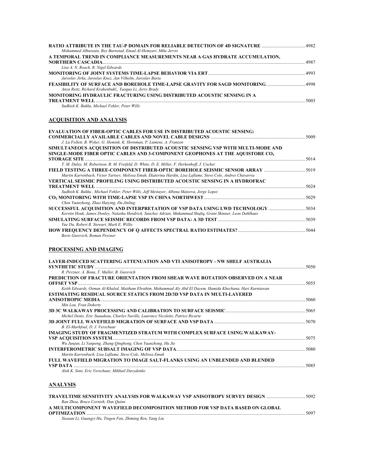| Mohammed Alhussain, Roy Burnstad, Emad Al-Hemyari, Mike Jervis                   |  |
|----------------------------------------------------------------------------------|--|
| A TEMPORAL TREND IN COMPLIANCE MEASUREMENTS NEAR A GAS HYDRATE ACCUMULATION,     |  |
|                                                                                  |  |
| Lisa A. N. Roach, R. Nigel Edwards                                               |  |
|                                                                                  |  |
| Jaroslav Jirku, Jaroslav Knez, Jan Vilhelm, Jaroslav Barta                       |  |
| FEASIBILITY OF SURFACE AND BOREHOLE TIME-LAPSE GRAVITY FOR SAGD MONITORING  4998 |  |
| Anya Reitz, Richard Krahenbuhl,, Yaoguo Li, Jerry Brady                          |  |
| MONITORING HYDRAULIC FRACTURING USING DISTRIBUTED ACOUSTIC SENSING IN A          |  |
|                                                                                  |  |

*Sudhish K. Bakku, Michael Fehler, Peter Wills* 

#### **ACQUISITION AND ANALYSIS**

| <b>EVALUATION OF FIBER-OPTIC CABLES FOR USE IN DISTRIBUTED ACOUSTIC SENSING:</b>                              |      |
|---------------------------------------------------------------------------------------------------------------|------|
|                                                                                                               | 5009 |
| J. La Follett, B. Wyker, G. Hemink, K. Hornman, P. Lumens, A. Franzen                                         |      |
| SIMULTANEOUS ACOUISITION OF DISTRIBUTED ACOUSTIC SENSING VSP WITH MULTI-MODE AND                              |      |
| SINGLE-MODE FIBER OPTIC CABLES AND 3-COMPONENT GEOPHONES AT THE AQUISTORE CO,                                 |      |
|                                                                                                               | 5014 |
| T. M. Daley, M. Robertson, B. M. Freifeld, D. White, D. E. Miller, F. Herkenhoff, J. Cocker                   |      |
| 5019 FIELD TESTING A THREE-COMPONENT FIBER-OPTIC BOREHOLE SEISMIC SENSOR ARRAY                                |      |
| Martin Karrenbach, Victor Yartsev, Melissa Emuh, Ekaterina Hardin, Lisa Laflame, Steve Cole, Andres Chavarria |      |
| VERTICAL SEISMIC PROFILING USING DISTRIBUTED ACOUSTIC SENSING IN A HYDROFRAC                                  |      |
|                                                                                                               | 5024 |
| Sudhish K. Bakku, Michael Fehler, Peter Wills, Jeff Mestayer, Albena Mateeva, Jorge Lopez                     |      |
|                                                                                                               | 5029 |
| Chen Yuanzhong, Zhao Haiving, Du Jinling                                                                      |      |
|                                                                                                               |      |
| Kerstin Houk, James Donley, Natasha Hendrick, Sanchez Adrian, Muhammad Shafiq, Grant Skinner, Leon Dahlhaus   |      |
|                                                                                                               | 5039 |
| Yue Du. Robert R. Stewart, Mark E. Willis                                                                     |      |
|                                                                                                               |      |
| Boris Gurevich, Roman Pevzner                                                                                 |      |

#### **PROCESSING AND IMAGING**

| LAYER-INDUCED SCATTERING ATTENUATION AND VTI ANISOTROPY - NW SHELF AUSTRALIA                                                     |      |
|----------------------------------------------------------------------------------------------------------------------------------|------|
| <b>SYNTHETIC STUDY</b>                                                                                                           | 5050 |
| R. Pevzner, A. Bona, T. Muller, B. Gurevich                                                                                      |      |
| PREDICTION OF FRACTURE ORIENTATION FROM SHEAR WAVE ROTATION OBSERVED ON A NEAR                                                   | 5055 |
| <b>OFFSET VSP</b><br>Keith Edwards, Osman Al-Khaled, Maitham Ebrahim, Muhammad Aly Abd El Dayem, Hamida Khechana, Hari Kurniawan |      |
|                                                                                                                                  |      |
| <b>ESTIMATING RESIDUAL SOURCE STATICS FROM 2D/3D VSP DATA IN MULTI-LAYERED</b><br><b>ANISOTROPIC MEDIA</b>                       | 5060 |
| Min Lou, Fran Doherty                                                                                                            |      |
|                                                                                                                                  | 5065 |
| Michel Denis, Eric Suaudeau, Charles Naville, Laurence Nicoletis, Patrice Ricarte                                                |      |
| B. El-Marhfoul, D. J. Verschuur                                                                                                  | 5070 |
| <b>IMAGING STUDY OF FRAGMENTIZED STRATUM WITH COMPLEX SURFACE USING WALKAWAY-</b>                                                |      |
| <b>VSP ACQUISITION SYSTEM</b>                                                                                                    | 5075 |
| Wu Junjun, Li Yanpeng, Zhang Oinghong, Chen Yuanzhong, Hu Jie                                                                    |      |
|                                                                                                                                  | 5080 |
| Martin Karrenbach, Lisa Laflame, Steve Cole, Melissa Emuh                                                                        |      |
| FULL WAVEFIELD MIGRATION TO IMAGE SALT-FLANKS USING AN UNBLENDED AND BLENDED                                                     |      |
| <b>VSP DATA</b>                                                                                                                  | 5085 |
| Alok K. Soni, Eric Verschuur, Mikhail Davydenko                                                                                  |      |
|                                                                                                                                  |      |
|                                                                                                                                  |      |

#### **ANALYSIS**

| Ran Zhou, Bruce Cornish, Dan Ouinn                                           |      |
|------------------------------------------------------------------------------|------|
| A MULTICOMPONENT WAVEFIELD DECOMPOSITION METHOD FOR VSP DATA BASED ON GLOBAL |      |
| <b>OPTIMIZATION</b>                                                          | 5097 |
| Xuxuan Li, Guangyi Hu, Tingen Fan, Zhiming Ren, Yang Liu                     |      |